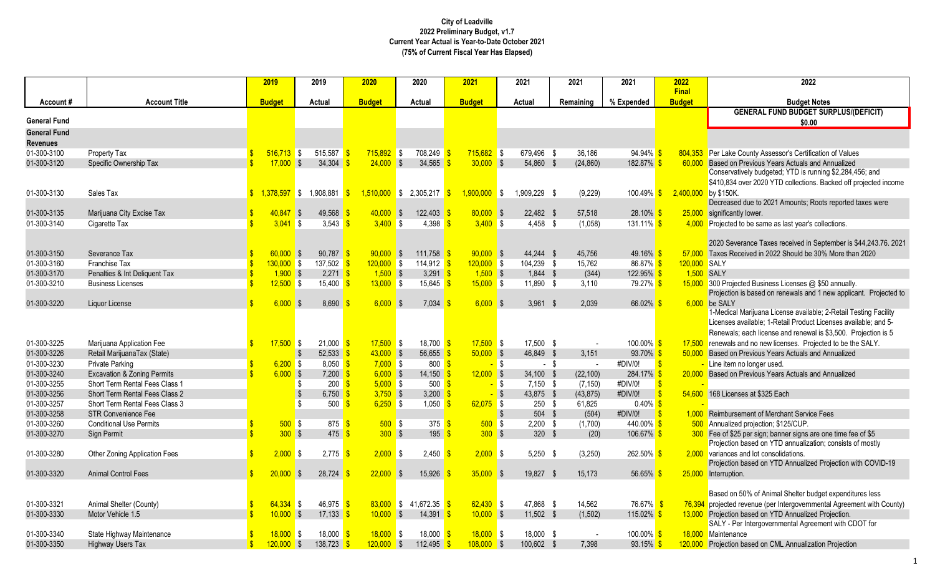|                            |                                        |              | 2019                        | 2019                                 | 2020                        | 2020                         | 2021                        | 2021                    | 2021           | 2021                          | 2022                          | 2022                                                                        |
|----------------------------|----------------------------------------|--------------|-----------------------------|--------------------------------------|-----------------------------|------------------------------|-----------------------------|-------------------------|----------------|-------------------------------|-------------------------------|-----------------------------------------------------------------------------|
|                            | <b>Account Title</b>                   |              | <b>Budget</b>               | Actual                               | <b>Budget</b>               | Actual                       | <b>Budget</b>               | Actual                  | Remaining      | % Expended                    | <b>Final</b><br><b>Budget</b> | <b>Budget Notes</b>                                                         |
| Account#                   |                                        |              |                             |                                      |                             |                              |                             |                         |                |                               |                               | <b>GENERAL FUND BUDGET SURPLUS/(DEFICIT)</b>                                |
| <b>General Fund</b>        |                                        |              |                             |                                      |                             |                              |                             |                         |                |                               |                               | \$0.00                                                                      |
| <b>General Fund</b>        |                                        |              |                             |                                      |                             |                              |                             |                         |                |                               |                               |                                                                             |
| <b>Revenues</b>            |                                        |              |                             |                                      |                             |                              |                             |                         |                |                               |                               |                                                                             |
| 01-300-3100                | Property Tax                           |              | $516,713$ \$                | 515,587                              | $715,892$ \$                | 708,249                      | $715,682$ \$                | 679,496 \$              | 36,186         | 94.94% \$                     |                               | 804,353 Per Lake County Assessor's Certification of Values                  |
| 01-300-3120                | Specific Ownership Tax                 | $\mathbf{R}$ | $17,000$ \$                 | 34.304                               | 24,000                      | $\sqrt{S}$<br>34.565         | $30,000$ \$                 | 54,860 \$               | (24, 860)      | 182.87%                       | 60,000                        | Based on Previous Years Actuals and Annualized                              |
|                            |                                        |              |                             |                                      |                             |                              |                             |                         |                |                               |                               | Conservatively budgeted; YTD is running \$2,284,456; and                    |
|                            |                                        |              |                             |                                      |                             |                              |                             |                         |                |                               |                               | \$410,834 over 2020 YTD collections. Backed off projected income            |
| 01-300-3130                | Sales Tax                              |              |                             | $\frac{1}{2}$ 1,378,597 \$ 1,908,881 | $\mathbf{s}$                | $1,510,000$ \$ 2,305,217     | $1,900,000$ \$<br>-\$       | 1,909,229 \$            | (9, 229)       | $100.49\%$ \$                 | 2,400,000 by \$150K.          |                                                                             |
|                            |                                        |              |                             |                                      |                             |                              |                             |                         |                |                               |                               | Decreased due to 2021 Amounts; Roots reported taxes were                    |
| 01-300-3135                | Marijuana City Excise Tax              | $\mathbf{s}$ | $40,847$ \$                 | 49,568                               | $40,000$ \$                 | 122,403                      | $80,000$ \$                 | $22,482$ \$             | 57,518         | $28.10\%$                     |                               | 25,000 significantly lower.                                                 |
| 01-300-3140                | Cigarette Tax                          |              | $3.041$ \$                  | 3,543                                | 3.400 S                     | 4,398                        | 3.400 S                     | $4.458$ \$              | (1,058)        | $131.11\%$ \$                 |                               | 4,000 Projected to be same as last year's collections.                      |
|                            |                                        |              |                             |                                      |                             |                              |                             |                         |                |                               |                               |                                                                             |
|                            |                                        |              |                             |                                      |                             |                              |                             |                         |                |                               |                               | 2020 Severance Taxes received in September is \$44,243.76. 2021             |
| 01-300-3150                | Severance Tax                          |              | $60.000$ \$                 | 90,787                               | $90,000$ \$                 | $111,758$ \$                 | $90,000$ \$                 | 44,244 \$               | 45,756         | 49.16%                        | 57,000                        | Taxes Received in 2022 Should be 30% More than 2020                         |
| 01-300-3160                | Franchise Tax                          |              | $130,000$ \$                | 137,502                              | $120,000$ \$                | $114.912$ \$                 | $120,000$ \$                | 104,239 \$              | 15.762         | $86.87\%$                     | 120,000 SALY                  |                                                                             |
| 01-300-3170                | Penalties & Int Deliguent Tax          |              | $1,900$ \$                  | 2,271                                | $1,500$ \$                  | 3,291 $\frac{1}{5}$          | $1,500$ \$                  | $1,844$ \$              | (344)          | 122.95% <sup>\$</sup>         | 1,500 SALY                    |                                                                             |
| 01-300-3210                | <b>Business Licenses</b>               |              | $12,500$ \$                 | 15,400                               | $13,000$ \$                 | $15,645$ \$                  | $15,000$ \$                 | 11,890 \$               | 3,110          | 79.27% \$                     |                               | 15,000 300 Projected Business Licenses @ \$50 annually.                     |
|                            |                                        |              |                             |                                      |                             |                              |                             |                         |                |                               |                               | Projection is based on renewals and 1 new applicant. Projected to           |
| 01-300-3220                | Liquor License                         | \$           | 6.000S                      | 8.690                                | 6.000 S                     | 7,034                        | $6,000$ \$                  | $3,961$ \$              | 2.039          | $66.02\%$ \$                  | 6,000                         | be SALY<br>1-Medical Marijuana License available; 2-Retail Testing Facility |
|                            |                                        |              |                             |                                      |                             |                              |                             |                         |                |                               |                               | Licenses available; 1-Retail Product Licenses available; and 5-             |
|                            |                                        |              |                             |                                      |                             |                              |                             |                         |                |                               |                               | Renewals; each license and renewal is \$3,500. Projection is 5              |
| 01-300-3225                | Marijuana Application Fee              |              | $17,500$ \$                 | 21,000                               | $17,500$ \$                 | $18,700$ \$                  | $17,500$ \$                 | 17,500 \$               |                | 100.00% <sup>S</sup>          | 17,500                        | renewals and no new licenses. Projected to be the SALY.                     |
| 01-300-3226                | Retail MarijuanaTax (State)            |              |                             | 52,533<br>-\$                        | $43,000$ \$                 | 56,655 \$                    | $50,000$ \$                 | 46,849 \$               | 3,151          | 93.70% \$                     | 50,000                        | <b>Based on Previous Years Actuals and Annualized</b>                       |
| 01-300-3230                | <b>Private Parking</b>                 |              | $6,200$ \$                  | $8.050$ $\sqrt{\frac{9}{5}}$         | $7,000$ \$                  | 800 <sup>o</sup>             |                             | <mark>–</mark> \$       | - \$<br>$\sim$ | #DIV/0!<br>$\mathbf{S}$       |                               | Line item no longer used.                                                   |
| 01-300-3240                | <b>Excavation &amp; Zoning Permits</b> |              | $6,000$ \$                  | 7,200                                | $6,000$ \$                  | $14,150$ \$                  | $12,000$ \$                 | 34,100 \$               | (22, 100)      | 284.17% \$                    | 20,000                        | Based on Previous Years Actuals and Annualized                              |
| 01-300-3255                | Short Term Rental Fees Class 1         |              |                             | \$<br>200                            | 5.000 S                     | $500$ $\sqrt{\frac{5}{5}}$   |                             | $-$ \$<br>$7,150$ \$    | (7, 150)       | #DIV/0!                       |                               |                                                                             |
| 01-300-3256                | <b>Short Term Rental Fees Class 2</b>  |              |                             | $\sqrt[6]{\frac{1}{2}}$<br>6,750     | $3,750$ \$                  | 3,200 $\frac{1}{5}$          |                             | $-$ \$<br>43,875 \$     | (43, 875)      | #DIV/0!                       | 54,600                        | 168 Licenses at \$325 Each                                                  |
| 01-300-3257                | Short Term Rental Fees Class 3         |              |                             | \$<br>500                            | $6,250$ \$                  | $1,050$ \$                   | $62,075$ \$                 | 250S                    | 61.825         | $0.40\%$ \$                   |                               |                                                                             |
| 01-300-3258                | <b>STR Convenience Fee</b>             |              |                             |                                      |                             |                              |                             | \$<br>504 \$            | (504)          | #DIV/0!                       |                               | 1,000 Reimbursement of Merchant Service Fees                                |
| 01-300-3260                | <b>Conditional Use Permits</b>         |              | $500$ \$                    | $875$ $\sqrt{\$}$                    | 500S                        | $375$ $\sqrt{\$}$            | $500$ \$                    | $2,200$ \$              | (1,700)        | $440.00\%$ \$                 |                               | 500 Annualized projection; \$125/CUP.                                       |
| 01-300-3270                | Sign Permit                            | $\mathbf{Q}$ | 300S                        | $475$ \$                             | 300S                        | $195 - $$                    | $300$ \$                    | 320 \$                  | (20)           | 106.67% <sup>S</sup>          |                               | 300 Fee of \$25 per sign; banner signs are one time fee of \$5              |
|                            |                                        |              |                             |                                      |                             |                              |                             |                         |                |                               |                               | Projection based on YTD annualization; consists of mostly                   |
| 01-300-3280                | Other Zoning Application Fees          | $\mathbf{s}$ | $2,000$ \$                  | 2,775                                | $2,000$ \$                  | $2,450$ $\sqrt{\frac{6}{5}}$ | $2,000$ \$                  | $5,250$ \$              | (3,250)        | $262.50\%$ \$                 |                               | 2,000 variances and lot consolidations.                                     |
|                            |                                        |              |                             |                                      |                             |                              |                             |                         |                |                               |                               | Projection based on YTD Annualized Projection with COVID-19                 |
| 01-300-3320                | <b>Animal Control Fees</b>             | $\mathbf{s}$ | $20,000$ \$                 | 28,724                               | $22,000$ \$                 | 15,926                       | $35,000$ \$                 | 19.827 \$               | 15.173         | $56.65\%$                     | 25,000                        | Interruption.                                                               |
|                            |                                        |              |                             |                                      |                             |                              |                             |                         |                |                               |                               |                                                                             |
|                            |                                        |              |                             |                                      |                             |                              |                             |                         |                |                               |                               | Based on 50% of Animal Shelter budget expenditures less                     |
| 01-300-3321                | Animal Shelter (County)                |              | $64.334$ \$                 | 46.975                               |                             | 83.000 \$ 41.672.35          | $62.430$ \$                 | 47.868 \$               | 14.562         | 76.67% <mark>\$</mark>        |                               | 76,394 projected revenue (per Intergovernmental Agreement with County)      |
| 01-300-3330                | Motor Vehicle 1.5                      |              | $10,000$ \$                 | 17,133                               | $10,000$ \$                 | $14,391$ \$                  | $10,000$ \$                 | 11,502 \$               | (1, 502)       | $115.02\%$                    |                               | 13,000 Projection based on YTD Annualized Projection.                       |
|                            |                                        |              |                             |                                      |                             |                              |                             |                         |                |                               |                               | SALY - Per Intergovernmental Agreement with CDOT for                        |
| 01-300-3340<br>01-300-3350 | State Highway Maintenance              | $\mathbf{s}$ | $18,000$ \$<br>$120,000$ \$ | 18,000                               | $18,000$ \$<br>$120,000$ \$ | 18,000<br>112.495            | $18,000$ \$<br>$108,000$ \$ | 18,000 \$<br>100,602 \$ | 7.398          | $100.00\%$ \$<br>$93.15\%$ \$ |                               | 18,000 Maintenance                                                          |
|                            | <b>Highway Users Tax</b>               |              |                             | 138,723                              |                             |                              |                             |                         |                |                               |                               | 120,000 Projection based on CML Annualization Projection                    |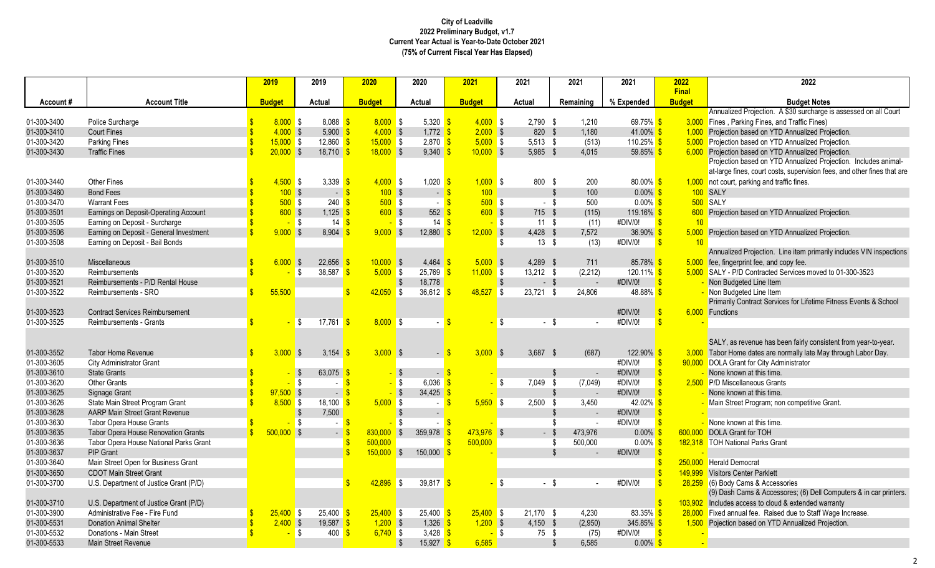|             |                                         | 2019          | 2019                         | 2020                       | 2020                        | 2021          | 2021                   | 2021                     | 2021                          | 2022                    | 2022                                                                    |
|-------------|-----------------------------------------|---------------|------------------------------|----------------------------|-----------------------------|---------------|------------------------|--------------------------|-------------------------------|-------------------------|-------------------------------------------------------------------------|
|             | <b>Account Title</b>                    | <b>Budget</b> |                              | <b>Budget</b>              |                             | <b>Budget</b> |                        |                          | % Expended                    | Final<br><b>Budget</b>  | <b>Budget Notes</b>                                                     |
| Account#    |                                         |               | Actual                       |                            | Actual                      |               | Actual                 | Remaining                |                               |                         | Annualized Projection. A \$30 surcharge is assessed on all Court        |
| 01-300-3400 | Police Surcharge                        | 8.000S        | $8.088$ $\sqrt{\frac{5}{5}}$ | $8,000$ \$                 | $5.320$ $\sqrt{\frac{5}{}}$ | $4,000$ \$    | $2.790$ \$             | 1.210                    | 69.75% \$                     |                         | 3,000 Fines, Parking Fines, and Traffic Fines)                          |
| 01-300-3410 | <b>Court Fines</b>                      | $4,000$ \$    | 5,900                        | $4,000$ \$                 | $1,772$ \$                  | $2,000$ \$    | 820 \$                 | 1,180                    | 41.00% \$                     |                         | 1,000 Projection based on YTD Annualized Projection.                    |
| 01-300-3420 | <b>Parking Fines</b>                    | $15,000$ \$   | 12.860                       | $15,000$ \$                | $2.870$ \$                  | $5,000$ \$    | $5.513$ \$             | (513)                    | 110.25% \$                    |                         | 5,000 Projection based on YTD Annualized Projection.                    |
| 01-300-3430 | <b>Traffic Fines</b>                    | $20,000$ \$   | 18,710                       | $18,000$ \$                | 9,340                       | $10,000$ \$   | 5,985 \$               | 4,015                    | 59.85% \$                     |                         | 6,000 Projection based on YTD Annualized Projection.                    |
|             |                                         |               |                              |                            |                             |               |                        |                          |                               |                         | Projection based on YTD Annualized Projection. Includes animal-         |
|             |                                         |               |                              |                            |                             |               |                        |                          |                               |                         | at-large fines, court costs, supervision fees, and other fines that are |
| 01-300-3440 | Other Fines                             | $4,500$ \$    | 3,339 $\frac{1}{5}$          | $4,000$ \$                 | $1,020$ \$                  | $1,000$ \$    | 800 \$                 | 200                      | 80.00% \$                     |                         | 1,000 not court, parking and traffic fines.                             |
| 01-300-3460 | <b>Bond Fees</b>                        | 100S          | $\sim$                       | 100S<br>$\mathbf{\hat{s}}$ | $ \sqrt{3}$                 | 100           |                        | $\mathbb{S}$<br>100      | $0.00\%$ \$                   |                         | 100 SALY                                                                |
| 01-300-3470 | <b>Warrant Fees</b>                     | 500S          | 240                          | 500S<br>-\$                | $ \mathbb{S}$               | 500S          | $-$ \$                 | 500                      | $0.00\%$ \$                   |                         | 500 SALY                                                                |
| 01-300-3501 | Earnings on Deposit-Operating Account   | $600$ \$      | 1,125                        | $600$ \$<br>S              | 552                         | $600$ \$      | 715 \$                 | (115)                    | 119.16% \$                    |                         | 600 Projection based on YTD Annualized Projection.                      |
| 01-300-3505 | Earning on Deposit - Surcharge          |               | l \$<br>14                   | -\$                        | 14S<br>- \$                 | - \$          | 11 \$                  | (11)                     | #DIV/0!                       | 10                      |                                                                         |
| 01-300-3506 | Earning on Deposit - General Investment | $9,000$ \$    | 8.904                        | 9.000 S                    | 12.880                      | $12,000$ \$   | $4.428$ \$             | 7,572                    | $36.90\%$ \$                  |                         | 5,000 Projection based on YTD Annualized Projection.                    |
| 01-300-3508 | Earning on Deposit - Bail Bonds         |               |                              |                            |                             |               | $13 \quad$ \$<br>-\$   | (13)                     | #DIV/0!                       | 10                      |                                                                         |
|             |                                         |               |                              |                            |                             |               |                        |                          |                               |                         | Annualized Projection. Line item primarily includes VIN inspections     |
| 01-300-3510 | Miscellaneous                           | 6,000         | \$<br>22,656                 | 10,000                     | 4,464<br>$\sqrt{S}$         | $5,000$ \$    | $4,289$ \$             | 711                      | 85.78% \$                     |                         | 5,000 fee, fingerprint fee, and copy fee.                               |
| 01-300-3520 | Reimbursements                          |               | S.<br>38,587                 | $5,000$ \$                 | $25,769$ \$                 | $11,000$ \$   | $13,212$ \$            | (2, 212)                 | $120.11\%$ \$                 |                         | 5,000 SALY - P/D Contracted Services moved to 01-300-3523               |
| 01-300-3521 | Reimbursements - P/D Rental House       |               |                              |                            | -\$<br>18.778               |               | $\sqrt[6]{3}$          | $-$ \$                   | #DIV/0!                       | $\mathbf{s}$            | - Non Budgeted Line Item                                                |
| 01-300-3522 | Reimbursements - SRO                    | 55,500        |                              | 42,050                     | <b>\$</b><br>36,612         | 48,527        | l \$<br>$23,721$ \$    | 24,806                   | 48.88% \$                     |                         | - Non Budgeted Line Item                                                |
|             |                                         |               |                              |                            |                             |               |                        |                          |                               |                         | Primarily Contract Services for Lifetime Fitness Events & School        |
| 01-300-3523 | <b>Contract Services Reimbursement</b>  |               |                              |                            |                             |               |                        |                          | #DIV/0!                       |                         | 6.000 Functions                                                         |
| 01-300-3525 | <b>Reimbursements - Grants</b>          |               | S.<br>17,761                 | $8,000$ \$<br>-S           |                             |               | -\$                    | - \$                     | #DIV/0!                       |                         |                                                                         |
|             |                                         |               |                              |                            |                             |               |                        |                          |                               |                         | SALY, as revenue has been fairly consistent from year-to-year.          |
| 01-300-3552 | <b>Tabor Home Revenue</b>               | $3,000$ \$    | 3,154                        | $3,000$ \$<br>ß            | $-$ \$                      | $3,000$ \$    | $3,687$ \$             | (687)                    | $122.90\%$ \$                 |                         | 3,000 Tabor Home dates are normally late May through Labor Day.         |
| 01-300-3605 | City Administrator Grant                |               |                              |                            |                             |               |                        |                          | #DIV/0!                       |                         | 90,000 DOLA Grant for City Administrator                                |
| 01-300-3610 | <b>State Grants</b>                     |               | $\sqrt{3}$<br>63,075         |                            | $-5$<br>$\sqrt{3}$          |               |                        | \$<br>$\sim$             | #DIV/0!                       | $\overline{\mathbf{S}}$ | None known at this time.                                                |
| 01-300-3620 | <b>Other Grants</b>                     |               | S.                           | <b>S</b>                   | l \$<br>6,036               |               | $\sqrt{3}$<br>7,049 \$ | (7,049)                  | #DIV/0!                       |                         | 2.500 P/D Miscellaneous Grants                                          |
| 01-300-3625 | Signage Grant                           | $97,500$ \$   | $\sim$                       | \$.                        | $-$ \$<br>34.425            |               |                        | $\mathfrak{L}$           | #DIV/0!                       |                         | None known at this time.                                                |
| 01-300-3626 | State Main Street Program Grant         | $8,500$ \$    | 18,100                       | $5,000$ \$                 |                             | $5,950$ \$    | $2,500$ \$             | 3,450                    | 42.02% \$                     |                         | Main Street Program; non competitive Grant.                             |
| 01-300-3628 | <b>AARP Main Street Grant Revenue</b>   |               | $\mathfrak{S}$<br>7,500      |                            | $\sim$                      |               |                        | $\mathfrak{S}$<br>$\sim$ | #DIV/0!                       |                         |                                                                         |
| 01-300-3630 | Tabor Opera House Grants                |               | -\$<br>$\sim$                | $\mathbf{\$}$              | -\$<br>$\sim$               |               |                        | \$                       | #DIV/0!                       |                         | - None known at this time.                                              |
| 01-300-3635 | Tabor Opera House Renovation Grants     | $500,000$ \$  | $-5$                         | 830,000                    | $\mathfrak{S}$<br>359,978   | $473,976$ \$  |                        | $-$ \$<br>473,976        | $0.00\%$                      |                         | 600,000 DOLA Grant for TOH                                              |
| 01-300-3636 | Tabor Opera House National Parks Grant  |               |                              | 500,000                    |                             | 500.000       |                        | 500,000<br>\$            | $0.00\%$ \$                   |                         | 182,318 TOH National Parks Grant                                        |
| 01-300-3637 | <b>PIP Grant</b>                        |               |                              | \$.<br>150,000             | 150,000<br>-\$              |               |                        | $\mathfrak{L}$           | #DIV/0!<br>$\mathbf{\hat{S}}$ |                         |                                                                         |
| 01-300-3640 | Main Street Open for Business Grant     |               |                              |                            |                             |               |                        |                          |                               | 250,000                 | <b>Herald Democrat</b>                                                  |
| 01-300-3650 | <b>CDOT Main Street Grant</b>           |               |                              |                            |                             |               |                        |                          |                               | 149.999                 | <b>Visitors Center Parklett</b>                                         |
| 01-300-3700 | U.S. Department of Justice Grant (P/D)  |               |                              | 42,896                     | \$<br>39,817 $\frac{\ }{8}$ |               | l \$                   | $-$ \$                   | #DIV/0!                       |                         | 28,259 (6) Body Cams & Accessories                                      |
|             |                                         |               |                              |                            |                             |               |                        |                          |                               |                         | (9) Dash Cams & Accessores; (6) Dell Computers & in car printers.       |
| 01-300-3710 | U.S. Department of Justice Grant (P/D)  |               |                              |                            |                             |               |                        |                          |                               |                         | 103,902 Includes access to cloud & extended warranty                    |
| 01-300-3900 | Administrative Fee - Fire Fund          | $25,400$ \$   | 25,400                       | $25,400$ \$                | $25,400$ \$                 | $25,400$ \$   | $21,170$ \$            | 4,230                    | 83.35% <mark>\$</mark>        |                         | 28,000 Fixed annual fee. Raised due to Staff Wage Increase.             |
| 01-300-5531 | <b>Donation Animal Shelter</b>          | 2.400S        | 19,587                       | $1,200$ \$                 | $1,326$ \$                  | $1,200$ \$    | $4,150$ \$             | (2,950)                  | 345.85% \$                    |                         | 1,500 Pojection based on YTD Annualized Projection.                     |
| 01-300-5532 | Donations - Main Street                 |               | 400<br>l \$                  | $6,740$ \$<br>- Տ          | $3,428$ \$                  | - \$          | 75 \$                  | (75)                     | #DIV/0!                       |                         |                                                                         |
| 01-300-5533 | <b>Main Street Revenue</b>              |               |                              |                            | $15,927$ \$<br>-\$          | 6,585         |                        | \$<br>6,585              | $0.00\%$ \$                   |                         |                                                                         |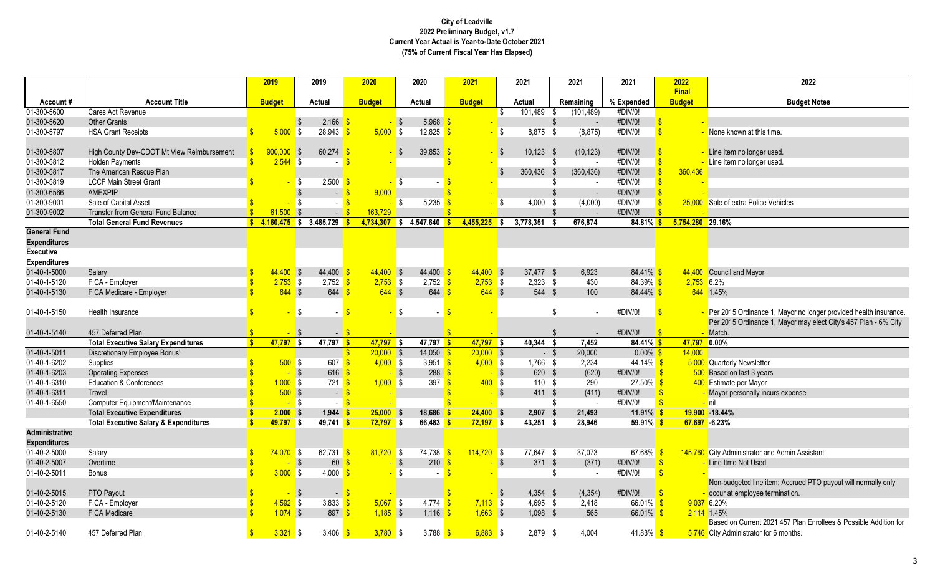|                              |                                                  |                    | 2019                     | 2019                                     | 2020                         | 2020                         | 2021                     | 2021                         | 2021                     | 2021                      | 2022               | 2022                                                             |
|------------------------------|--------------------------------------------------|--------------------|--------------------------|------------------------------------------|------------------------------|------------------------------|--------------------------|------------------------------|--------------------------|---------------------------|--------------------|------------------------------------------------------------------|
|                              |                                                  |                    |                          |                                          |                              |                              |                          |                              |                          |                           | <b>Final</b>       |                                                                  |
| Account#<br>01-300-5600      | <b>Account Title</b><br>Cares Act Revenue        |                    | <b>Budget</b>            | Actual                                   | <b>Budget</b>                | Actual                       | <b>Budget</b>            | Actual<br>$101,489$ \$<br>\$ | Remaining<br>(101, 489)  | % Expended<br>#DIV/0!     | <b>Budget</b>      | <b>Budget Notes</b>                                              |
| 01-300-5620                  | <b>Other Grants</b>                              |                    |                          | 2,166<br>\$                              |                              | 5,968<br>-\$                 |                          |                              | $\mathfrak{L}$<br>$\sim$ | #DIV/0!                   |                    |                                                                  |
| 01-300-5797                  | <b>HSA Grant Receipts</b>                        | $\mathbf{s}$       | 5.000                    | 28,943<br>l \$                           | 5.000 S                      | 12,825                       |                          | 8.875 \$<br><b>S</b>         | (8, 875)                 | #DIV/0!                   | $\mathbf{\$}$      | None known at this time.                                         |
|                              |                                                  |                    |                          |                                          |                              |                              |                          |                              |                          |                           |                    |                                                                  |
| 01-300-5807                  | High County Dev-CDOT Mt View Reimbursement       |                    | 900.000                  | 60,274<br>$\mathbf{\hat{s}}$             |                              | 39,853<br>$\mathbf{\hat{s}}$ |                          | $10,123$ \$<br>$\sqrt{S}$    | (10, 123)                | #DIV/0!                   |                    | Line item no longer used.                                        |
| 01-300-5812                  | <b>Holden Payments</b>                           | $\mathbf{\hat{S}}$ | $2,544$ \$               | $\sim$                                   |                              |                              |                          |                              | \$                       | #DIV/0!                   | $\mathbf{\hat{s}}$ | Line item no longer used.                                        |
| 01-300-5817                  | The American Rescue Plan                         |                    |                          |                                          |                              |                              |                          | 360.436 \$<br>-\$            | (360, 436)               | #DIV/0!                   | 360,436            |                                                                  |
| 01-300-5819                  | <b>LCCF Main Street Grant</b>                    |                    |                          | 2,500<br>\$                              | <mark>-</mark> \$            |                              |                          |                              | \$                       | #DIV/0!                   |                    |                                                                  |
| 01-300-6566                  | <b>AMEXPIP</b>                                   |                    |                          | $\sqrt[6]{\frac{1}{2}}$<br>$-$ \$        | 9.000                        |                              |                          |                              | $\mathfrak{S}$<br>$\sim$ | #DIV/0!                   |                    |                                                                  |
| 01-300-9001                  | Sale of Capital Asset                            |                    |                          | \$<br>$\mathbf{u}$                       |                              | 5,235<br>- \$                |                          | $\sqrt{3}$<br>4,000 \$       | (4,000)                  | #DIV/0!                   | 25,000             | Sale of extra Police Vehicles                                    |
| 01-300-9002                  | Transfer from General Fund Balance               |                    | 61.500                   | S.<br>$\sim$                             | $\sqrt{3}$<br>163.729        |                              |                          |                              |                          | #DIV/0!                   |                    |                                                                  |
|                              | <b>Total General Fund Revenues</b>               |                    |                          | $\frac{1}{2}$ 4,160,475 \$ 3,485,729     | 4,734,307                    | $\frac{1}{2}$ \$ 4,547,640   | 4.455.225                | 3,778,351<br>l S             | 676.874                  | $84.81\%$ \$              | 5,754,280 29.16%   |                                                                  |
| <b>General Fund</b>          |                                                  |                    |                          |                                          |                              |                              |                          |                              |                          |                           |                    |                                                                  |
| <b>Expenditures</b>          |                                                  |                    |                          |                                          |                              |                              |                          |                              |                          |                           |                    |                                                                  |
| <b>Executive</b>             |                                                  |                    |                          |                                          |                              |                              |                          |                              |                          |                           |                    |                                                                  |
| <b>Expenditures</b>          |                                                  |                    |                          |                                          |                              |                              |                          |                              |                          |                           |                    |                                                                  |
| 01-40-1-5000                 | Salary                                           | $\mathbf{s}$       | $44.400$ \$              | 44,400                                   | $44,400$ \$                  | $44,400$ \$                  | $44,400$ \$              | 37,477 \$                    | 6,923                    | $84.41\%$ \$              |                    | 44,400 Council and Mayor                                         |
| 01-40-1-5120                 | FICA - Employer                                  |                    | $2,753$ \$               | $2,752$ \$                               | $2,753$ \$                   | $2,752$ \$                   | $2,753$ \$               | $2,323$ \$                   | 430                      | $84.39\%$ \$              | $2,753$ 6.2%       |                                                                  |
| 01-40-1-5130                 | FICA Medicare - Employer                         | $\mathbf{R}$       | $644$ \$                 | 644                                      | $644$ \$                     | $644$ \$                     | $644$ \$                 | 544 \$                       | 100                      | $84.44\%$ \$              |                    | 644 1.45%                                                        |
|                              |                                                  |                    |                          |                                          |                              |                              |                          |                              |                          |                           |                    |                                                                  |
| 01-40-1-5150                 | Health Insurance                                 |                    |                          | \$                                       | -\$                          | <b>\$</b>                    |                          |                              | \$                       | #DIV/0!                   |                    | Per 2015 Ordinance 1, Mayor no longer provided health insurance. |
|                              |                                                  |                    |                          |                                          |                              |                              |                          |                              |                          |                           |                    | Per 2015 Ordinance 1, Mayor may elect City's 457 Plan - 6% City  |
| 01-40-1-5140                 | 457 Deferred Plan                                |                    |                          | $\sqrt{3}$<br>$-$ \$                     |                              |                              |                          |                              | \$                       | #DIV/0!                   |                    | Match                                                            |
|                              | <b>Total Executive Salary Expenditures</b>       |                    | $47,797$ \$              | $47,797$ \$                              | $47,797$ \$                  | $47,797$ \$                  | $47,797$ \$              | 40,344                       | 7,452<br>-S              | $84.41\%$ \$              | 47,797 0.00%       |                                                                  |
| 01-40-1-5011                 | Discretionary Employee Bonus'                    |                    |                          |                                          | $20,000$ \$<br>$\mathbf{\$}$ | $14,050$ \$                  | $20,000$ \$              | $-$ \$                       | 20,000                   | $0.00\%$ \$               | 14,000             |                                                                  |
| 01-40-1-6202                 | Supplies                                         |                    | $500$ \$                 | 607                                      | $4,000$ \$                   | 3,951 $\frac{1}{5}$          | $4,000$ \$               | 1,766 \$                     | 2,234                    | $44.14\%$ \$              |                    | 5,000 Quarterly Newsletter                                       |
| 01-40-1-6203                 | <b>Operating Expenses</b>                        |                    |                          | $\sqrt{3}$<br>$616$ $\sqrt{\frac{5}{2}}$ | $-$ \$                       | $288$ $\frac{\ }{\ }$        | $-$ \$                   | 620 \$                       | (620)                    | #DIV/0!                   | $\mathsf{S}$       | 500 Based on last 3 years                                        |
| 01-40-1-6310                 | <b>Education &amp; Conferences</b>               |                    | $1,000$ \$               | $721$ $\sqrt{\frac{6}{5}}$               | $1,000$ \$                   | 397                          | $400$ \$<br>$\mathsf{s}$ | 110S                         | 290                      | $27.50\%$ \$              |                    | 400 Estimate per Mayor                                           |
| 01-40-1-6311                 | <b>Travel</b>                                    |                    | $500$ \$                 | $-$ \$                                   |                              |                              | $-$ \$                   | 411 \$                       | (411)                    | #DIV/0!                   |                    | Mayor personally incurs expense                                  |
| 01-40-1-6550                 | Computer Equipment/Maintenance                   |                    | $-$ \$                   | $ \frac{8}{5}$                           |                              |                              |                          |                              | \$                       | #DIV/0!                   | $\mathbf{R}$       | <mark>– </mark> nil                                              |
|                              | <b>Total Executive Expenditures</b>              | s.                 | $2,000$ \$               | $1,944$ \$                               | $25,000$ \$                  | $18,686$ \$                  | $24,400$ \$              | $2,907$ \$                   | 21,493                   | $11.91\%$ \$              |                    | 19,900 -18.44%                                                   |
|                              | <b>Total Executive Salary &amp; Expenditures</b> |                    | $49,797$ \$              | 49,741                                   | 72,797                       | 66,483<br>- \$               | 72,197                   | 43,251<br>l \$               | 28,946                   | 59.91%                    |                    | 67,697 -6.23%                                                    |
| <b>Administrative</b>        |                                                  |                    |                          |                                          |                              |                              |                          |                              |                          |                           |                    |                                                                  |
| <b>Expenditures</b>          |                                                  |                    |                          |                                          |                              |                              |                          |                              |                          |                           |                    |                                                                  |
| 01-40-2-5000                 | Salarv                                           |                    | 74.070 S                 | 62,731                                   | $81,720$ \$                  | $74,738$ \$                  | $114,720$ \$             | 77,647 \$                    | 37,073                   | 67.68% \$                 |                    | 145,760 City Administrator and Admin Assistant                   |
| 01-40-2-5007                 | Overtime                                         | $\mathbf{S}$       |                          | 60<br>- \$                               |                              | $\mathsf{s}$<br>210<br>l \$  |                          | $\mathsf{s}$<br>371 \$       | (371)                    | #DIV/0!                   | $\mathbf{s}$       | Line Itme Not Used                                               |
| 01-40-2-5011                 | Bonus                                            |                    | 3,000                    | \$<br>4,000                              |                              |                              |                          |                              | \$                       | #DIV/0!                   |                    | Non-budgeted line item; Accrued PTO payout will normally only    |
|                              |                                                  |                    |                          |                                          |                              |                              |                          |                              |                          |                           |                    |                                                                  |
| 01-40-2-5015                 | PTO Payout                                       |                    |                          | $\sqrt{3}$<br>- \$                       |                              |                              | $-$ \$                   | $4,354$ \$<br>4,695 \$       | (4, 354)                 | #DIV/0!                   |                    | occur at employee termination.                                   |
| 01-40-2-5120<br>01-40-2-5130 | FICA - Employer<br><b>FICA Medicare</b>          | $\hat{\mathbf{S}}$ | $4,592$ \$<br>$1,074$ \$ | 3,833 $\frac{1}{5}$<br>$897$ $\sqrt$$    | $5,067$ \$<br>$1,185$ \$     | $4.774$ \$<br>$1,116$ \$     | $7,113$ \$<br>$1,663$ \$ | $1,098$ \$                   | 2,418<br>565             | $66.01\%$ \$<br>66.01% \$ |                    | 9,037 6.20%<br>2,114 1.45%                                       |
|                              |                                                  |                    |                          |                                          |                              |                              |                          |                              |                          |                           |                    | Based on Current 2021 457 Plan Enrollees & Possible Addition for |
| 01-40-2-5140                 | 457 Deferred Plan                                | $\mathbf{s}$       | $3,321$ \$               | 3,406                                    | $3,780$ \$<br>$\mathbf{s}$   | 3,788 $\frac{\ }{\ }$        | $6,883$ \$               | 2,879 \$                     | 4,004                    | 41.83% \$                 |                    | 5,746 City Administrator for 6 months.                           |
|                              |                                                  |                    |                          |                                          |                              |                              |                          |                              |                          |                           |                    |                                                                  |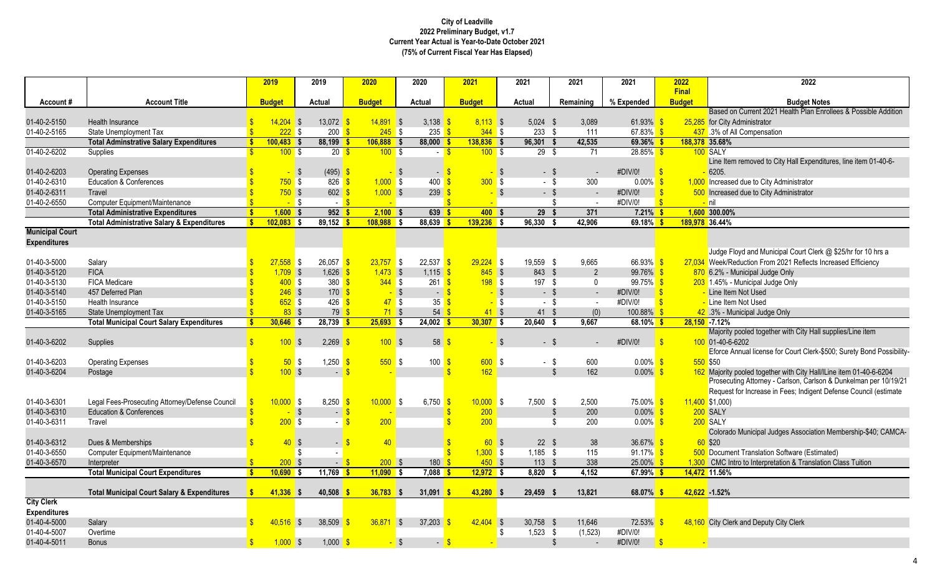|                              |                                                                            |               | 2019                 | 2019                                   | 2020                |               | 2020                      | 2021                    |                | 2021                   |                | 2021           | 2021                    | 2022                          | 2022                                                                  |
|------------------------------|----------------------------------------------------------------------------|---------------|----------------------|----------------------------------------|---------------------|---------------|---------------------------|-------------------------|----------------|------------------------|----------------|----------------|-------------------------|-------------------------------|-----------------------------------------------------------------------|
| Account#                     | <b>Account Title</b>                                                       |               | <b>Budget</b>        | Actual                                 | <b>Budget</b>       |               | Actual                    | <b>Budget</b>           |                | Actual                 |                | Remaining      | % Expended              | <b>Final</b><br><b>Budget</b> | <b>Budget Notes</b>                                                   |
|                              |                                                                            |               |                      |                                        |                     |               |                           |                         |                |                        |                |                |                         |                               | Based on Current 2021 Health Plan Enrollees & Possible Addition       |
| 01-40-2-5150                 | Health Insurance                                                           |               | $14,204$ \$          | 13,072                                 |                     | $14,891$ \$   | 3,138                     | $8,113$ \$              |                | $5,024$ \$             |                | 3,089          | 61.93%                  |                               | 25,285 for City Administrator                                         |
| 01-40-2-5165                 | State Unemployment Tax                                                     |               | $222$ \$             | $200 \text{ s}$                        |                     | $245$ \$      | $235$ $\frac{6}{5}$       | $344$ \$                |                | 233S                   |                | 111            | 67.83%                  |                               | 437 .3% of All Compensation                                           |
|                              | <b>Total Adminstrative Salary Expenditures</b>                             | $\mathbf{s}$  | $100,483$ \$         | 88,199                                 | $106,888$ \$<br>- 5 |               | $88,000$ \$               | $138,836$ \$            |                | 96,301                 | -\$            | 42,535         | 69.36%                  |                               | 188,378 35.68%                                                        |
| 01-40-2-6202                 | Supplies                                                                   |               | 100S                 |                                        | $20 \frac{1}{5}$    | 100S          | $-5$                      | 100S                    |                | 29 <sup>5</sup>        |                | 71             | $28.85\%$ \$            |                               | 100 SALY                                                              |
|                              |                                                                            |               |                      |                                        |                     |               |                           |                         |                |                        |                |                |                         |                               | Line Item removed to City Hall Expenditures, line item 01-40-6-       |
| 01-40-2-6203                 | <b>Operating Expenses</b>                                                  |               |                      | (495)<br>$\sqrt{3}$                    |                     | $-$ \$        | $-$ \$                    |                         | $-$ \$         | $-$ \$                 |                | $\sim$         | #DIV/0!                 | $\mathbf{S}$                  | <mark>-</mark> 6205.                                                  |
| 01-40-2-6310                 | <b>Education &amp; Conferences</b>                                         |               | 750S                 | $826$ $\sqrt{\frac{6}{5}}$             |                     | $1,000$ \$    | 400                       | 300S<br>l \$            |                | - \$                   |                | 300            | $0.00\%$                | -\$                           | 1,000 Increased due to City Administrator                             |
| 01-40-2-6311                 | Travel                                                                     |               | $750$ \$             | $602 - $$                              |                     | $1,000$ \$    | $239 - $$                 |                         | $-$ \$         | $-$ \$                 |                | $\sim$         | #DIV/0!                 |                               | 500 Increased due to City Administrator                               |
| 01-40-2-6550                 | Computer Equipment/Maintenance                                             |               | $-$ \$               |                                        | $ \sqrt{3}$         | <b>Call</b>   |                           | <sup>\$</sup><br>$\sim$ |                |                        | \$             | $\sim$         | #DIV/0!                 | $\mathbf{S}$                  | $-$ nil                                                               |
|                              | <b>Total Administrative Expenditures</b>                                   | <b>S</b>      | $1.600$ \$           | 952S                                   |                     | 2.100 S       | 639S                      | 400S                    |                | 29S                    |                | 371            | $7.21\%$ \$             |                               | 1,600 300.00%                                                         |
|                              | <b>Total Administrative Salary &amp; Expenditures</b>                      | $\bullet$     | $102,083$ \$         | $89,152$ \$                            | $108,988$ \$        |               | $88,639$ \$               | $139,236$ \$            |                | 96,330                 |                | 42,906         | 69.18%                  |                               | 189,978 36.44%                                                        |
| <b>Municipal Court</b>       |                                                                            |               |                      |                                        |                     |               |                           |                         |                |                        |                |                |                         |                               |                                                                       |
| <b>Expenditures</b>          |                                                                            |               |                      |                                        |                     |               |                           |                         |                |                        |                |                |                         |                               |                                                                       |
|                              |                                                                            |               |                      |                                        |                     |               |                           |                         |                |                        |                |                |                         |                               | Judge Floyd and Municipal Court Clerk @ \$25/hr for 10 hrs a          |
| 01-40-3-5000                 | Salary                                                                     |               | $27,558$ \$          | 26,057                                 |                     | $23,757$ \$   | $22,537$ \$               | $29,224$ \$             |                | 19,559 \$              |                | 9,665          | 66.93%                  |                               | 27,034 Week/Reduction From 2021 Reflects Increased Efficiency         |
| 01-40-3-5120                 | <b>FICA</b>                                                                |               | $1,709$ \$           | 1,626                                  | -S                  | $1,473$ \$    | 1,115                     | $845$ \$                |                | 843 \$                 |                | $\overline{2}$ | 99.76%                  |                               | 870 6.2% - Municipal Judge Only                                       |
| 01-40-3-5130                 | <b>FICA Medicare</b>                                                       |               | 400S                 | 380 <sup>8</sup>                       |                     | 344S          | $261$ $\sqrt{\frac{5}{}}$ | 198S                    |                | 197 \$                 |                | $\Omega$       | $99.75\%$ \$            | $\mathbf{R}$                  | 203 1.45% - Municipal Judge Only                                      |
| 01-40-3-5140<br>01-40-3-5150 | 457 Deferred Plan                                                          |               | $246$ \$<br>$652$ \$ | $170$ \$<br>$426$ $\sqrt{\frac{6}{5}}$ |                     | $-$ \$<br>47S | $-5$<br>35S               |                         | $-$ \$<br>l \$ | $-$ \$<br>- \$         |                | $\sim$         | #DIV/0!<br>#DIV/0!      | $\mathbf{\hat{s}}$            | Line Item Not Used<br>Line Item Not Used                              |
| 01-40-3-5165                 | Health Insurance                                                           |               | $83$ \$              |                                        |                     | $71$ \$       |                           | $41$ \$                 |                |                        |                | $\sim$         |                         |                               |                                                                       |
|                              | State Unemployment Tax<br><b>Total Municipal Court Salary Expenditures</b> | S             | $30,646$ \$          | $28,739$ \$                            | 79 <sup>8</sup>     | $25,693$ \$   | 54<br>$24,002$ \$         | $30,307$ \$             |                | $41 \quad $$<br>20,640 |                | (0)<br>9,667   | 100.88%<br>$68.10\%$ \$ |                               | 42 .3% - Municipal Judge Only<br>$28,150 - 7.12%$                     |
|                              |                                                                            |               |                      |                                        |                     |               |                           |                         |                |                        |                |                |                         |                               | Majority pooled together with City Hall supplies/Line item            |
| 01-40-3-6202                 | Supplies                                                                   |               | 100S                 | 2,269                                  |                     | 100S          | 58                        |                         | $\sqrt{S}$     | $-$ \$                 |                |                | #DIV/0!                 |                               | 100 01-40-6-6202                                                      |
|                              |                                                                            |               |                      |                                        |                     |               |                           |                         |                |                        |                |                |                         |                               | Eforce Annual license for Court Clerk-\$500; Surety Bond Possibility- |
| 01-40-3-6203                 | <b>Operating Expenses</b>                                                  |               | $50°$ \$             | 1,250                                  |                     | $550$ \$      | $100 \frac{S}{S}$         | 600S                    |                | $-$ \$                 |                | 600            | $0.00\%$                |                               | 550 \$50                                                              |
| 01-40-3-6204                 | Postage                                                                    |               | 100S                 |                                        | <b>S</b>            |               |                           | 162<br>\$.              |                |                        | $\mathfrak{L}$ | 162            | $0.00\%$                |                               | 162 Majority pooled together with City Hall/ILine item 01-40-6-6204   |
|                              |                                                                            |               |                      |                                        |                     |               |                           |                         |                |                        |                |                |                         |                               | Prosecuting Attorney - Carlson, Carlson & Dunkelman per 10/19/21      |
|                              |                                                                            |               |                      |                                        |                     |               |                           |                         |                |                        |                |                |                         |                               | Request for Increase in Fees; Indigent Defense Council (estimate      |
| 01-40-3-6301                 | Legal Fees-Prosecuting Attorney/Defense Council                            |               | $10,000$ \$          | $8,250$ $\sqrt{\frac{6}{5}}$           |                     | $10,000$ \$   | 6,750 $\frac{1}{5}$       | $10,000$ \$             |                | $7.500$ \$             |                | 2.500          | 75.00%                  |                               | $11,400$ \$1,000)                                                     |
| 01-40-3-6310                 | <b>Education &amp; Conferences</b>                                         |               |                      | <b>\$</b>                              | -S                  |               |                           | 200                     |                |                        | \$             | 200            | $0.00\%$                |                               | 200 SALY                                                              |
| 01-40-3-6311                 | Travel                                                                     |               | 200S                 | $\sim$ 10 $\pm$                        | -S                  | 200           |                           | 200                     |                |                        | \$.            | 200            | $0.00\%$                | -\$                           | 200 SALY                                                              |
|                              |                                                                            |               |                      |                                        |                     |               |                           |                         |                |                        |                |                |                         |                               | Colorado Municipal Judges Association Membership-\$40; CAMCA-         |
| 01-40-3-6312                 | Dues & Memberships                                                         |               | 40 <sup>°</sup>      | $\sqrt{3}$<br>$\sim$ 1                 | <b>S</b>            | 40            |                           | 60S                     |                | $22 \quad $$           |                | 38             | 36.67%                  |                               | $60$ \$20                                                             |
| 01-40-3-6550                 | Computer Equipment/Maintenance                                             |               |                      | - \$                                   |                     |               |                           | $1,300$ \$              |                | $1,185$ \$             |                | 115            | 91.17%                  | - \$                          | <b>500</b> Document Translation Software (Estimated)                  |
| 01-40-3-6570                 | Interpreter                                                                |               | 200S                 |                                        | $ \frac{8}{5}$      | $200$ \$      | 180                       | $450$ \$<br>ぷ           |                | $113 \tIm$             |                | 338            | 25.00%                  |                               | 1,300 CMC Intro to Interpretation & Translation Class Tuition         |
|                              | <b>Total Municipal Court Expenditures</b>                                  | -\$           | $10,690$ \$          | $11,769$ \$                            |                     | $11,090$ \$   | 7,088                     | $12,972$ \$             |                | 8.820 \$               |                | 4,152          | 67.99%                  |                               | 14,472 11.56%                                                         |
|                              |                                                                            |               |                      |                                        |                     |               |                           |                         |                |                        |                |                |                         |                               |                                                                       |
|                              | <b>Total Municipal Court Salary &amp; Expenditures</b>                     | $\mathbf{s}$  | $41,336$ \$          | 40,508                                 |                     | $36,783$ \$   | 31,091                    | $43,280$ \$             |                | 29,459 \$              |                | 13,821         | 68.07%                  |                               | 42,622 -1.52%                                                         |
| <b>City Clerk</b>            |                                                                            |               |                      |                                        |                     |               |                           |                         |                |                        |                |                |                         |                               |                                                                       |
| <b>Expenditures</b>          |                                                                            |               |                      |                                        |                     |               |                           |                         |                |                        |                |                |                         |                               |                                                                       |
| 01-40-4-5000                 | Salary                                                                     |               | $40.516$ \$          | 38.509                                 | 36.871              | $\sqrt{S}$    | 37.203                    | $42,404$ \$             |                | 30.758 \$              |                | 11.646         | <b>72.53%</b>           |                               | 48,160 City Clerk and Deputy City Clerk                               |
| 01-40-4-5007                 | Overtime                                                                   |               |                      |                                        |                     |               |                           |                         | -\$            | $1,523$ \$             |                | (1, 523)       | #DIV/0!                 |                               |                                                                       |
| 01-40-4-5011                 | <b>Bonus</b>                                                               | $\mathbf{\$}$ | $1,000$ \$           | 1,000                                  | <b>S</b>            | $-$ \$        | $-5$                      |                         |                |                        | $\mathfrak{L}$ |                | #DIV/0!                 | $\mathbf{s}$                  |                                                                       |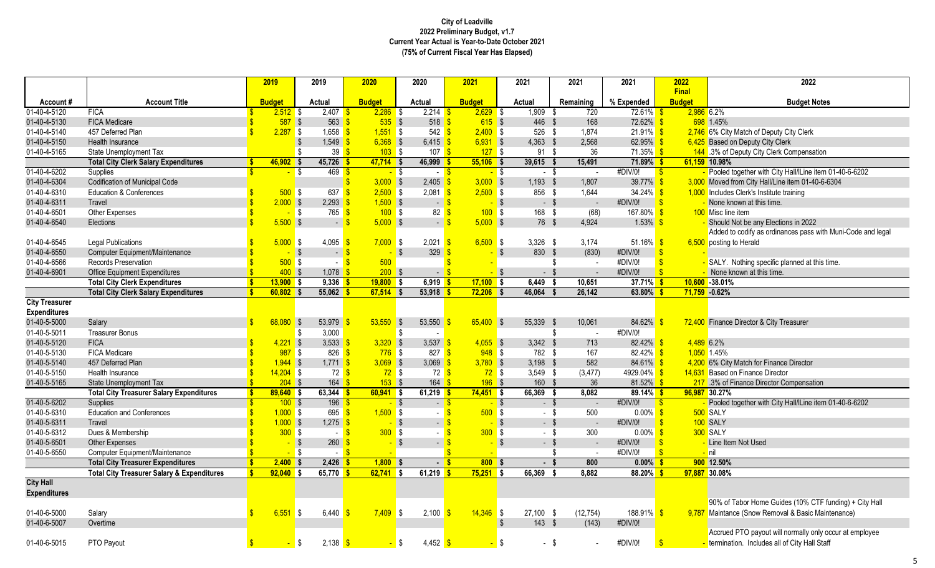|                          |                                                       | 2019          |                    | 2019                             | 2020                        | 2020                              | 2021                         | 2021                  | 2021             | 2021                          | 2022                          | 2022                                                                      |
|--------------------------|-------------------------------------------------------|---------------|--------------------|----------------------------------|-----------------------------|-----------------------------------|------------------------------|-----------------------|------------------|-------------------------------|-------------------------------|---------------------------------------------------------------------------|
|                          |                                                       |               |                    |                                  |                             |                                   |                              |                       |                  |                               | <b>Final</b><br><b>Budget</b> |                                                                           |
| Account#<br>01-40-4-5120 | <b>Account Title</b><br><b>FICA</b>                   | <b>Budget</b> | $2,512$ \$         | Actual<br>2,407                  | <b>Budget</b><br>$2,286$ \$ | Actual<br>$2,214$ \$              | <b>Budget</b><br>$2,629$ \$  | Actual<br>$1,909$ \$  | Remaining<br>720 | % Expended<br><b>72.61%</b>   | $2,986$ 6.2%<br>- \$          | <b>Budget Notes</b>                                                       |
| 01-40-4-5130             | <b>FICA Medicare</b>                                  |               | $587$ \$           | 563                              | $535$ \$                    | $518$ $\frac{\text{S}}{\text{S}}$ | $615$ \$                     | 446 \$                | 168              | $72.62\%$ \$                  |                               | 698 1.45%                                                                 |
| 01-40-4-5140             | 457 Deferred Plan                                     |               | $2,287$ \$         | 1,658                            | $1,551$ \$<br>-S            | $542$ \$                          | $2,400$ \$                   | $526$ \$              | 1,874            | $21.91\%$ \$                  |                               | 2,746 6% City Match of Deputy City Clerk                                  |
| 01-40-4-5150             | Health Insurance                                      |               |                    | \$<br>1,549                      | $6,368$ \$                  | $6,415$ \$                        | $6,931$ \$                   | $4,363$ \$            | 2,568            | 62.95% \$                     |                               | 6,425 Based on Deputy City Clerk                                          |
| 01-40-4-5165             | State Unemployment Tax                                |               |                    | \$<br>39                         | $\mathbf{s}$<br>$103$ \$    | 107 <sup>o</sup>                  | 127S                         | $91 \quad$            | 36               | 71.35% <sup>S</sup>           |                               | 144 .3% of Deputy City Clerk Compensation                                 |
|                          | <b>Total City Clerk Salary Expenditures</b>           |               | 46,902             | 45,726                           | $47,714$ \$                 | $46,999$ \$                       | $55,106$ \$                  | 39.615 \$             | 15,491           | $71.89\%$ \$                  | 61,159 10.98%                 |                                                                           |
| 01-40-4-6202             | Supplies                                              |               |                    | 469<br>l \$                      | $-$ \$<br><b>S</b>          | $-5$                              | $-$ \$                       | $-$ \$                | $\sim$           | #DIV/0!<br>$\sqrt{5}$         |                               | - Pooled together with City Hall/ILine item 01-40-6-6202                  |
| 01-40-4-6304             | <b>Codification of Municipal Code</b>                 |               |                    |                                  | $3,000$ \$                  | $2,405$ \$                        | $3,000$ \$                   | $1,193$ \$            | 1,807            | 39.77% \$                     |                               | 3,000 Moved from City Hall/Line item 01-40-6-6304                         |
| 01-40-4-6310             | <b>Education &amp; Conferences</b>                    |               | $500$ \$           | 637                              | $2,500$ \$<br>$\mathbf{R}$  | $2,081$ \$                        | $2,500$ \$                   | 856 \$                | 1,644            | $34.24\%$ \$                  |                               | 1,000 Includes Clerk's Institute training                                 |
| 01-40-4-6311             | Travel                                                |               | $2,000$ \$         | 2,293                            | $1,500$ \$                  | $-$ \$                            | $-$ \$                       | $-$ \$                | $\sim$           | $\sqrt{s}$<br>#DIV/0!         |                               | - None known at this time.                                                |
| 01-40-4-6501             | Other Expenses                                        |               | $\sim$             | <b>S</b><br>765                  | 100S<br>$\sqrt{3}$          | $82 \frac{1}{5}$                  | $100$ \$                     | 168 \$                | (68)             | 167.80% <sup>S</sup>          |                               | 100 Misc line item                                                        |
| 01-40-4-6540             | Elections                                             |               | $5,500$ \$         | $\blacksquare$                   | $5,000$ \$<br><b>S</b>      | $-$ \$                            | $5,000$ \$                   | 76 \$                 | 4,924            | $1.53\%$ \$                   |                               | Should Not be any Elections in 2022                                       |
|                          |                                                       |               |                    |                                  |                             |                                   |                              |                       |                  |                               |                               | Added to codify as ordinances pass with Muni-Code and legal               |
| 01-40-4-6545             | <b>Legal Publications</b>                             |               | $5,000$ \$         | 4,095                            | $7,000$ \$<br>- \$          | $2,021$ \$                        | $6,500$ \$                   | $3,326$ \$            | 3,174            | 51.16% \$                     |                               | 6,500 posting to Herald                                                   |
| 01-40-4-6550             | <b>Computer Equipment/Maintenance</b>                 |               |                    | $\overline{\mathbf{S}}$<br>$-5$  | $-$ \$                      | $329$ $\sqrt{\frac{6}{5}}$        | $-$ \$                       | 830 \$                | (830)            | #DIV/0!<br>$\sqrt[3]{5}$      |                               |                                                                           |
| 01-40-4-6566             | Records Preservation                                  |               | $500$ \$           | $\sim$                           | $\sqrt{3}$<br>500           |                                   |                              |                       | \$<br>$\sim$     | #DIV/0!                       | $\sqrt{3}$                    | SALY. Nothing specific planned at this time.                              |
| 01-40-4-6901             | <b>Office Equipment Expenditures</b>                  |               | $400$ \$           | $1,078$ \$                       | $200$ \$                    | $ \sqrt{3}$                       | $-$ \$                       | - \$                  | $\sim$           | #DIV/0!                       | $\mathbf{s}$                  | None known at this time.                                                  |
|                          | <b>Total City Clerk Expenditures</b>                  |               | $13,900$ \$        | 9,336                            | $19,800$ \$<br>-\$          | $6,919$ \$                        | $17,100$ \$                  | $6,449$ \$            | 10,651           | $37.71\%$ \$                  |                               | $10,600 - 38.01%$                                                         |
|                          | <b>Total City Clerk Salary Expenditures</b>           |               | $60,802$ \$        | $55,062$ \$                      | $67,514$ \$                 | $53,918$ \$                       | $72,206$ \$                  | 46,064 \$             | 26,142           | $63.80\%$ \$                  | $71,759 -0.62%$               |                                                                           |
| <b>City Treasurer</b>    |                                                       |               |                    |                                  |                             |                                   |                              |                       |                  |                               |                               |                                                                           |
| <b>Expenditures</b>      |                                                       |               |                    |                                  |                             |                                   |                              |                       |                  |                               |                               |                                                                           |
| 01-40-5-5000             | Salary                                                |               | 68.080 \$          | 53,979                           | $53,550$ \$                 | 53,550                            | $65,400$ \$                  | 55.339 \$             | 10,061           | $84.62\%$ \$                  |                               | 72,400 Finance Director & City Treasurer                                  |
| 01-40-5-5011             | <b>Treasurer Bonus</b>                                |               |                    | \$<br>3,000                      |                             | S.                                |                              |                       | \$<br>$\sim$     | #DIV/0!                       |                               |                                                                           |
| 01-40-5-5120             | <b>FICA</b>                                           |               | 4,221              | $\overline{\mathbf{3}}$<br>3,533 | $3,320$ \$                  | 3,537                             | $4,055$ \$                   | $3.342$ \$            | 713              | 82.42%                        | 4,489 6.2%                    |                                                                           |
| 01-40-5-5130             | FICA Medicare                                         |               | $987$ \$           | 826                              | $\mathbf{s}$<br>$776$ \$    | 827 <sup>8</sup>                  | $948$ \$                     | 782 \$                | 167              | $82.42\%$ \$                  | 1,050 1.45%                   |                                                                           |
| 01-40-5-5140             | 457 Deferred Plan                                     |               | $1,944$ \$         | 1,771                            | $3,069$ \$<br><b>S</b>      | 3,069 $\frac{1}{5}$               | $3,780$ \$                   | $3,198$ \$            | 582              | $84.61\%$ \$                  |                               | 4,200 6% City Match for Finance Director                                  |
| 01-40-5-5150             | Health Insurance                                      |               | $14,204$ \$        | 72 <sup>8</sup>                  | $72$ \$                     | 72S                               | $72$ \$                      | $3.549$ \$            | (3, 477)         | 4929.04% \$                   |                               | 14,631 Based on Finance Director                                          |
| 01-40-5-5165             | State Unemployment Tax                                |               | $204$ \$           | $164$ \$                         | $153$ \$                    | $164$ $\sqrt{\frac{6}{5}}$        | $196$ \$                     | 160 \$                | 36               | 81.52% \$                     |                               | 217 .3% of Finance Director Compensation                                  |
| 01-40-5-6202             | <b>Total City Treasurer Salary Expenditures</b>       |               | $89,640$ \$        | $63,344$ \$<br>$196$ \$          | $60,941$ \$                 | $61,219$ \$                       | $74,451$ \$                  | 66,369 \$             | 8,082            | $89.14\%$ \$<br>#DIV/0!       |                               | 96,987 30.27%<br>- Pooled together with City Hall/ILine item 01-40-6-6202 |
| 01-40-5-6310             | Supplies<br><b>Education and Conferences</b>          |               | 100S<br>$1,000$ \$ | 695                              | $-$ \$<br>$1,500$ \$<br>-\$ | $-$ \$                            | $-$ \$<br>$500$ \$           | $-$ \$<br>- \$        | 500              | $\sqrt{S}$<br>$0.00\%$ \$     |                               | 500 SALY                                                                  |
| 01-40-5-6311             | <b>Travel</b>                                         |               | $1,000$ \$         | 1,275                            | $-$ \$<br>S                 | $\sim$ 11                         | $-$ \$                       | $-$ \$                | $\sim$           | #DIV/0!<br>$\sqrt{3}$         |                               | 100 SALY                                                                  |
| 01-40-5-6312             | Dues & Membership                                     |               | 300S               | $-5$                             | 300S                        | $\sim$                            | 300S                         | - \$                  | 300              | $0.00\%$ \$                   |                               | 300 SALY                                                                  |
| 01-40-5-6501             | Other Expenses                                        |               |                    | $\sqrt{3}$<br>260                | $-$ \$<br><b>S</b>          | $-$ \$                            | $-$ \$                       | $-$ \$                |                  | #DIV/0!<br>$\mathbf{\hat{s}}$ |                               | - Line Item Not Used                                                      |
| 01-40-5-6550             | Computer Equipment/Maintenance                        |               | $-$ \$             | $-5$                             | <b>Section</b>              |                                   | $\mathbf{\hat{s}}$<br>$\sim$ |                       | \$<br>$\sim$     | #DIV/0!<br>$\mathbf{S}$       |                               | <mark>-</mark> nil                                                        |
|                          | <b>Total City Treasurer Expenditures</b>              |               | $2,400$ \$         | $2,426$ \$                       | $1,800$ \$                  | $-5$                              | 800S                         | $-$ \$                | 800              | $0.00\%$ \$                   |                               | 900 12.50%                                                                |
|                          | <b>Total City Treasurer Salary &amp; Expenditures</b> |               | 92.040 S           | 65,770                           | $62,741$ \$                 | $61,219$ \$                       | $75,251$ \$                  | 66,369 \$             | 8.882            | $88.20\%$                     |                               | 97,887 30.08%                                                             |
| <b>City Hall</b>         |                                                       |               |                    |                                  |                             |                                   |                              |                       |                  |                               |                               |                                                                           |
| <b>Expenditures</b>      |                                                       |               |                    |                                  |                             |                                   |                              |                       |                  |                               |                               |                                                                           |
|                          |                                                       |               |                    |                                  |                             |                                   |                              |                       |                  |                               |                               | 90% of Tabor Home Guides (10% CTF funding) + City Hall                    |
| 01-40-6-5000             | Salary                                                |               | 6,551              | 6,440<br><b>S</b>                | $7,409$ \$<br>-\$           | $2,100$ \$                        | $14,346$ \$                  | $27,100$ \$           | (12, 754)        | 188.91% <sup>S</sup>          |                               | 9,787 Maintance (Snow Removal & Basic Maintenance)                        |
| 01-40-6-5007             | Overtime                                              |               |                    |                                  |                             |                                   |                              | $143 \quad$ \$<br>-\$ | (143)            | #DIV/0!                       |                               |                                                                           |
|                          |                                                       |               |                    |                                  |                             |                                   |                              |                       |                  |                               |                               | Accrued PTO payout will normally only occur at employee                   |
| 01-40-6-5015             | PTO Payout                                            |               |                    | 2,138 $\frac{1}{5}$<br><b>S</b>  | <mark>-</mark> \$           | $4,452$ \$                        | - \$                         | - \$                  |                  | #DIV/0!                       | $\mathbf{s}$                  | lermination. Includes all of City Hall Staff                              |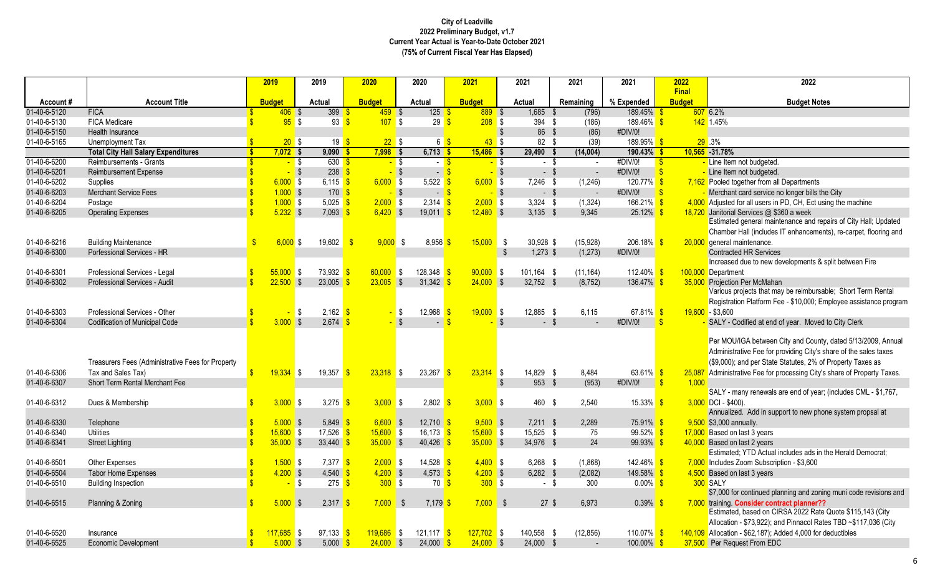|                              |                                                   |                    | 2019          |            | 2019                       | 2020                      |                   | 2020                                 | 2021                 |              | 2021                    | 2021           | 2021                    | 2022                          | 2022                                                                                       |
|------------------------------|---------------------------------------------------|--------------------|---------------|------------|----------------------------|---------------------------|-------------------|--------------------------------------|----------------------|--------------|-------------------------|----------------|-------------------------|-------------------------------|--------------------------------------------------------------------------------------------|
| Account#                     | <b>Account Title</b>                              |                    | <b>Budget</b> |            | Actual                     | <b>Budget</b>             |                   | Actual                               | <b>Budget</b>        |              | Actual                  | Remaining      | % Expended              | <b>Final</b><br><b>Budget</b> | <b>Budget Notes</b>                                                                        |
| 01-40-6-5120                 | <b>FICA</b>                                       |                    | $406$ \$      |            | 399                        | $459$ \$                  |                   | $125$ \$                             | $889$ \$             |              | 1,685 \$                | (796)          | 189.45%                 |                               | 607 6.2%                                                                                   |
| 01-40-6-5130                 | <b>FICA Medicare</b>                              |                    | 95S           |            | 93                         | 107S<br><b>S</b>          |                   | 29                                   | 208S<br>-S           |              | 394 \$                  | (186)          | 189.46%                 | -\$                           | 142 1.45%                                                                                  |
| 01-40-6-5150                 | Health Insurance                                  |                    |               |            |                            |                           |                   |                                      |                      | $\mathsf{s}$ | 86 \$                   | (86)           | #DIV/0!                 |                               |                                                                                            |
| 01-40-6-5165                 | Unemployment Tax                                  |                    | 20 S          |            | 19 <sup>8</sup>            |                           | 22S               | 6 \$                                 | 43 <sup>°</sup>      | l \$         | 82 \$                   | (39)           | 189.95%                 |                               | 29.3%                                                                                      |
|                              | <b>Total City Hall Salary Expenditures</b>        | $\mathbf{s}$       | $7,072$ \$    |            | $9,090$ \$                 | $7,998$ \$                |                   | $6,713$ \$                           | $15,486$ \$          |              | $29,490$ \$             | (14,004)       | $190.43\%$ \$           |                               | 10,565 -31.78%                                                                             |
| 01-40-6-6200                 | Reimbursements - Grants                           |                    |               | $-$ \$     | $630$ $\sqrt{\frac{5}{}}$  |                           | <mark>-</mark> \$ | - 8                                  |                      | $-$ \$       | - \$                    | $\sim$         | #DIV/0!                 | $\sqrt[6]{3}$                 | Line Item not budgeted.                                                                    |
| 01-40-6-6201                 | <b>Reimbursement Expense</b>                      |                    |               | $\sqrt{3}$ | $238$ $\sqrt{\frac{6}{5}}$ |                           | $-$ \$            | $-$ \$                               |                      | $-$ \$       | $-$ \$                  | $\sim$         | #DIV/0!                 | $\mathbf{s}$                  | - Line Item not budgeted.                                                                  |
| 01-40-6-6202                 | Supplies                                          |                    | $6,000$ \$    |            | 6,115 $\frac{1}{5}$        | $6,000$ \$                |                   | $5,522$ \$                           | $6,000$ \$           |              | $7,246$ \$              | (1, 246)       | 120.77% <sup>S</sup>    |                               | 7,162 Pooled together from all Departments                                                 |
| 01-40-6-6203                 | <b>Merchant Service Fees</b>                      |                    | $1,000$ \$    |            | 170S                       |                           | $-$ \$            | $-5$                                 |                      | $-$ \$       | $-$ \$                  |                | #DIV/0!                 | $\mathbf{S}$                  | Merchant card service no longer bills the City                                             |
| 01-40-6-6204                 | Postage                                           |                    | $1,000$ \$    |            | 5,025 \$                   | $2,000$ \$                |                   | $2,314$ \$                           | $2,000$ \$           |              | $3,324$ \$              | (1, 324)       | 166.21%                 | $\mathbf{R}$                  | 4,000 Adjusted for all users in PD, CH, Ect using the machine                              |
| 01-40-6-6205                 | <b>Operating Expenses</b>                         |                    | $5,232$ \$    |            | 7,093                      | $6,420$ \$<br>-S          |                   | 19,011                               | $12,480$ \$          |              | $3.135$ \$              | 9.345          | 25.12%                  |                               | 18,720 Janitorial Services @ \$360 a week                                                  |
|                              |                                                   |                    |               |            |                            |                           |                   |                                      |                      |              |                         |                |                         |                               | Estimated general maintenance and repairs of City Hall; Updated                            |
|                              |                                                   |                    |               |            |                            |                           |                   |                                      |                      |              |                         |                |                         |                               | Chamber Hall (includes IT enhancements), re-carpet, flooring and                           |
| 01-40-6-6216                 | <b>Building Maintenance</b>                       |                    | $6.000$ \$    |            | 19,602                     | $\mathbf{\hat{s}}$        | 9.000 S           | $8,956$ \$                           | 15,000               | - \$         | 30,928 \$               | (15, 928)      | 206.18%                 |                               | 20,000 general maintenance.                                                                |
| 01-40-6-6300                 | Porfessional Services - HR                        |                    |               |            |                            |                           |                   |                                      |                      | \$           | $1,273$ \$              | (1, 273)       | #DIV/0!                 |                               | <b>Contracted HR Services</b>                                                              |
|                              |                                                   |                    |               |            |                            |                           |                   |                                      |                      |              |                         |                |                         |                               | Increased due to new developments & split between Fire                                     |
| 01-40-6-6301                 | Professional Services - Legal                     |                    | $55.000$ \$   |            | 73,932                     | 60,000                    | l \$              | 128,348                              | 90,000               | S.           | 101.164 \$              | (11, 164)      | 112.40%                 |                               | 100.000 Department                                                                         |
| 01-40-6-6302                 | Professional Services - Audit                     |                    | $22,500$ \$   |            | 23,005                     | 23,005                    | $\sqrt{3}$        | 31,342                               | $24,000$ \$          |              | $32,752$ \$             | (8, 752)       | 136.47%                 |                               | 35,000 Projection Per McMahan                                                              |
|                              |                                                   |                    |               |            |                            |                           |                   |                                      |                      |              |                         |                |                         |                               | Various projects that may be reimbursable; Short Term Rental                               |
|                              |                                                   |                    |               |            |                            |                           |                   |                                      |                      |              |                         |                |                         |                               | Registration Platform Fee - \$10,000; Employee assistance program                          |
| 01-40-6-6303                 | Professional Services - Other                     |                    |               | l \$       | $2.162$ \$                 |                           | <b>\$</b>         | 12,968                               | 19,000<br>$\sqrt{s}$ | l \$         | 12.885 \$               | 6.115          | 67.81% \$               |                               | $19.600 - $3.600$                                                                          |
| 01-40-6-6304                 | <b>Codification of Municipal Code</b>             | $\mathbf{\Phi}$    | 3.000 S       |            | 2,674                      |                           | $\mathbf{s}$      |                                      | ¢                    | $\mathbf{s}$ | $-$ \$                  | $\overline{a}$ | #DIV/0!                 | $\mathbf{\hat{S}}$            | SALY - Codified at end of year. Moved to City Clerk                                        |
|                              |                                                   |                    |               |            |                            |                           |                   |                                      |                      |              |                         |                |                         |                               |                                                                                            |
|                              |                                                   |                    |               |            |                            |                           |                   |                                      |                      |              |                         |                |                         |                               | Per MOU/IGA between City and County, dated 5/13/2009, Annual                               |
|                              |                                                   |                    |               |            |                            |                           |                   |                                      |                      |              |                         |                |                         |                               | Administrative Fee for providing City's share of the sales taxes                           |
|                              | Treasurers Fees (Administrative Fees for Property |                    |               |            |                            |                           |                   |                                      |                      |              |                         |                |                         |                               | (\$9,000); and per State Statutes, 2% of Property Taxes as                                 |
| 01-40-6-6306                 | Tax and Sales Tax)                                |                    | $19,334$ \$   |            | 19,357                     | $23.318$ \$<br>$\sqrt{3}$ |                   | $23,267$ \$                          | $23,314$ \$          |              | 14,829 \$               | 8,484          | 63.61% \$               | 25,087                        | Administrative Fee for processing City's share of Property Taxes.                          |
| 01-40-6-6307                 | <b>Short Term Rental Merchant Fee</b>             |                    |               |            |                            |                           |                   |                                      |                      | \$           | 953 \$                  | (953)          | #DIV/0!                 | $\mathbf{\$}$<br>1,000        |                                                                                            |
|                              |                                                   |                    |               |            |                            |                           |                   |                                      |                      |              |                         |                |                         |                               | SALY - many renewals are end of year; (includes CML - \$1,767,                             |
| 01-40-6-6312                 | Dues & Membership                                 | $\mathbf{R}$       | $3,000$ \$    |            | 3,275 \$                   | $3,000$ \$                |                   | 2,802                                | $3,000$ \$           |              | 460 \$                  | 2,540          | 15.33%                  |                               | $3,000$ DCI - \$400).                                                                      |
|                              |                                                   |                    | 5.000S        |            |                            | 6.600 S                   |                   |                                      | $9,500$ \$           |              |                         |                |                         |                               | Annualized. Add in support to new phone system propsal at                                  |
| 01-40-6-6330<br>01-40-6-6340 | Telephone<br><b>Utilities</b>                     |                    | $15,600$ \$   |            | $5,849$ \$<br>17,526       | $15,600$ \$<br>$\sqrt{3}$ |                   | $12,710$ \$<br>$16,173$ \$           | $15,600$ \$          |              | $7,211$ \$<br>15,525 \$ | 2,289<br>75    | <b>75.91%</b><br>99.52% |                               | 9,500 \$3,000 annually.<br>17,000 Based on last 3 years                                    |
|                              |                                                   |                    | $35,000$ \$   |            |                            | 35,000S                   |                   |                                      | $35,000$ \$          |              | 34,976 \$               |                | 99.93%                  |                               |                                                                                            |
| 01-40-6-6341                 | <b>Street Lighting</b>                            |                    |               |            | 33.440                     |                           |                   | 40,426                               |                      |              |                         | 24             |                         |                               | 40,000 Based on last 2 years<br>Estimated; YTD Actual includes ads in the Herald Democrat; |
| 01-40-6-6501                 | <b>Other Expenses</b>                             |                    | $1,500$ \$    |            | $7.377$ \$                 | 2.000 S                   |                   | $14.528$ $\frac{\text{S}}{\text{S}}$ | 4.400 S              |              | $6.268$ \$              | (1,868)        | 142.46%                 |                               | 7,000 Includes Zoom Subscription - \$3,600                                                 |
| 01-40-6-6504                 | <b>Tabor Home Expenses</b>                        | $\mathbf{\hat{S}}$ | 4,200         | $\sqrt{3}$ | $4,540$ \$                 | $4,200$ \$                |                   | $4,573$ \$                           | $4,200$ \$           |              | $6,282$ \$              | (2,082)        | 149.58%                 |                               | 4,500 Based on last 3 years                                                                |
| 01-40-6-6510                 | <b>Building Inspection</b>                        |                    |               | l \$       | 275S                       | 300S                      |                   | 70S                                  | $300$ \$             |              | - \$                    | 300            | $0.00\%$ \$             |                               | 300 SALY                                                                                   |
|                              |                                                   |                    |               |            |                            |                           |                   |                                      |                      |              |                         |                |                         |                               | \$7,000 for continued planning and zoning muni code revisions and                          |
| 01-40-6-6515                 | Planning & Zoning                                 |                    | $5,000$ \$    |            | 2,317                      | $7,000$ \$                |                   | 7,179                                | 7,000                | - \$         | $27 \text{ }$ \$        | 6.973          | 0.39%                   |                               | 7,000 training Consider contract planner??                                                 |
|                              |                                                   |                    |               |            |                            |                           |                   |                                      |                      |              |                         |                |                         |                               | Estimated, based on CIRSA 2022 Rate Quote \$115,143 (City                                  |
|                              |                                                   |                    |               |            |                            |                           |                   |                                      |                      |              |                         |                |                         |                               | Allocation - \$73,922); and Pinnacol Rates TBD ~\$117,036 (City                            |
| 01-40-6-6520                 | Insurance                                         |                    | 17,685 \$     |            | 97,133                     | 119.686<br><b>S</b>       | l\$               | $121.117$ \$                         | $127,702$ \$         |              | 140,558 \$              | (12, 856)      | 110.07%                 |                               | 140,109 Allocation - \$62,187); Added 4,000 for deductibles                                |
| 01-40-6-6525                 | <b>Economic Development</b>                       | $\mathbf{\hat{s}}$ | 5.000S        |            | 5.000                      | 24,000<br>-S              | $\sqrt{S}$        | $24.000$ \$                          | $24,000$ \$          |              | 24.000 \$               |                | 100.00%                 |                               | 37,500 Per Request From EDC                                                                |
|                              |                                                   |                    |               |            |                            |                           |                   |                                      |                      |              |                         |                |                         |                               |                                                                                            |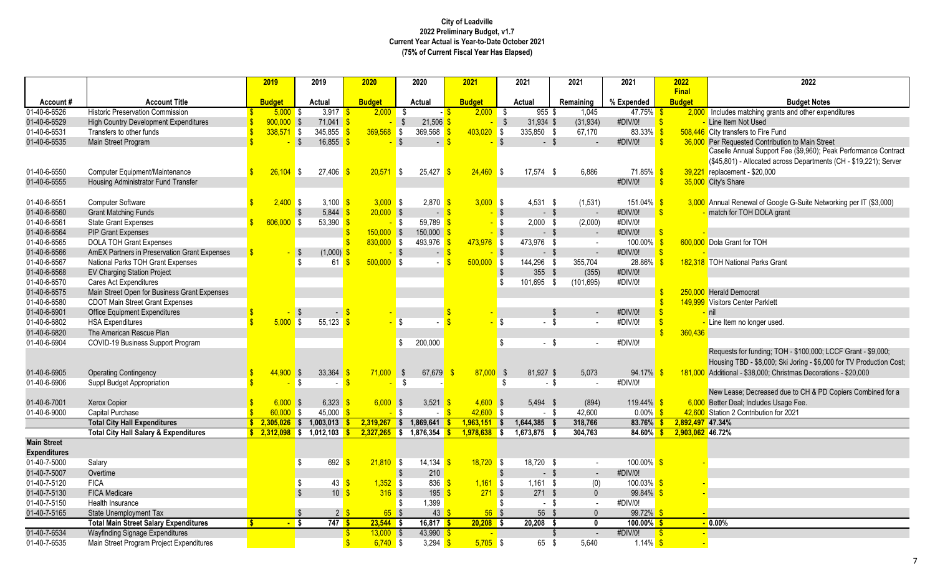|                     |                                                  |                    | 2019            | 2019                                      | 2020                         |                   | 2020                              | 2021                        |               | 2021           | 2021                    | 2021                 | 2022                          | 2022                                                                |
|---------------------|--------------------------------------------------|--------------------|-----------------|-------------------------------------------|------------------------------|-------------------|-----------------------------------|-----------------------------|---------------|----------------|-------------------------|----------------------|-------------------------------|---------------------------------------------------------------------|
| Account#            | <b>Account Title</b>                             |                    | <b>Budget</b>   | Actual                                    | <b>Budget</b>                |                   | Actual                            | <b>Budget</b>               |               | Actual         | Remaining               | % Expended           | <b>Final</b><br><b>Budget</b> | <b>Budget Notes</b>                                                 |
| 01-40-6-6526        | <b>Historic Preservation Commission</b>          |                    | 5.000S          | $3,917$ \$                                |                              | $2,000$ \$        | $-$ \$                            | 2,000                       | <b>S</b>      | $955$ \$       | 1,045                   | 47.75%               |                               | 2,000 Includes matching grants and other expenditures               |
| 01-40-6-6529        | <b>High Country Development Expenditures</b>     |                    | $900,000$ \$    | 71,041                                    |                              | -\$               | 21,506                            |                             | $\sqrt[6]{3}$ | 31,934 \$      | (31, 934)               | #DIV/0!              | $\mathbf{s}$                  | Line Item Not Used                                                  |
| 01-40-6-6531        | Transfers to other funds                         |                    | $338,571$ \$    | 345,855                                   | 369,568<br><b>S</b>          | <b>S</b>          | $369,568$ \$                      | 403,020                     | $\sqrt{3}$    | 335,850 \$     | 67,170                  | 83.33%               | $\mathbf{\hat{s}}$            | 508,446 City transfers to Fire Fund                                 |
| 01-40-6-6535        | Main Street Program                              | $\mathbf{\hat{S}}$ |                 | $\sqrt{3}$<br>16,855                      |                              | $\sqrt{3}$        | $\sim$                            | \$.                         | $\mathsf{s}$  | $-$ \$         | $\blacksquare$          | #DIV/0!              |                               | 36,000 Per Requested Contribution to Main Street                    |
|                     |                                                  |                    |                 |                                           |                              |                   |                                   |                             |               |                |                         |                      |                               | Caselle Annual Support Fee (\$9,960); Peak Performance Contract     |
|                     |                                                  |                    |                 |                                           |                              |                   |                                   |                             |               |                |                         |                      |                               | (\$45,801) - Allocated across Departments (CH - \$19,221); Server   |
| 01-40-6-6550        | <b>Computer Equipment/Maintenance</b>            |                    | $26,104$ \$     | 27,406                                    | $20,571$ \$                  |                   | 25,427                            | $24,460$ \$<br>$\mathbf{s}$ |               | $17,574$ \$    | 6,886                   | 71.85%               | -S                            | 39,221 replacement - \$20,000                                       |
| 01-40-6-6555        | Housing Administrator Fund Transfer              |                    |                 |                                           |                              |                   |                                   |                             |               |                |                         | #DIV/0!              | $\mathbf{s}$                  | 35,000 City's Share                                                 |
|                     |                                                  |                    |                 |                                           |                              |                   |                                   |                             |               |                |                         |                      |                               |                                                                     |
| 01-40-6-6551        | <b>Computer Software</b>                         |                    | $2,400$ \$      | 3,100 $\frac{1}{5}$                       |                              | 3.000 S           | $2,870$ \$                        | $3,000$ \$                  |               | $4.531$ \$     | (1,531)                 | 151.04% <sup>S</sup> |                               | 3,000 Annual Renewal of Google G-Suite Networking per IT (\$3,000)  |
| 01-40-6-6560        | <b>Grant Matching Funds</b>                      |                    |                 | 5,844<br>-\$                              | $20,000$ \$                  |                   | $-$ \$                            |                             | $-$ \$        | $-$ \$         | $\sim$                  | #DIV/0!              | $\sqrt[3]{5}$                 | - match for TOH DOLA grant                                          |
| 01-40-6-6561        | <b>State Grant Expenses</b>                      |                    | $606,000$ \$    | 53,390 $\frac{1}{5}$                      |                              | - \$              | 59,789 $\frac{1}{5}$              |                             | <b>\$</b>     | $2,000$ \$     | (2,000)                 | #DIV/0!              |                               |                                                                     |
| 01-40-6-6564        | <b>PIP Grant Expenses</b>                        |                    |                 |                                           | $150,000$ \$                 |                   | 150,000                           |                             | $-$ \$        | $-$ \$         | $\sim$                  | #DIV/0!              |                               |                                                                     |
| 01-40-6-6565        | <b>DOLA TOH Grant Expenses</b>                   |                    |                 |                                           | $830,000$ \$                 |                   | 493,976                           | $473,976$ \$                |               | 473,976 \$     | $\sim$                  | 100.00%              |                               | 600,000 Dola Grant for TOH                                          |
| 01-40-6-6566        | AmEX Partners in Preservation Grant Expenses     |                    |                 | (1,000)<br>-\$                            |                              | $-$ \$            | $\sim$ $\sim$                     | <sup>\$</sup>               | $\sqrt{3}$    | $-$ \$         | $\sim$                  | #DIV/0!              | $\mathbf{S}$                  |                                                                     |
| 01-40-6-6567        | National Parks TOH Grant Expenses                |                    |                 | \$<br>61                                  | $500,000$ \$<br>$\mathbf{s}$ |                   | $-5$                              | 500.000                     | S.            | 144,296 \$     | 355.704                 | 28.86%               |                               | 182.318 TOH National Parks Grant                                    |
| 01-40-6-6568        | <b>EV Charging Station Project</b>               |                    |                 |                                           |                              |                   |                                   |                             | -\$           | 355 $$$        | (355)                   | #DIV/0!              |                               |                                                                     |
| 01-40-6-6570        | Cares Act Expenditures                           |                    |                 |                                           |                              |                   |                                   |                             | -\$           | 101,695 \$     | (101, 695)              | #DIV/0!              |                               |                                                                     |
| 01-40-6-6575        | Main Street Open for Business Grant Expenses     |                    |                 |                                           |                              |                   |                                   |                             |               |                |                         |                      |                               | 250,000 Herald Democrat                                             |
| 01-40-6-6580        | <b>CDOT Main Street Grant Expenses</b>           |                    |                 |                                           |                              |                   |                                   |                             |               |                |                         |                      |                               | 149,999 Visitors Center Parklett                                    |
| 01-40-6-6901        | <b>Office Equipment Expenditures</b>             |                    |                 | \$                                        |                              |                   |                                   |                             |               |                | \$                      | #DIV/0!              |                               | - nil                                                               |
| 01-40-6-6802        | <b>HSA Expenditures</b>                          |                    | $5,000$ \$      | 55,123                                    |                              | <b>S</b>          |                                   | $\mathbf{R}$                | $\sqrt{3}$    | $-$ \$         | $\sim$                  | #DIV/0!              |                               | Line Item no longer used.                                           |
| 01-40-6-6820        | The American Rescue Plan                         |                    |                 |                                           |                              |                   |                                   |                             |               |                |                         |                      | 360,436                       |                                                                     |
| 01-40-6-6904        | COVID-19 Business Support Program                |                    |                 |                                           |                              | \$                | 200,000                           |                             | \$            | $-$ \$         |                         | #DIV/0!              |                               |                                                                     |
|                     |                                                  |                    |                 |                                           |                              |                   |                                   |                             |               |                |                         |                      |                               | Requests for funding; TOH - \$100,000; LCCF Grant - \$9,000;        |
|                     |                                                  |                    |                 |                                           |                              |                   |                                   |                             |               |                |                         |                      |                               | Housing TBD - \$8,000; Ski Joring - \$6,000 for TV Production Cost; |
| 01-40-6-6905        | <b>Operating Contingency</b>                     |                    | 44,900          | 33,364<br>$\sqrt{3}$                      | 71,000<br>-\$                |                   | \$<br>67,679                      | 87,000<br>-\$               | - \$          | 81.927 \$      | 5.073                   | 94.17%               |                               | 181,000 Additional - \$38,000; Christmas Decorations - \$20,000     |
| 01-40-6-6906        | Suppl Budget Appropriation                       |                    |                 | S.                                        | $\sqrt{3}$                   |                   | -\$                               |                             | -\$           | - \$           |                         | #DIV/0!              |                               |                                                                     |
|                     |                                                  |                    |                 |                                           |                              |                   |                                   |                             |               |                |                         |                      |                               | New Lease; Decreased due to CH & PD Copiers Combined for a          |
| 01-40-6-7001        | Xerox Copier                                     |                    | $6,000$ \$      | 6,323                                     |                              | $6,000$ \$        | 3,521                             | $4,600$ \$                  |               | 5,494 \$       | (894)                   | 119.44%              |                               | 6,000 Better Deal; Includes Usage Fee.                              |
| 01-40-6-9000        | Capital Purchase                                 |                    | 60.000 S        | 45,000                                    |                              | <mark>-</mark> \$ | <b>S</b>                          | $42,600$ \$                 |               | - \$           | 42,600                  | 0.00%                |                               | 42,600 Station 2 Contribution for 2021                              |
|                     | <b>Total City Hall Expenditures</b>              |                    | $$2,305,026$ \$ | $1,003,013$ \$                            | $2,319,267$ \$               |                   | $1,869,641$ \$                    | $1.963.151$ \$              |               | $1,644,385$ \$ | 318,766                 | $83.76\%$ \$         | 2,892,497 47.34%              |                                                                     |
|                     | <b>Total City Hall Salary &amp; Expenditures</b> |                    |                 | $\frac{1}{2}$ , 2,312,098 \$ 1,012,103 \$ |                              |                   | $2,327,265$ \$ 1,876,354 \$       | $1,978,638$ \$              |               | $1,673,875$ \$ | 304,763                 | $84.60\%$ \$         | 2,903,062 46.72%              |                                                                     |
| <b>Main Street</b>  |                                                  |                    |                 |                                           |                              |                   |                                   |                             |               |                |                         |                      |                               |                                                                     |
| <b>Expenditures</b> |                                                  |                    |                 |                                           |                              |                   |                                   |                             |               |                |                         |                      |                               |                                                                     |
| 01-40-7-5000        | Salary                                           |                    |                 | $692$ \$<br>-\$                           | $21.810$ \$                  |                   | $14,134$ \$                       | $18,720$ \$                 |               | 18,720 \$      | $\sim$                  | $100.00\%$ \$        |                               |                                                                     |
| 01-40-7-5007        | Overtime                                         |                    |                 |                                           |                              | -\$               | 210                               |                             | $\sqrt{3}$    | $-$ \$         | $\sim$                  | #DIV/0!              |                               |                                                                     |
| 01-40-7-5120        | <b>FICA</b>                                      |                    |                 | \$                                        | $43\frac{ }{ }$              | $1,352$ \$        | $836$ $\frac{\text{S}}{\text{S}}$ | $1,161$ \$                  |               | $1,161$ \$     | (0)                     | $100.03\%$ \$        |                               |                                                                     |
| 01-40-7-5130        | <b>FICA Medicare</b>                             |                    |                 | $\mathfrak{L}$                            | 10S                          | $316$ \$          | $195 - $$                         | $271$ \$                    |               | $271$ \$       | $\mathbf{0}$            | 99.84% \$            |                               |                                                                     |
| 01-40-7-5150        | Health Insurance                                 |                    |                 |                                           |                              | - \$              | 1,399                             |                             | \$            | $-5$           | $\sim$                  | #DIV/0!              |                               |                                                                     |
| 01-40-7-5165        | State Unemployment Tax                           |                    |                 | -\$                                       | $2 \overline{3}$             | 65S               | $43 \overline{\text{S}}$          | 56S                         |               | 56 \$          | $\mathbf{0}$            | $99.72\%$ \$         |                               |                                                                     |
|                     | <b>Total Main Street Salary Expenditures</b>     |                    | $-$ \$          | 747S                                      | $23,544$ \$                  |                   | $16,817$ \$                       | $20,208$ \$                 |               | $20,208$ \$    | $\mathbf{0}$            | $100.00\%$           |                               | $-0.00\%$                                                           |
| 01-40-7-6534        | Wayfinding Signage Expenditures                  |                    |                 |                                           | $\mathbf{\$}$<br>$13,000$ \$ |                   | $43,990$ \$                       |                             |               |                | <sup>\$</sup><br>$\sim$ | #DIV/0!              | $\mathbf{S}$                  |                                                                     |
| 01-40-7-6535        | Main Street Program Project Expenditures         |                    |                 |                                           | $\mathbf{\$}$                | $6,740$ \$        | 3,294 $\frac{1}{5}$               | $5,705$ \$                  |               | 65 \$          | 5,640                   | $1.14\%$ \$          |                               |                                                                     |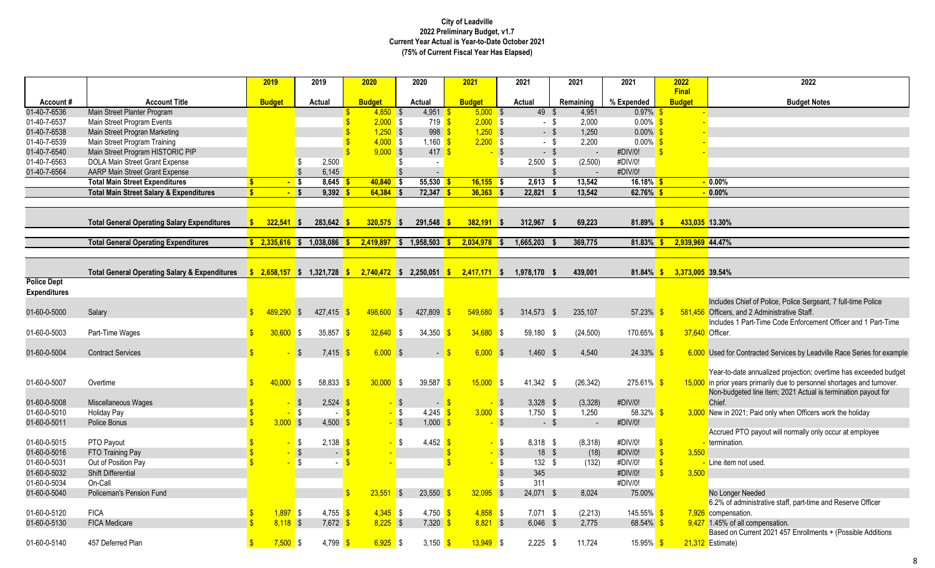|                                           |                                                          |              | 2019            | 2019                                | 2020                        | 2020                                      | 2021                                                                                                                                                                                                                                                                                                                            | 2021             | 2021       | 2021                       | 2022                          | 2022                                                                                                           |
|-------------------------------------------|----------------------------------------------------------|--------------|-----------------|-------------------------------------|-----------------------------|-------------------------------------------|---------------------------------------------------------------------------------------------------------------------------------------------------------------------------------------------------------------------------------------------------------------------------------------------------------------------------------|------------------|------------|----------------------------|-------------------------------|----------------------------------------------------------------------------------------------------------------|
| Account#                                  | <b>Account Title</b>                                     |              | <b>Budget</b>   | Actual                              | <b>Budget</b>               | Actual                                    | <b>Budget</b>                                                                                                                                                                                                                                                                                                                   | Actual           | Remaining  | % Expended                 | <b>Final</b><br><b>Budget</b> | <b>Budget Notes</b>                                                                                            |
| 01-40-7-6536                              | Main Street Planter Program                              |              |                 |                                     | $4,850$ \$<br>S             | $4,951$ \$                                | $5,000$ \$                                                                                                                                                                                                                                                                                                                      |                  | $49$ \$    | 0.97%<br>4,951             |                               |                                                                                                                |
| 01-40-7-6537                              | Main Street Program Events                               |              |                 |                                     | $2,000$ \$                  | 719 S                                     | $2,000$ \$                                                                                                                                                                                                                                                                                                                      |                  | - \$       | $0.00\%$ \$<br>2,000       |                               |                                                                                                                |
| 01-40-7-6538                              | Main Street Progran Marketing                            |              |                 |                                     | $1,250$ \$<br>$\mathbf{\$}$ | $998 - $$                                 | $1,250$ \$                                                                                                                                                                                                                                                                                                                      |                  | $-$ \$     | 1,250<br>$0.00\%$ \$       |                               |                                                                                                                |
| 01-40-7-6539                              | Main Street Program Training                             |              |                 |                                     | $4,000$ \$                  | $1,160$ \$                                | $2,200$ \$                                                                                                                                                                                                                                                                                                                      |                  | - \$       | 2,200<br>$0.00\%$ \$       |                               |                                                                                                                |
| 01-40-7-6540                              | Main Street Program HISTORIC PIP                         |              |                 |                                     | $9,000$ \$                  | $417 - $$                                 |                                                                                                                                                                                                                                                                                                                                 | $\sqrt{3}$       | $-5$       | #DIV/0!<br>$\sim$          |                               |                                                                                                                |
| 01-40-7-6563                              | DOLA Main Street Grant Expense                           |              |                 | \$<br>2,500                         |                             | -\$                                       |                                                                                                                                                                                                                                                                                                                                 | \$<br>$2,500$ \$ |            | (2,500)<br>#DIV/0!         |                               |                                                                                                                |
| 01-40-7-6564                              | AARP Main Street Grant Expense                           |              |                 | $\sqrt{3}$<br>6,145                 |                             | - \$                                      |                                                                                                                                                                                                                                                                                                                                 |                  |            | #DIV/0!                    |                               |                                                                                                                |
|                                           | <b>Total Main Street Expenditures</b>                    | ¢            | $-$ \$          | $8,645$ \$                          | $40,840$ \$                 | $55,530$ \$                               | $16,155$ \$                                                                                                                                                                                                                                                                                                                     | $2,613$ \$       |            | 13,542<br>$16.18\%$ \$     |                               | $\sqrt{0.00\%}$                                                                                                |
|                                           | <b>Total Main Street Salary &amp; Expenditures</b>       | $\mathbf{s}$ | $-$ \$          | $9,392$ \$                          | $64,384$ \$                 | $72,347$ \$                               | $36,363$ \$                                                                                                                                                                                                                                                                                                                     | 22,821           |            | 13,542<br>62.76% \$        |                               | $-0.00\%$                                                                                                      |
|                                           |                                                          |              |                 |                                     |                             |                                           |                                                                                                                                                                                                                                                                                                                                 |                  |            |                            |                               |                                                                                                                |
|                                           | <b>Total General Operating Salary Expenditures</b>       |              | $322.541$ \$    | $283,642$ \$                        | $320.575$ \$                | $291.548$ \$                              | $382.191$ \$                                                                                                                                                                                                                                                                                                                    | 312.967 \$       |            | 69.223<br>81.89%           |                               | 433.035 13.30%                                                                                                 |
|                                           |                                                          |              |                 |                                     |                             |                                           |                                                                                                                                                                                                                                                                                                                                 |                  |            |                            |                               |                                                                                                                |
|                                           | <b>Total General Operating Expenditures</b>              |              | $$2,335,616$ \$ | $1,038,086$ \$                      | 2,419,897                   | $1,958,503$ \$<br>$\mathsf{S}$            | 2,034,978                                                                                                                                                                                                                                                                                                                       | 1,665,203<br>l S |            | 369,775<br>81.83%          |                               | 2,939,969 44.47%                                                                                               |
|                                           |                                                          |              |                 |                                     |                             |                                           |                                                                                                                                                                                                                                                                                                                                 |                  |            |                            |                               |                                                                                                                |
|                                           | <b>Total General Operating Salary &amp; Expenditures</b> |              |                 |                                     |                             |                                           | $\frac{1}{2}$ , $\frac{1}{2}$ , $\frac{1}{2}$ , $\frac{1}{2}$ , $\frac{1}{2}$ , $\frac{1}{2}$ , $\frac{1}{2}$ , $\frac{1}{2}$ , $\frac{1}{2}$ , $\frac{1}{2}$ , $\frac{1}{2}$ , $\frac{1}{2}$ , $\frac{1}{2}$ , $\frac{1}{2}$ , $\frac{1}{2}$ , $\frac{1}{2}$ , $\frac{1}{2}$ , $\frac{1}{2}$ , $\frac{1}{2}$ , $\frac{1}{2}$ , | 1,978,170 \$     |            | 439,001<br>$81.84\%$ \$    | 3,373,005 39.54%              |                                                                                                                |
| <b>Police Dept</b><br><b>Expenditures</b> |                                                          |              |                 |                                     |                             |                                           |                                                                                                                                                                                                                                                                                                                                 |                  |            |                            |                               |                                                                                                                |
| 01-60-0-5000                              | Salary                                                   |              | $489.290$ \$    | 427,415                             | $498,600$ \$                | 427,809                                   | $549,680$ \$                                                                                                                                                                                                                                                                                                                    | 314,573 \$       |            | 235,107<br>57.23%          |                               | Includes Chief of Police, Police Sergeant, 7 full-time Police<br>581,456 Officers, and 2 Administrative Staff. |
|                                           |                                                          |              |                 |                                     |                             |                                           |                                                                                                                                                                                                                                                                                                                                 |                  |            |                            |                               | Includes 1 Part-Time Code Enforcement Officer and 1 Part-Time                                                  |
| 01-60-0-5003                              | Part-Time Wages                                          |              | $30,600$ \$     | 35,857                              | 32,640<br>-S                | 34,350<br>l\$                             | $34,680$ \$<br><b>S</b>                                                                                                                                                                                                                                                                                                         | 59,180 \$        |            | 170.65%<br>(24, 500)       |                               | 37.640 Officer.                                                                                                |
| 01-60-0-5004                              | <b>Contract Services</b>                                 |              |                 | $\sqrt{3}$<br>7,415                 | $6,000$ \$                  |                                           | $6,000$ \$<br>$ \sqrt{3}$                                                                                                                                                                                                                                                                                                       | $1,460$ \$       |            | 4,540<br>$24.33\%$ \$      |                               | 6,000 Used for Contracted Services by Leadville Race Series for example                                        |
|                                           |                                                          |              |                 |                                     |                             |                                           |                                                                                                                                                                                                                                                                                                                                 |                  |            |                            |                               | Year-to-date annualized projection; overtime has exceeded budget                                               |
| 01-60-0-5007                              | Overtime                                                 |              | $40,000$ \$     | 58,833                              | 30,000<br>$\sqrt{3}$        | <b>S</b><br>39,587 $\frac{\$}{}$          | $15,000$ \$                                                                                                                                                                                                                                                                                                                     | 41,342 \$        |            | (26, 342)<br>$275.61\%$ \$ |                               | 15,000 in prior years primarily due to personnel shortages and turnover.                                       |
| 01-60-0-5008                              | Miscellaneous Wages                                      |              |                 | 2,524<br>$\sqrt{3}$                 |                             | - \$                                      | $-5$                                                                                                                                                                                                                                                                                                                            | - \$             | $3,328$ \$ | (3,328)<br>#DIV/0!         |                               | Non-budgeted line item; 2021 Actual is termination payout for<br>Chief.                                        |
| 01-60-0-5010                              | <b>Holiday Pay</b>                                       |              |                 | l \$                                |                             | $-$ \$<br>4,245 $\frac{\text{}}{\text{}}$ | $3,000$ \$                                                                                                                                                                                                                                                                                                                      | $1,750$ \$       |            | 1,250<br>58.32% \$         |                               | 3,000 New in 2021; Paid only when Officers work the holiday                                                    |
| 01-60-0-5011                              | Police Bonus                                             |              | $3,000$ \$      | 4,500                               |                             | $-$ \$<br>$1,000$ \$                      |                                                                                                                                                                                                                                                                                                                                 | $-$ \$           | $-$ \$     | #DIV/0!<br>$\mathbf{r}$    |                               |                                                                                                                |
|                                           |                                                          |              |                 |                                     |                             |                                           |                                                                                                                                                                                                                                                                                                                                 |                  |            |                            |                               | Accrued PTO payout will normally only occur at employee                                                        |
| 01-60-0-5015                              | PTO Payout                                               |              |                 | S,<br>$2,138$ \$                    |                             | 4,452 $\frac{\ }{s}$<br>IS.               |                                                                                                                                                                                                                                                                                                                                 | $-$ \$           | 8,318 \$   | (8,318)<br>#DIV/0!         |                               | termination.                                                                                                   |
| 01-60-0-5016                              | FTO Training Pay                                         |              |                 | $\sqrt{3}$<br>$\sim$ $-$            | S                           |                                           |                                                                                                                                                                                                                                                                                                                                 | -   \$           | $18 \quad$ | (18)<br>#DIV/0!            | 3.550                         |                                                                                                                |
| 01-60-0-5031                              | Out of Position Pay                                      |              |                 | l \$                                |                             |                                           |                                                                                                                                                                                                                                                                                                                                 | $\sqrt{3}$       | 132S       | (132)<br>#DIV/0!           |                               | Line item not used.                                                                                            |
| 01-60-0-5032                              | <b>Shift Differential</b>                                |              |                 |                                     |                             |                                           |                                                                                                                                                                                                                                                                                                                                 | 345<br>-\$       |            | #DIV/0!                    | $\mathbf{R}$<br>3.500         |                                                                                                                |
| 01-60-0-5034                              | On-Call                                                  |              |                 |                                     |                             |                                           |                                                                                                                                                                                                                                                                                                                                 | -\$<br>311       |            | #DIV/0!                    |                               |                                                                                                                |
| 01-60-0-5040                              | <b>Policeman's Pension Fund</b>                          |              |                 |                                     | 23.551<br>\$                | l\$<br>23.550                             | $32,095$ \$                                                                                                                                                                                                                                                                                                                     | 24,071 \$        |            | 75.00%<br>8.024            |                               | No Longer Needed                                                                                               |
|                                           |                                                          |              |                 |                                     |                             |                                           |                                                                                                                                                                                                                                                                                                                                 |                  |            |                            |                               | 6.2% of administrative staff, part-time and Reserve Officer                                                    |
| 01-60-0-5120                              | <b>FICA</b>                                              |              | $1,897$ \$      | $4.755$ $\frac{\text{S}}{\text{S}}$ | $4.345$ \$                  | $4.750$ \$                                | $4,858$ \$                                                                                                                                                                                                                                                                                                                      |                  | $7.071$ \$ | (2, 213)<br>$145.55\%$ \$  |                               | 7,926 compensation.                                                                                            |
| 01-60-0-5130                              | <b>FICA Medicare</b>                                     |              | $8,118$ \$      | 7,672                               | $8,225$ \$<br>-S            | $7,320$ \$                                | $8,821$ \$                                                                                                                                                                                                                                                                                                                      | $6,046$ \$       |            | 2,775<br>$68.54\%$ \$      |                               | 9,427 1.45% of all compensation.                                                                               |
|                                           |                                                          |              |                 |                                     |                             |                                           |                                                                                                                                                                                                                                                                                                                                 |                  |            |                            |                               | Based on Current 2021 457 Enrollments + (Possible Additions                                                    |
| 01-60-0-5140                              | 457 Deferred Plan                                        | S            | $7,500$ \$      | 4,799                               | $6,925$ \$<br>l S           | 3,150 $\frac{\ }{s}$                      | $13,949$ \$                                                                                                                                                                                                                                                                                                                     | $2,225$ \$       |            | 11,724<br>$15.95\%$ \$     |                               | 21,312 Estimate)                                                                                               |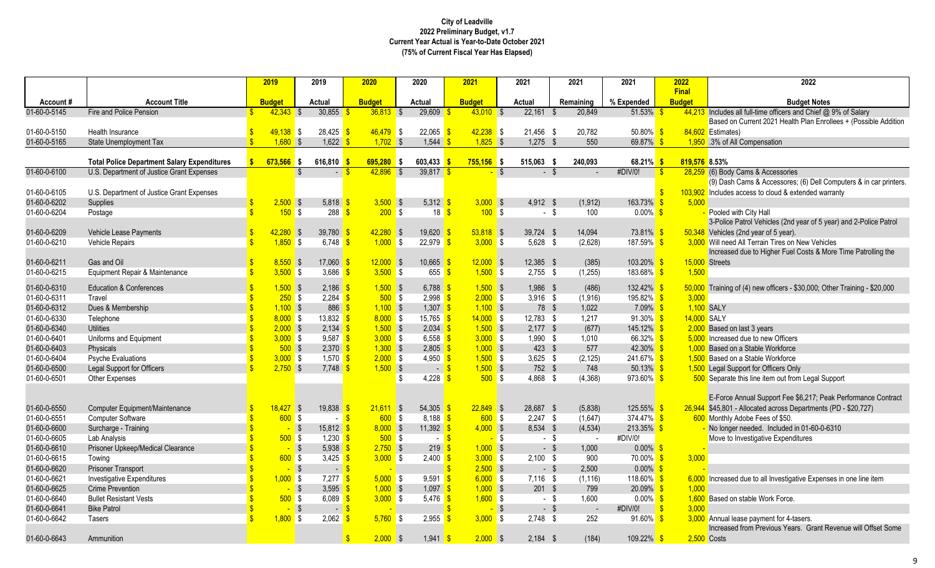|              |                                                    | 2019                      | 2019                              | 2020                        | 2020                                | 2021                      | 2021                 | 2021           | 2021                  | 2022          | 2022                                                                      |
|--------------|----------------------------------------------------|---------------------------|-----------------------------------|-----------------------------|-------------------------------------|---------------------------|----------------------|----------------|-----------------------|---------------|---------------------------------------------------------------------------|
|              |                                                    |                           |                                   |                             |                                     |                           |                      |                |                       | <b>Final</b>  |                                                                           |
| Account#     | <b>Account Title</b>                               | <b>Budget</b>             | Actual                            | <b>Budget</b>               | Actual                              | <b>Budget</b>             | Actual               | Remaining      | % Expended            | <b>Budget</b> | <b>Budget Notes</b>                                                       |
| 01-60-0-5145 | Fire and Police Pension                            | $42,343$ \$               | 30,855                            | $36,813$ \$                 | 29,609                              | $43,010$ \$               | 22,161               | 20,849<br>- \$ | 51.53%                |               | 44,213 Includes all full-time officers and Chief @ 9% of Salary           |
|              |                                                    |                           |                                   |                             |                                     |                           |                      |                |                       |               | Based on Current 2021 Health Plan Enrollees + (Possible Addition          |
| 01-60-0-5150 | Health Insurance                                   | $49,138$ \$<br>$1,680$ \$ | 28,425<br>1,622                   | $46.479$ \$<br>$1,702$ \$   | 22,065<br>1,544                     | $42,238$ \$<br>$1,825$ \$ | 21,456 \$            | 20,782<br>- \$ | $50.80\%$<br>69.87%   | -S            | 84,602 Estimates)                                                         |
| 01-60-0-5165 | <b>State Unemployment Tax</b>                      |                           |                                   |                             |                                     |                           | 1.275                | 550            |                       |               | 1,950 .3% of All Compensation                                             |
|              | <b>Total Police Department Salary Expenditures</b> | $673,566$ \$              | 616,810                           | 695,280                     | 603,433<br>∎s                       | $755,156$ \$              | 515,063 \$           | 240,093        | 68.21% \$             | 819,576 8.53% |                                                                           |
| 01-60-0-6100 | U.S. Department of Justice Grant Expenses          |                           | -\$                               | 42.896                      | 39,817                              |                           | <b>S</b>             | - \$           | #DIV/0!<br>-9         |               | 28,259 (6) Body Cams & Accessories                                        |
|              |                                                    |                           |                                   |                             |                                     |                           |                      |                |                       |               | (9) Dash Cams & Accessores; (6) Dell Computers & in car printers.         |
| 01-60-0-6105 | U.S. Department of Justice Grant Expenses          |                           |                                   |                             |                                     |                           |                      |                |                       |               | 103,902 Includes access to cloud & extended warranty                      |
| 01-60-0-6202 | Supplies                                           | $2,500$ \$                | 5,818                             | $3,500$ \$                  | $5,312$ \$                          | $3,000$ \$                | $4.912$ \$           | (1, 912)       | 163.73%               | 5,000<br>-S   |                                                                           |
| 01-60-0-6204 | Postage                                            | 150S<br>$\mathbf{R}$      | 288                               | 200S                        | 18                                  | 100S<br>-\$               | $-$ \$               | 100            | $0.00\%$ \$           |               | Pooled with City Hall                                                     |
|              |                                                    |                           |                                   |                             |                                     |                           |                      |                |                       |               | 3-Police Patrol Vehicles (2nd year of 5 year) and 2-Police Patrol         |
| 01-60-0-6209 | Vehicle Lease Payments                             | $42,280$ \$               | 39,780                            | $42,280$ \$                 | 19,620                              | $53,818$ \$               | 39,724 \$            | 14,094         | 73.81% <sup>S</sup>   |               | 50,348 Vehicles (2nd year of 5 year).                                     |
| 01-60-0-6210 | <b>Vehicle Repairs</b>                             | $1,850$ \$                | 6,748                             | 1.000 S                     | 22,979                              | $3,000$ \$                | 5,628 \$             | (2,628)        | 187.59% <sup>S</sup>  |               | 3,000 Will need All Terrain Tires on New Vehicles                         |
|              |                                                    |                           |                                   |                             |                                     |                           |                      |                |                       |               | Increased due to Higher Fuel Costs & More Time Patrolling the             |
| 01-60-0-6211 | Gas and Oil                                        | $8,550$ \$                | 17,060                            | $12,000$ \$                 | $10,665$ \$                         | $12,000$ \$               | 12,385 \$            | (385)          | $103.20\%$ \$         |               | 15,000 Streets                                                            |
| 01-60-0-6215 | Equipment Repair & Maintenance                     | $3,500$ \$                | 3,686                             | $3,500$ \$                  | 655                                 | $1,500$ \$                | $2,755$ \$           | (1, 255)       | 183.68% <sup>S</sup>  | 1,500         |                                                                           |
| 01-60-0-6310 | <b>Education &amp; Conferences</b>                 | $1,500$ \$                | 2,186                             | $1,500$ \$                  | 6,788 $\frac{1}{5}$                 | $1,500$ \$                | 1,986 \$             | (486)          | 132.42% <sup>S</sup>  |               | 50,000 Training of (4) new officers - \$30,000; Other Training - \$20,000 |
| 01-60-0-6311 | Travel                                             | 250S                      | 2,284                             | 500S                        | $2,998$ \$                          | $2,000$ \$                | $3,916$ \$           | (1, 916)       | $195.82\%$ \$         | 3,000         |                                                                           |
| 01-60-0-6312 | Dues & Membership                                  | $1,100$ \$                | 886                               | $1,100$ \$                  | $1,307$ \$                          | $1,100$ \$                | 78 \$                | 1,022          | $7.09\%$ \$           | 1,100 SALY    |                                                                           |
| 01-60-0-6330 | Telephone                                          | $8,000$ \$                | 13,832                            | $8,000$ \$                  | $15,765$ \$                         | $14,000$ \$               | 12,783 \$            | 1,217          | $91.30\%$ \$          | 14,000 SALY   |                                                                           |
| 01-60-0-6340 | <b>Utilities</b>                                   | $2,000$ \$                | 2,134                             | $1,500$ \$                  | $2,034$ \$                          | $1,500$ \$                | $2,177$ \$           | (677)          | $145.12\%$ \$         |               | 2,000 Based on last 3 years                                               |
| 01-60-0-6401 | Uniforms and Equipment                             | $3,000$ \$                | $9,587$ \$                        | $3,000$ \$                  | 6,558 $\frac{\text{S}}{\text{S}}$   | $3,000$ \$                | 1,990 \$             | 1.010          | 66.32% \$             |               | 5,000 Increased due to new Officers                                       |
| 01-60-0-6403 | <b>Physicals</b>                                   | $500$ \$                  | $2,370$ \$                        | $1,300$ \$                  | $2,805$ $\frac{\text{}}{\text{}}$   | $1,000$ \$                | $423$ \$             | 577            | $42.30\%$ \$          |               | 1,000 Based on a Stable Workforce                                         |
| 01-60-0-6404 | <b>Psyche Evaluations</b>                          | $3,000$ \$                | 1,570                             | $2,000$ \$                  | 4,950 $\frac{1}{5}$                 | $1,500$ \$                | $3,625$ \$           | (2, 125)       | $241.67\%$ \$         |               | 1,500 Based on a Stable Workforce                                         |
| 01-60-0-6500 | <b>Legal Support for Officers</b>                  | $2,750$ \$                | 7.748                             | $1,500$ \$                  | $-5$                                | $1,500$ \$                | 752 \$               | 748            | $50.13\%$ \$          |               | 1,500 Legal Support for Officers Only                                     |
| 01-60-0-6501 | Other Expenses                                     |                           |                                   |                             | 4,228<br>\$                         | $500$ \$                  | 4,868 \$             | (4, 368)       | $973.60\%$ \$         |               | 500 Separate this line item out from Legal Support                        |
|              |                                                    |                           |                                   |                             |                                     |                           |                      |                |                       |               |                                                                           |
|              |                                                    |                           |                                   |                             |                                     |                           |                      |                |                       |               | E-Force Annual Support Fee \$6,217; Peak Performance Contract             |
| 01-60-0-6550 | Computer Equipment/Maintenance                     | $18.427$ \$               | 19,838                            | $21,611$ \$                 | $54,305$ \$                         | $22,849$ \$               | 28.687 \$            | (5,838)        | $125.55\%$ \$         |               | 26,944 \$45,801 - Allocated across Departments (PD - \$20,727)            |
| 01-60-0-6551 | <b>Computer Software</b>                           | $600$ \$                  | $\sim$                            | 600S<br>$\mathbf{s}$        | $8,188$ \$                          | 600S                      | $2,247$ \$           | (1,647)        | $374.47\%$ \$         |               | 600 Monthly Adobe Fees of \$50.                                           |
| 01-60-0-6600 | Surcharge - Training                               |                           | $\sqrt{3}$<br>15,812              | $8,000$ \$                  | 11,392 \$                           | $4,000$ \$                | 8,534 \$             | (4, 534)       | $213.35\%$ \$         |               | No longer needed. Included in 01-60-0-6310                                |
| 01-60-0-6605 | Lab Analysis                                       | $500$ \$                  | 1,230                             | $500$ \$                    | $-5$                                | <mark>–</mark> \$         | - \$                 | $\sim$         | #DIV/0!               |               | Move to Investigative Expenditures                                        |
| 01-60-0-6610 | Prisoner Upkeep/Medical Clearance                  |                           | $\overline{\phantom{a}}$<br>5.938 | $2,750$ \$                  | 219 <sup>o</sup>                    | $1,000$ \$                | $-$ \$               | 1.000          | $0.00\%$ \$           |               |                                                                           |
| 01-60-0-6615 | Towing                                             | 600S                      | 3,425                             | $3,000$ \$                  | $2,400$ \$                          | $3,000$ \$                | $2,100$ \$           | 900            | 70.00% <sup>S</sup>   | 3,000         |                                                                           |
| 01-60-0-6620 | <b>Prisoner Transport</b>                          |                           | $\sqrt{3}$<br>$-5$                |                             |                                     | $2,500$ \$                | $-$ \$               | 2,500          | $0.00\%$              |               |                                                                           |
| 01-60-0-6621 | <b>Investigative Expenditures</b>                  | 1.000 S                   | 7,277                             | 5.000 S                     | $9.591$ $\frac{\text{S}}{\text{S}}$ | $6,000$ \$                | $7.116$ \$           | (1, 116)       | $118.60\%$ \$         |               | 6,000 Increased due to all Investigative Expenses in one line item        |
| 01-60-0-6625 | <b>Crime Prevention</b>                            |                           | $\sqrt{3}$<br>3,595               | $1,000$ \$                  | $1,097$ \$                          | $1,000$ \$                | $201$ \$             | 799            | $20.09\%$ \$          | 1,000         |                                                                           |
| 01-60-0-6640 | <b>Bullet Resistant Vests</b>                      | 500S                      | 6,089                             | $3,000$ \$<br>-\$           | $5,476$ \$                          | $1,600$ \$                | - \$                 | 1,600          | $0.00\%$ \$           |               | 1,600 Based on stable Work Force.                                         |
| 01-60-0-6641 | <b>Bike Patrol</b>                                 |                           | $\overline{\mathbf{3}}$<br>$\sim$ | $\sqrt{3}$                  |                                     | $\sim$                    | $\sqrt{S}$<br>$-$ \$ |                | $\sqrt{S}$<br>#DIV/0! | 3.000         |                                                                           |
| 01-60-0-6642 | <b>Tasers</b>                                      | $1,800$ \$                | 2,062                             | $5.760$ \$                  | 2,955                               | $3,000$ \$                | $2,748$ \$           | 252            | 91.60% <sup>S</sup>   |               | 3,000 Annual lease payment for 4-tasers.                                  |
|              |                                                    |                           |                                   |                             |                                     |                           |                      |                |                       |               | Increased from Previous Years. Grant Revenue will Offset Some             |
| 01-60-0-6643 | Ammunition                                         |                           |                                   | $\mathbf{\$}$<br>$2,000$ \$ | $1,941$ \$                          | $2,000$ \$                | $2,184$ \$           | (184)          | 109.22% <sup>S</sup>  |               | $2,500$ Costs                                                             |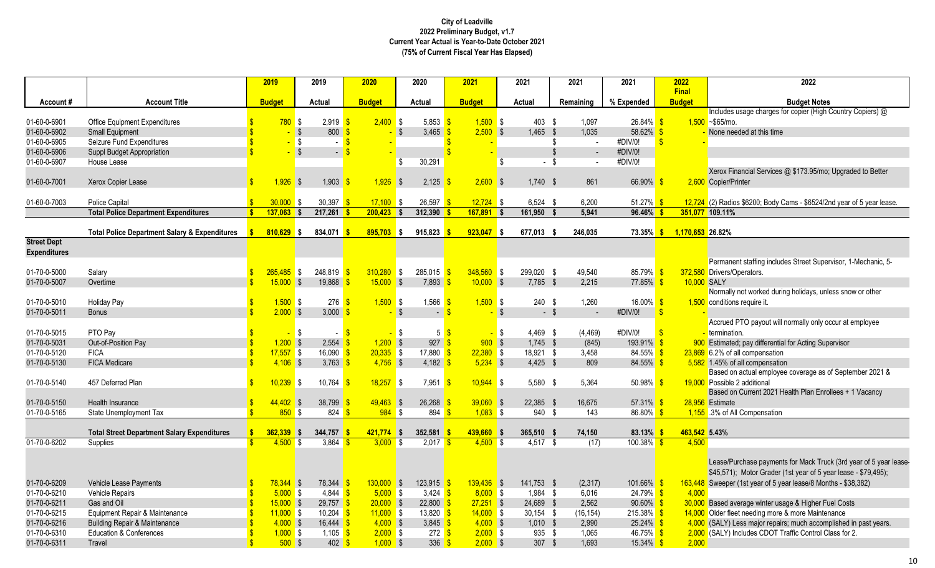|                     |                                                          | 2019                        | 2019                             | 2020                    | 2020                                    | 2021          | 2021                   | 2021          | 2021          | 2022<br><b>Final</b> | 2022                                                                     |
|---------------------|----------------------------------------------------------|-----------------------------|----------------------------------|-------------------------|-----------------------------------------|---------------|------------------------|---------------|---------------|----------------------|--------------------------------------------------------------------------|
| Account#            | <b>Account Title</b>                                     | <b>Budget</b>               | Actual                           | <b>Budget</b>           | Actual                                  | <b>Budget</b> | Actual                 | Remaining     | % Expended    | <b>Budget</b>        | <b>Budget Notes</b>                                                      |
|                     |                                                          |                             |                                  |                         |                                         |               |                        |               |               |                      | Includes usage charges for copier (High Country Copiers) @               |
| 01-60-0-6901        | <b>Office Equipment Expenditures</b>                     | 780S                        | $2,919$ \$                       | $2,400$ \$              | 5,853 $\frac{1}{5}$                     | $1.500$ \$    | 403 \$                 | 1,097         | $26.84\%$ \$  |                      | $1.500 - $65$ /mo.                                                       |
| 01-60-0-6902        | Small Equipment                                          |                             | $\sqrt{s}$<br>800                |                         | $\mathfrak{L}$<br>3,465 \$              | $2,500$ \$    | $1,465$ \$             | 1,035         | $58.62\%$ \$  |                      | None needed at this time                                                 |
| 01-60-0-6905        | Seizure Fund Expenditures                                |                             | <b>S</b>                         | $\mathbf{\hat{s}}$      |                                         |               |                        | \$<br>$\sim$  | #DIV/0!       | $\mathbf{S}$         |                                                                          |
| 01-60-0-6906        | Suppl Budget Appropriation                               |                             | $\sqrt{s}$                       | $\overline{\mathbf{S}}$ |                                         |               |                        | $\mathbb{S}$  | #DIV/0!       |                      |                                                                          |
| 01-60-0-6907        | House Lease                                              |                             |                                  |                         | \$<br>30,291                            |               | \$                     | $-$ \$        | #DIV/0!       |                      |                                                                          |
|                     |                                                          |                             |                                  |                         |                                         |               |                        |               |               |                      | Xerox Financial Services @ \$173.95/mo; Upgraded to Better               |
| 01-60-0-7001        | Xerox Copier Lease                                       | $\mathbf{\hat{s}}$<br>1.926 | 1.903<br>$\overline{\mathbf{S}}$ | 1,926                   | -\$<br>2.125                            | 2.600 S       | $1.740$ \$             | 861           | 66.90%        | -S                   | 2,600 Copier/Printer                                                     |
|                     |                                                          |                             |                                  |                         |                                         |               |                        |               |               |                      |                                                                          |
| 01-60-0-7003        | Police Capital                                           | 30,000                      | 30,397<br>l \$                   | 17.100                  | 26,597<br>-\$                           | $12,724$ \$   | $6,524$ \$             | 6,200         | 51.27% \$     |                      | $12,724$ (2) Radios \$6200; Body Cams - \$6524/2nd year of 5 year lease. |
|                     | <b>Total Police Department Expenditures</b>              | $137,063$ \$<br>$\bullet$   | 217,261                          | $200,423$ \$            | 312,390                                 | $167,891$ \$  | 161,950                | 5,941<br>- \$ | 96.46%        |                      | 351,077 109.11%                                                          |
|                     | <b>Total Police Department Salary &amp; Expenditures</b> | $810,629$ \$                | 834,071 \$                       | $895,703$ \$            | 915,823                                 | $923,047$ \$  | 677,013 \$             | 246,035       | 73.35%        | 1,170,653 26.82%     |                                                                          |
| <b>Street Dept</b>  |                                                          |                             |                                  |                         |                                         |               |                        |               |               |                      |                                                                          |
| <b>Expenditures</b> |                                                          |                             |                                  |                         |                                         |               |                        |               |               |                      |                                                                          |
|                     |                                                          |                             |                                  |                         |                                         |               |                        |               |               |                      | Permanent staffing includes Street Supervisor, 1-Mechanic, 5-            |
| 01-70-0-5000        | Salary                                                   | $265,485$ \$                | 248,819                          | 310,280                 | $\sqrt{3}$<br>285,015                   | $348,560$ \$  | 299,020 \$             | 49,540        | 85.79%        | -\$                  | 372,580 Drivers/Operators.                                               |
| 01-70-0-5007        | Overtime                                                 | $15,000$ \$                 | 19,868                           | $15,000$ \$             | $7,893$ \$                              | $10,000$ \$   | $7.785$ \$             | 2.215         | $77.85\%$ \$  | 10,000 SALY          |                                                                          |
|                     |                                                          |                             |                                  |                         |                                         |               |                        |               |               |                      | Normally not worked during holidays, unless snow or other                |
| 01-70-0-5010        | <b>Holiday Pay</b>                                       | $1,500$ \$                  | 276                              | $1,500$ \$              | $1,566$ \$                              | $1,500$ \$    | 240 \$                 | 1,260         | 16.00% \$     |                      | 1,500 conditions require it.                                             |
| 01-70-0-5011        | <b>Bonus</b>                                             | $2,000$ \$                  | 3,000                            |                         | $\sqrt{3}$<br>$\sim$                    |               | $\sqrt{3}$             | $-$ \$        | #DIV/0!       | $\mathbf{s}$         |                                                                          |
|                     |                                                          |                             |                                  |                         |                                         |               |                        |               |               |                      | Accrued PTO payout will normally only occur at employee                  |
| 01-70-0-5015        | PTO Pay                                                  |                             | <b>\$</b>                        | -\$                     | \$<br>5                                 |               | 4,469 \$<br><b>S</b>   | (4, 469)      | #DIV/0!       | $\mathbf{s}$         | termination.                                                             |
| 01-70-0-5031        | Out-of-Position Pay                                      | $1,200$ \$                  | 2,554                            | $1,200$ \$              | 927                                     | 900S          | $1,745$ \$             | (845)         | 193.91% \$    |                      | Estimated; pay differential for Acting Supervisor                        |
| 01-70-0-5120        | <b>FICA</b>                                              | $17,557$ \$                 | 16,090                           | $20,335$ \$             | 17,880 $\frac{\text{S}}{\text{S}}$      | $22,380$ \$   | 18,921 \$              | 3,458         | $84.55\%$ \$  |                      | 23,869 6.2% of all compensation                                          |
| 01-70-0-5130        | <b>FICA Medicare</b>                                     | $4,106$ \$                  | 3,763 $\frac{1}{5}$              | $4,756$ \$              | 4,182 $\frac{\ }{s}$                    | $5,234$ \$    | $4,425$ \$             | 809           | $84.55\%$ \$  |                      | 5,582 1.45% of all compensation                                          |
|                     |                                                          |                             |                                  |                         |                                         |               |                        |               |               |                      | Based on actual employee coverage as of September 2021 &                 |
| 01-70-0-5140        | 457 Deferred Plan                                        | $10,239$ \$                 | 10,764                           | 18,257                  | <b>S</b><br>7,951                       | $10,944$ \$   | $5.580$ \$             | 5,364         | $50.98\%$     | -\$                  | 19,000 Possible 2 additional                                             |
|                     |                                                          |                             |                                  |                         |                                         |               |                        |               |               |                      | Based on Current 2021 Health Plan Enrollees + 1 Vacancy                  |
| 01-70-0-5150        | Health Insurance                                         | $44,402$ \$                 | 38,799                           | 49,463                  | 26,268<br>$\overline{\phantom{a}}$      | $39,060$ \$   | 22,385 \$              | 16,675        | $57.31\%$ \$  |                      | 28,956 Estimate                                                          |
| 01-70-0-5165        | State Unemployment Tax                                   | 850S                        | $824 - $$                        | $984$ \$                | 894                                     | $1,083$ \$    | 940 \$                 | 143           | $86.80\%$ \$  |                      | 1,155 .3% of All Compensation                                            |
|                     |                                                          |                             |                                  |                         |                                         |               |                        |               |               |                      |                                                                          |
|                     | <b>Total Street Department Salary Expenditures</b>       | 362,339                     | 344,757<br>- \$                  | 421,774                 | 352,581                                 | 439,660       | 365,510 \$<br><b>S</b> | 74,150        | 83.13%        | 463,542 5.43%        |                                                                          |
| 01-70-0-6202        | Supplies                                                 | $4.500$ \$                  | 3.864                            | $3,000$ \$              | 2,017                                   | $4.500$ \$    | $4.517$ \$             | (17)          | $100.38\%$ \$ | 4,500                |                                                                          |
|                     |                                                          |                             |                                  |                         |                                         |               |                        |               |               |                      |                                                                          |
|                     |                                                          |                             |                                  |                         |                                         |               |                        |               |               |                      | Lease/Purchase payments for Mack Truck (3rd year of 5 year lease-        |
|                     |                                                          |                             |                                  |                         |                                         |               |                        |               |               |                      | \$45,571); Motor Grader (1st year of 5 year lease - \$79,495);           |
| 01-70-0-6209        | Vehicle Lease Payments                                   | 78,344 \$                   | 78,344                           | 130,000                 | $\overline{\mathbf{s}}$<br>$123.915$ \$ | $139,436$ \$  | 141,753 \$             | (2, 317)      | 101.66%       |                      | 163,448 Sweeper (1st year of 5 year lease/8 Months - \$38,382)           |
| 01-70-0-6210        | <b>Vehicle Repairs</b>                                   | $5,000$ \$                  | 4,844                            | $5,000$ \$              | 3,424 $\sqrt{s}$                        | $8,000$ \$    | 1,984 \$               | 6,016         | $24.79\%$ \$  | 4,000                |                                                                          |
| 01-70-0-6211        | Gas and Oil                                              | $15,000$ \$                 | 29,757                           | $20,000$ \$             | $22,800$ \$                             | $27,251$ \$   | 24,689 \$              | 2,562         | $90.60\%$ \$  |                      | 30,000 Based average winter usage & Higher Fuel Costs                    |
| 01-70-0-6215        | Equipment Repair & Maintenance                           | $11,000$ \$                 | 10,204                           | $11,000$ \$<br>- \$     | $13,820$ \$                             | $14,000$ \$   | $30,154$ \$            | (16, 154)     | $215.38\%$ \$ |                      | 14,000 Older fleet needing more & more Maintenance                       |
| 01-70-0-6216        | <b>Building Repair &amp; Maintenance</b>                 | $4,000$ \$                  | 16,444                           | $4,000$ \$<br>ß         | $3.845$ \$                              | $4,000$ \$    | $1,010$ \$             | 2,990         | $25.24\%$ \$  |                      | 4,000 (SALY) Less major repairs; much accomplished in past years.        |
| 01-70-0-6310        | <b>Education &amp; Conferences</b>                       | $1,000$ \$                  | $1,105$ \$                       | $2,000$ \$              | $272$ \$                                | $2,000$ \$    | 935 \$                 | 1,065         | $46.75\%$ \$  |                      | 2,000 (SALY) Includes CDOT Traffic Control Class for 2.                  |
| 01-70-0-6311        | Travel                                                   | $500$ \$                    | 402                              | $1,000$ \$<br>\$.       | $336$ $\frac{\text{}}{\text{}}$         | $2,000$ \$    | 307 \$                 | 1,693         | $15.34\%$ \$  | 2,000                |                                                                          |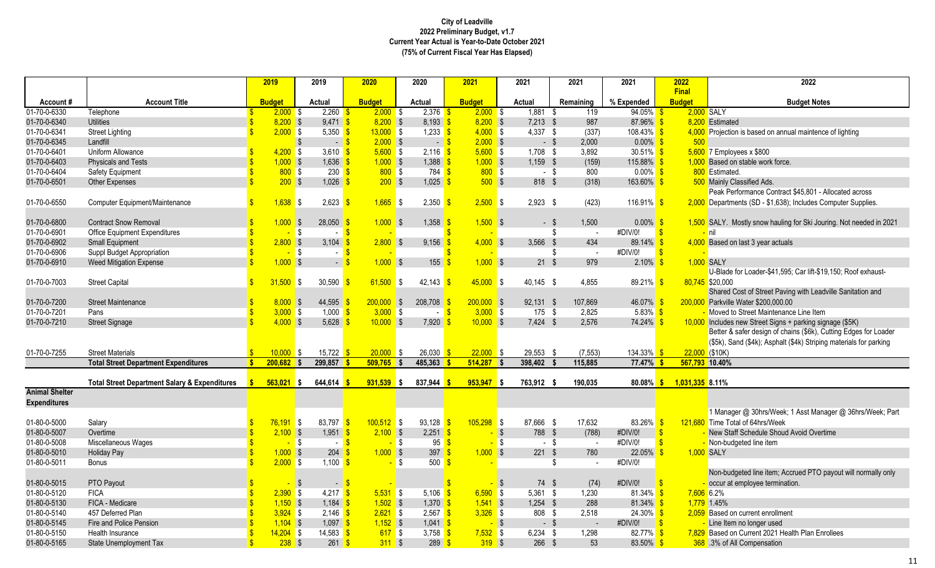|                       |                                                          | 2019          | 2019                            | 2020                       | 2020                                      | 2021                     | 2021                 | 2021        | 2021          | 2022                          | 2022                                                                |
|-----------------------|----------------------------------------------------------|---------------|---------------------------------|----------------------------|-------------------------------------------|--------------------------|----------------------|-------------|---------------|-------------------------------|---------------------------------------------------------------------|
| Account#              | <b>Account Title</b>                                     | <b>Budget</b> | Actual                          | <b>Budget</b>              | Actual                                    | <b>Budget</b>            | Actual               | Remaining   | % Expended    | <b>Final</b><br><b>Budget</b> | <b>Budget Notes</b>                                                 |
| 01-70-0-6330          | Telephone                                                | $2,000$ \$    | 2,260                           | $2,000$ \$                 | 2,376                                     | $2,000$ \$               | $1,881$ \$           | 119         | 94.05%        | 2,000 SALY                    |                                                                     |
| 01-70-0-6340          | <b>Utilities</b>                                         | $8,200$ \$    | 9,471                           | $8,200$ \$                 | $8,193$ $\frac{\ }{5}$                    | $8,200$ \$               | $7,213$ \$           | 987         | 87.96%        |                               | 8,200 Estimated                                                     |
| 01-70-0-6341          | <b>Street Lighting</b>                                   | $2,000$ \$    | 5,350                           | $13,000$ \$                | 1,233 $\frac{1}{5}$                       | $4,000$ \$               | $4,337$ \$           | (337)       | $108.43\%$ \$ |                               | 4,000 Projection is based on annual maintence of lighting           |
| 01-70-0-6345          | Landfill                                                 |               | $\sqrt[6]{\frac{1}{2}}$<br>$-5$ | $2,000$ \$                 | $-5$                                      | $2,000$ \$               | $-$ \$               | 2,000       | $0.00\%$ \$   | 500                           |                                                                     |
| 01-70-0-6401          | Uniform Allowance                                        | $4,200$ \$    | 3.610                           | 5.600 S                    | $2.116$ $\sqrt{\frac{5}{}}$               | $5,600$ \$               | $1,708$ \$           | 3.892       | $30.51\%$ \$  |                               | $5,600$ 7 Employees x \$800                                         |
| 01-70-0-6403          | Physicals and Tests                                      | $1,000$ \$    | 1,636                           | $1,000$ \$                 | $1,388$ \$                                | $1,000$ \$               | $1,159$ \$           | (159)       | 115.88%       |                               | 1,000 Based on stable work force.                                   |
| 01-70-0-6404          | Safety Equipment                                         | 800S          | 230                             | 800S                       | $784$ \$                                  | 800S                     | $-$ \$               | 800         | $0.00\%$ \$   |                               | 800 Estimated.                                                      |
| 01-70-0-6501          | <b>Other Expenses</b>                                    | 200S          | 1.026                           | $200$ \$                   | $1,025$ \$                                | $500$ \$                 | 818 \$               | (318)       | 163.60%       | - \$                          | 500 Mainly Classified Ads.                                          |
|                       |                                                          |               |                                 |                            |                                           |                          |                      |             |               |                               | Peak Performance Contract \$45,801 - Allocated across               |
| 01-70-0-6550          | Computer Equipment/Maintenance                           | $1,638$ \$    | 2,623                           | $1,665$ \$<br>$\mathbf{s}$ | 2,350                                     | $2,500$ \$               | $2,923$ \$           | (423)       | $116.91\%$ \$ |                               | 2,000 Departments (SD - \$1,638); Includes Computer Supplies.       |
|                       |                                                          |               |                                 |                            |                                           |                          |                      |             |               |                               |                                                                     |
| 01-70-0-6800          | <b>Contract Snow Removal</b>                             | 1.000 S       | 28,050                          | $1,000$ \$                 | 1,358                                     | $1,500$ \$               | - \$                 | 1,500       | $0.00\%$      | - \$                          | 1,500 SALY. Mostly snow hauling for Ski Jouring. Not needed in 2021 |
| 01-70-0-6901          | <b>Office Equipment Expenditures</b>                     |               | $\sqrt{3}$                      |                            |                                           |                          |                      | S<br>$\sim$ | #DIV/0!       | $\mathbf{s}$                  | <mark>–</mark> nil                                                  |
| 01-70-0-6902          | <b>Small Equipment</b>                                   | $2,800$ \$    | 3,104                           | $2,800$ \$                 | 9,156                                     | $4,000$ \$               | 3,566 \$             | 434         | 89.14%        |                               | 4,000 Based on last 3 year actuals                                  |
| 01-70-0-6906          | Suppl Budget Appropriation                               |               | <b>\$</b><br>$\sim$             |                            |                                           |                          |                      | \$          | #DIV/0!       |                               |                                                                     |
| 01-70-0-6910          | <b>Weed Mitigation Expense</b>                           | $1,000$ \$    | $\sim$                          | $1,000$ \$                 | 155                                       | $1,000$ \$               | 21S                  | 979         | $2.10\%$      |                               | 1.000 SALY                                                          |
|                       |                                                          |               |                                 |                            |                                           |                          |                      |             |               |                               | U-Blade for Loader-\$41,595; Car lift-\$19,150; Roof exhaust-       |
| 01-70-0-7003          | <b>Street Capital</b>                                    | $31.500$ \$   | 30,590                          | 61.500                     | 42,143<br><b>S</b>                        | $45,000$ \$              | 40.145 \$            | 4.855       | 89.21%        |                               | 80,745 \$20,000                                                     |
|                       |                                                          |               |                                 |                            |                                           |                          |                      |             |               |                               | Shared Cost of Street Paving with Leadville Sanitation and          |
| 01-70-0-7200          | <b>Street Maintenance</b>                                | 8.000 S       | 44,595                          | $200,000$ \$               | 208.708                                   | $200.000$ \$             | $92.131$ \$          | 107.869     | 46.07%        |                               | 200.000 Parkville Water \$200.000.00                                |
| 01-70-0-7201          | Pans                                                     | $3,000$ \$    | 1,000                           | $3,000$ \$                 | $\sim$                                    | $3,000$ \$<br>$\sqrt{S}$ | $175$ \$             | 2,825       | $5.83\%$      |                               | Moved to Street Maintenance Line Item                               |
| 01-70-0-7210          | <b>Street Signage</b>                                    | $4,000$ \$    | 5,628                           | $10,000$ \$                | 7,920                                     | $10,000$ \$              | $7,424$ \$           | 2,576       | 74.24%        |                               | 10,000 Includes new Street Signs + parking signage (\$5K)           |
|                       |                                                          |               |                                 |                            |                                           |                          |                      |             |               |                               | Better & safer design of chains (\$6k), Cutting Edges for Loader    |
|                       |                                                          |               |                                 |                            |                                           |                          |                      |             |               |                               | (\$5k), Sand (\$4k); Asphalt (\$4k) Striping materials for parking  |
| 01-70-0-7255          | <b>Street Materials</b>                                  | $10.000$ \$   | 15,722                          | $20.000$ \$                | 26,030                                    | 22.000 S                 | 29,553 \$            | (7, 553)    | 134.33%       | $22,000$ (\$10K)              |                                                                     |
|                       | <b>Total Street Department Expenditures</b>              | $200,682$ \$  | 299,857                         | $509,765$ \$               | 485,363                                   | $514,287$ \$             | 398,402 \$           | 115,885     | $77.47\%$ \$  | 567,793 10.40%                |                                                                     |
|                       | <b>Total Street Department Salary &amp; Expenditures</b> | $563,021$ \$  | 644,614                         | $931,539$ \$               | 837,944                                   | $953,947$ \$             | 763,912 \$           | 190,035     | 80.08% \$     | 1,031,335 8.11%               |                                                                     |
| <b>Animal Shelter</b> |                                                          |               |                                 |                            |                                           |                          |                      |             |               |                               |                                                                     |
| <b>Expenditures</b>   |                                                          |               |                                 |                            |                                           |                          |                      |             |               |                               |                                                                     |
|                       |                                                          |               |                                 |                            |                                           |                          |                      |             |               |                               | 1 Manager @ 30hrs/Week; 1 Asst Manager @ 36hrs/Week; Part           |
| 01-80-0-5000          | Salary                                                   | $76,191$ \$   | 83,797                          | $100,512$ \$               | 93,128                                    | $105,298$ \$             | 87,666 \$            | 17,632      | 83.26% \$     |                               | 121,680 Time Total of 64hrs/Week                                    |
| 01-80-0-5007          | Overtime                                                 | $2,100$ \$    | 1,951                           | 2.100 S                    | $2,251$ \$                                |                          | $\sqrt{3}$<br>788 \$ | (788)       | #DIV/0!       | -\$                           | - New Staff Schedule Shoud Avoid Overtime                           |
| 01-80-0-5008          | Miscellaneous Wages                                      |               | $\sqrt{3}$<br>$\sim$            | $\sqrt{3}$<br>$-$ \$       | $95 \frac{\text{S}}{\text{S}}$            | ÷                        | \$<br>$-$ \$         | $\sim$      | #DIV/0!       |                               | - Non-budgeted line item                                            |
| 01-80-0-5010          | <b>Holiday Pay</b>                                       | $1,000$ \$    | 204                             | $1,000$ \$                 | $397$ $\sqrt{\frac{6}{5}}$                | $1,000$ \$               | $221$ \$             | 780         | 22.05%        | -\$                           | 1,000 SALY                                                          |
| 01-80-0-5011          | <b>Bonus</b>                                             | $2,000$ \$    | 1,100 $\frac{1}{5}$             |                            | $500$ $\frac{\text{}}{\text{}}$<br>$-$ \$ |                          |                      | \$          | #DIV/0!       |                               |                                                                     |
|                       |                                                          |               |                                 |                            |                                           |                          |                      |             |               |                               | Non-budgeted line item; Accrued PTO payout will normally only       |
| 01-80-0-5015          | PTO Payout                                               |               | -\$<br>$\sim$                   |                            |                                           |                          | 74 \$<br>-\$         | (74)        | #DIV/0!       |                               | occur at employee termination.                                      |
| 01-80-0-5120          | <b>FICA</b>                                              | $2,390$ \$    | 4,217                           | $5,531$ \$<br>$\sqrt{3}$   | 5,106 $$$                                 | $6,590$ \$               | $5,361$ \$           | 1,230       | $81.34\%$ \$  | 7,606 6.2%                    |                                                                     |
| 01-80-0-5130          | FICA - Medicare                                          | $1,150$ \$    | $1,184$ \$                      | $1,502$ \$                 | $1,370$ \$                                | $1,541$ \$               | $1,254$ \$           | 288         | $81.34\%$ \$  |                               | 1,779 1.45%                                                         |
| 01-80-0-5140          | 457 Deferred Plan                                        | $3,924$ \$    | 2,146                           | $2,621$ \$                 | $2,567$ \$                                | $3,326$ \$               | 808 \$               | 2,518       | $24.30\%$ \$  |                               | 2,059 Based on current enrollment                                   |
| 01-80-0-5145          | Fire and Police Pension                                  | $1,104$ \$    | 1,097                           | $1,152$ \$                 | $1.041$ \$                                |                          | $\sqrt{3}$<br>$-$ \$ |             | #DIV/0!       | -\$                           | Line Item no longer used                                            |
| 01-80-0-5150          | Health Insurance                                         | $14,204$ \$   | 14,583                          | 617S                       | 3,758 $\frac{1}{5}$                       | $7,532$ \$               | $6,234$ \$           | 1,298       | 82.77% \$     |                               | 7,829 Based on Current 2021 Health Plan Enrollees                   |
| 01-80-0-5165          | State Unemployment Tax                                   | $238$ \$      | 261                             | $311$ \$                   | $289$ $\frac{\text{}}{\text{}}$           | $319$ \$                 | 266S                 | 53          | 83.50%        |                               | 368 .3% of All Compensation                                         |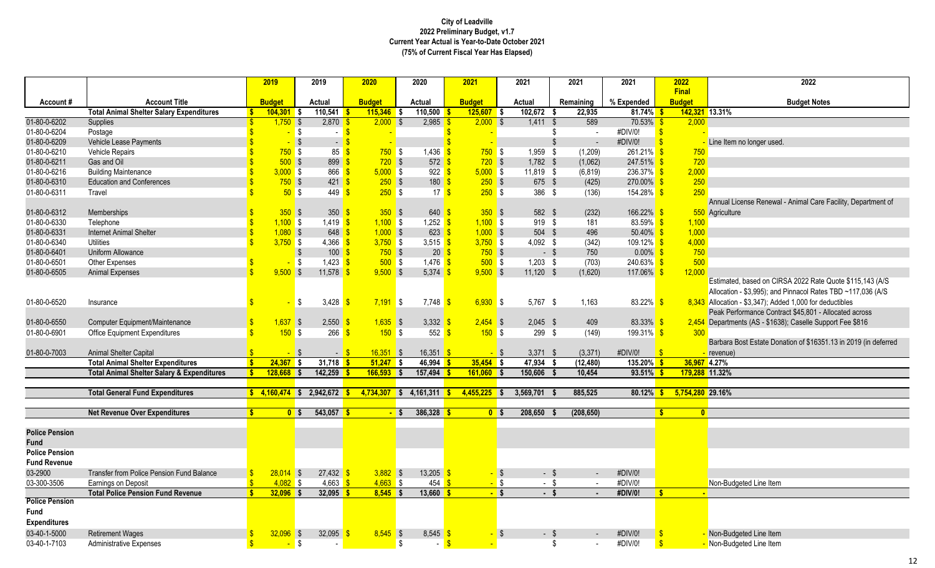|                                      |                                                                                                   |                         | 2019            | 2019                                    | 2020                     | 2020                                | 2021           | 2021                     | 2021           | 2021                          | 2022                          | 2022                                                                                                                     |
|--------------------------------------|---------------------------------------------------------------------------------------------------|-------------------------|-----------------|-----------------------------------------|--------------------------|-------------------------------------|----------------|--------------------------|----------------|-------------------------------|-------------------------------|--------------------------------------------------------------------------------------------------------------------------|
| Account#                             | <b>Account Title</b>                                                                              |                         | <b>Budget</b>   | Actual                                  | <b>Budget</b>            | Actual                              | <b>Budget</b>  | Actual                   | Remaining      | % Expended                    | <b>Final</b><br><b>Budget</b> | <b>Budget Notes</b>                                                                                                      |
|                                      | <b>Total Animal Shelter Salary Expenditures</b>                                                   | $\mathbf{s}$            | $104.301$ \$    | $110,541$ \$                            | $115,346$ \$             | 110,500                             | $125.607$ \$   | $102,672$ \$             | 22,935         | 81.74%                        |                               | 142,321 13.31%                                                                                                           |
| 01-80-0-6202                         | <b>Supplies</b>                                                                                   |                         | $1,750$ \$      | $2,870$ \$                              | 2.000                    | $2,985$ \$<br>l \$                  | 2.000          | $\overline{\phantom{a}}$ | $1,411$ \$     | 589<br>$70.53\%$ \$           | 2.000                         |                                                                                                                          |
| 01-80-0-6204                         | Postage                                                                                           | $\mathbf{\hat{s}}$      | $-$ \$          | $\sim$ $-$                              |                          |                                     |                |                          | -\$            | #DIV/0!<br>$\sim$             | $\mathbf{s}$                  |                                                                                                                          |
| 01-80-0-6209                         | Vehicle Lease Payments                                                                            |                         |                 | $\sqrt{3}$<br>$\sim$                    |                          |                                     |                |                          | $\mathfrak{L}$ | #DIV/0!                       |                               | Line Item no longer used.                                                                                                |
| 01-80-0-6210                         | <b>Vehicle Repairs</b>                                                                            |                         | 750S            | 85                                      | $750$ \$                 | 1,436                               | $750$ \$       | 1,959                    | - \$           | (1,209)<br>$261.21\%$ \$      | 750                           |                                                                                                                          |
| 01-80-0-6211                         | Gas and Oil                                                                                       |                         | $500$ \$        | $899 - $$                               | $720$ \$                 | $572$ \$                            | $720$ \$       | $1,782$ \$               |                | (1,062)<br>$247.51\%$ \$      | 720                           |                                                                                                                          |
| 01-80-0-6216                         | <b>Building Maintenance</b>                                                                       |                         | $3,000$ \$      | $866$ $\frac{\text{}}{\text{}}$         | $5,000$ \$               | $922$ \$                            | $5,000$ \$     | 11,819 \$                |                | 236.37%<br>(6, 819)           | 2,000                         |                                                                                                                          |
| 01-80-0-6310                         | <b>Education and Conferences</b>                                                                  | $\overline{\mathbf{S}}$ | 750S            | $421$ $\sqrt{\ }$                       | $250$ \$                 | 180S                                | $250$ \$       |                          | 675 \$         | (425)<br>$270.00\%$ \$        | 250                           |                                                                                                                          |
| 01-80-0-6311                         | Travel                                                                                            |                         | 50S             | $449$ \$                                | $250$ \$                 | 17 <sup>8</sup>                     | $250$ \$       |                          | 386 \$         | $154.28\%$ \$<br>(136)        | 250                           |                                                                                                                          |
|                                      |                                                                                                   |                         |                 |                                         |                          |                                     |                |                          |                |                               |                               | Annual License Renewal - Animal Care Facility, Department of                                                             |
| 01-80-0-6312                         | Memberships                                                                                       |                         | 350S            | 350 <sup>o</sup>                        | $350$ \$                 | $640 - $$                           | $350$ \$       |                          | 582 \$         | (232)<br>$166.22\%$ \$        |                               | 550 Agriculture                                                                                                          |
| 01-80-0-6330                         | Telephone                                                                                         |                         | $1,100$ \$      | $1,419$ \$                              | $1,100$ \$               | $1,252$ \$                          | $1,100$ \$     |                          | 919 \$         | 181<br>83.59% \$              | 1,100                         |                                                                                                                          |
| 01-80-0-6331                         | <b>Internet Animal Shelter</b>                                                                    |                         | $1,080$ \$      | $648$ \$                                | $1,000$ \$               | $623 - $$                           | $1,000$ \$     |                          | 504 \$         | 496<br>$50.40\%$ \$           | 1,000                         |                                                                                                                          |
| 01-80-0-6340                         | Utilities                                                                                         |                         | $3,750$ \$      | 4,366 $$$                               | $3,750$ \$               | 3,515 $\frac{1}{5}$                 | $3,750$ \$     | 4,092 \$                 |                | (342)<br>$109.12\%$ \$        | 4,000                         |                                                                                                                          |
| 01-80-0-6401                         | Uniform Allowance                                                                                 |                         |                 | $100$ $\sqrt{\frac{2}{5}}$<br>\$        | $750$ \$                 | $20 \overline{\text{S}}$            | $750$ \$       |                          | $-$ \$         | 750<br>$0.00\%$ \$            | 750                           |                                                                                                                          |
| 01-80-0-6501                         | <b>Other Expenses</b>                                                                             |                         |                 | $1,423$ $\frac{\ }{5}$<br>l \$          | $500$ \$                 | $1.476$ \$                          | $500$ \$       |                          | $1.203$ \$     | $240.63\%$ \$<br>(703)        | 500                           |                                                                                                                          |
| 01-80-0-6505                         | <b>Animal Expenses</b>                                                                            | $\mathbf{\hat{S}}$      | $9.500$ \$      | 11,578                                  | $9,500$ \$               | $5,374$ \$                          | 9.500 S        | $11,120$ \$              |                | (1,620)<br>$117.06\%$ \$      | 12,000                        |                                                                                                                          |
|                                      |                                                                                                   |                         |                 |                                         |                          |                                     |                |                          |                |                               |                               | Estimated, based on CIRSA 2022 Rate Quote \$115,143 (A/S)<br>Allocation - \$3,995); and Pinnacol Rates TBD ~117,036 (A/S |
| 01-80-0-6520                         | Insurance                                                                                         | $\mathbf{s}$            |                 | S <mark>s</mark><br>3,428 $\frac{1}{5}$ | $7,191$ \$               | $7.748$ $\frac{\text{S}}{\text{S}}$ | $6,930$ \$     |                          | $5,767$ \$     | $83.22\%$ \$<br>1,163         |                               | $8,343$ Allocation - \$3,347); Added 1,000 for deductibles                                                               |
|                                      |                                                                                                   |                         |                 |                                         |                          |                                     |                |                          |                |                               |                               | Peak Performance Contract \$45,801 - Allocated across                                                                    |
| 01-80-0-6550                         | Computer Equipment/Maintenance                                                                    | $\mathbf{\hat{s}}$      | $1,637$ \$      | 2,550                                   | $1,635$ \$               | 3,332                               | $2,454$ \$     |                          | $2,045$ \$     | 409<br>$83.33\%$ \$           |                               | 2,454 Departments (AS - \$1638); Caselle Support Fee \$816                                                               |
| 01-80-0-6901                         | <b>Office Equipment Expenditures</b>                                                              | $\mathbf{\hat{s}}$      | 150S            | 266                                     | 150S                     | $552$ $\frac{\text{}}{\text{}}$     | 150S           |                          | 299 \$         | (149)<br>199.31% <sup>S</sup> | 300                           |                                                                                                                          |
|                                      |                                                                                                   |                         |                 |                                         |                          |                                     |                |                          |                |                               |                               | Barbara Bost Estate Donation of \$16351.13 in 2019 (in deferred                                                          |
| 01-80-0-7003                         | <b>Animal Shelter Capital</b>                                                                     |                         | $-$ \$          | $-5$                                    | $16,351$ \$              | $16,351$ \$                         | $-$ \$         | $3,371$ \$               |                | (3, 371)<br>#DIV/0!           |                               | revenue)<br>4.27%                                                                                                        |
|                                      | <b>Total Animal Shelter Expenditures</b><br><b>Total Animal Shelter Salary &amp; Expenditures</b> | S<br>S                  | 24.367          | $31,718$ \$<br>l S<br>$142,259$ \$      | 51.247 S<br>$166,593$ \$ | 46,994<br>$157,494$ \$              | $35.454$ \$    | 47,934<br>150,606        | (12, 480)      | $135.20\%$ \$                 | 36.967                        | 179,288 11.32%                                                                                                           |
|                                      |                                                                                                   |                         | $128,668$ \$    |                                         |                          |                                     | $161,060$ \$   |                          |                | 10,454<br>$93.51\%$ \$        |                               |                                                                                                                          |
|                                      | <b>Total General Fund Expenditures</b>                                                            |                         | $$4.160.474$ \$ | $2,942,672$ \$                          | $4,734,307$ \$           | $4,161,311$ \$                      | $4,455,225$ \$ | 3,569,701                | 885,525        | 80.12%                        | 5,754,280 29.16%              |                                                                                                                          |
|                                      |                                                                                                   |                         |                 |                                         |                          |                                     |                |                          |                |                               |                               |                                                                                                                          |
|                                      | <b>Net Revenue Over Expenditures</b>                                                              | $\mathbf{s}$            | 0 <sup>5</sup>  | $543,057$ \$                            | - \$                     | $386,328$ \$                        | 0 <sup>5</sup> | 208,650                  | (208, 650)     |                               | s.<br>$\overline{0}$          |                                                                                                                          |
|                                      |                                                                                                   |                         |                 |                                         |                          |                                     |                |                          |                |                               |                               |                                                                                                                          |
| <b>Police Pension</b><br><b>Fund</b> |                                                                                                   |                         |                 |                                         |                          |                                     |                |                          |                |                               |                               |                                                                                                                          |
| <b>Police Pension</b>                |                                                                                                   |                         |                 |                                         |                          |                                     |                |                          |                |                               |                               |                                                                                                                          |
| <b>Fund Revenue</b>                  |                                                                                                   |                         |                 |                                         |                          |                                     |                |                          |                |                               |                               |                                                                                                                          |
| 03-2900                              | Transfer from Police Pension Fund Balance                                                         | S                       | $28.014$ \$     | $27,432$ \$                             | $3,882$ \$               | $13,205$ \$                         |                | - \$                     | $-$ \$         | #DIV/0!<br>$\sim$             |                               |                                                                                                                          |
| 03-300-3506                          | Earnings on Deposit                                                                               | $\mathsf{s}$            | $4,082$ \$      | 4,663 $\frac{1}{5}$                     | $4,663$ \$               | $454$ \$                            |                | $-$ \$                   | $-$ \$         | #DIV/0!<br>$\sim$             |                               | Non-Budgeted Line Item                                                                                                   |
|                                      | <b>Total Police Pension Fund Revenue</b>                                                          | \$                      | $32.096$ \$     | $32,095$ \$                             | $8,545$ \$               | $13,660$ \$                         | $-$ \$         |                          | $-$ \$         | #DIV/0!<br>$\blacksquare$     | S.                            |                                                                                                                          |
| <b>Police Pension</b>                |                                                                                                   |                         |                 |                                         |                          |                                     |                |                          |                |                               |                               |                                                                                                                          |
| Fund                                 |                                                                                                   |                         |                 |                                         |                          |                                     |                |                          |                |                               |                               |                                                                                                                          |
| <b>Expenditures</b>                  |                                                                                                   |                         |                 |                                         |                          |                                     |                |                          |                |                               |                               |                                                                                                                          |
| 03-40-1-5000                         | <b>Retirement Wages</b>                                                                           | S                       | $32,096$ \$     | 32,095                                  | $8,545$ \$               | $8,545$ \$                          |                | - \$                     | - \$           | #DIV/0!                       |                               | Non-Budgeted Line Item                                                                                                   |
| 03-40-1-7103                         | <b>Administrative Expenses</b>                                                                    | $\overline{\mathbf{s}}$ |                 | <b>\$</b>                               |                          | -\$<br>$-5$                         |                |                          | \$             | #DIV/0!<br>$\sim$             |                               | Non-Budgeted Line Item                                                                                                   |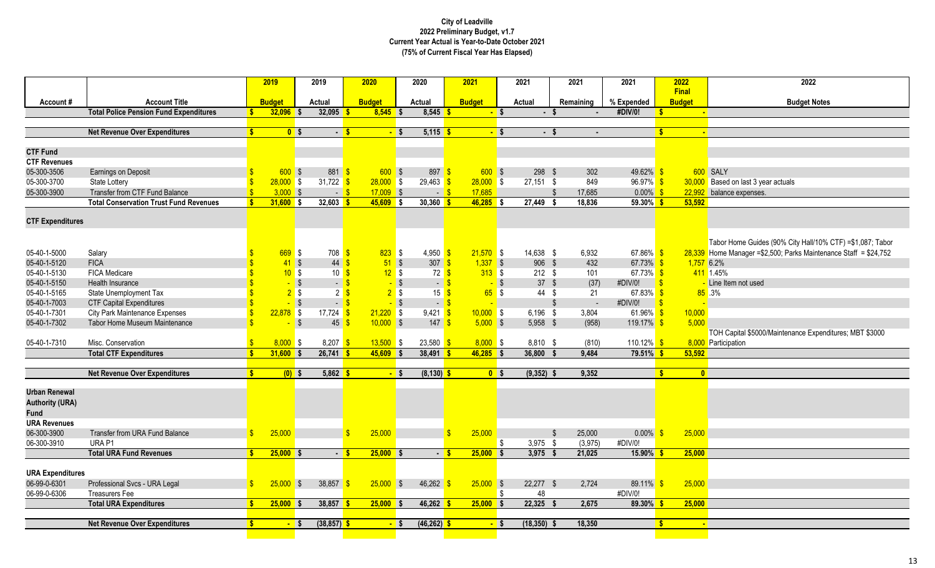|                         |                                                                       |              | 2019                         | 2019                            | 2020                         | 2020                                                                                                                                                                                                                                                                                                                                                                                                                                                                                                            | 2021                   |        | 2021           | 2021                        | 2021                  |     | 2022           | 2022                                                                |
|-------------------------|-----------------------------------------------------------------------|--------------|------------------------------|---------------------------------|------------------------------|-----------------------------------------------------------------------------------------------------------------------------------------------------------------------------------------------------------------------------------------------------------------------------------------------------------------------------------------------------------------------------------------------------------------------------------------------------------------------------------------------------------------|------------------------|--------|----------------|-----------------------------|-----------------------|-----|----------------|---------------------------------------------------------------------|
|                         |                                                                       |              |                              |                                 |                              |                                                                                                                                                                                                                                                                                                                                                                                                                                                                                                                 |                        |        |                |                             |                       |     | <b>Final</b>   |                                                                     |
| Account#                | <b>Account Title</b><br><b>Total Police Pension Fund Expenditures</b> |              | <b>Budget</b><br>$32,096$ \$ | Actual<br>$32,095$ \$           | <b>Budget</b><br>$8,545$ \$  | Actual<br>$8,545$ \$                                                                                                                                                                                                                                                                                                                                                                                                                                                                                            | <b>Budget</b>          | $-$ \$ | Actual<br>- \$ | Remaining<br>$\blacksquare$ | % Expended<br>#DIV/0! | R   | <b>Budget</b>  | <b>Budget Notes</b>                                                 |
|                         |                                                                       |              |                              |                                 |                              |                                                                                                                                                                                                                                                                                                                                                                                                                                                                                                                 |                        |        |                |                             |                       |     | $\blacksquare$ |                                                                     |
|                         | <b>Net Revenue Over Expenditures</b>                                  |              | 0 <sup>5</sup>               | $-5$                            | $-$ \$                       | $5,115$ \$                                                                                                                                                                                                                                                                                                                                                                                                                                                                                                      |                        | $-$ \$ | - \$           | $\overline{\phantom{a}}$    |                       |     |                |                                                                     |
|                         |                                                                       |              |                              |                                 |                              |                                                                                                                                                                                                                                                                                                                                                                                                                                                                                                                 |                        |        |                |                             |                       |     |                |                                                                     |
| <b>CTF Fund</b>         |                                                                       |              |                              |                                 |                              |                                                                                                                                                                                                                                                                                                                                                                                                                                                                                                                 |                        |        |                |                             |                       |     |                |                                                                     |
| <b>CTF Revenues</b>     |                                                                       |              |                              |                                 |                              |                                                                                                                                                                                                                                                                                                                                                                                                                                                                                                                 |                        |        |                |                             |                       |     |                |                                                                     |
| 05-300-3506             | Earnings on Deposit                                                   |              | 600S                         | 881                             | 600S                         | $897$ \$                                                                                                                                                                                                                                                                                                                                                                                                                                                                                                        | 600S                   |        | 298 \$         | 302                         | 49.62% \$             |     |                | 600 SALY                                                            |
| 05-300-3700             | <b>State Lottery</b>                                                  |              | $28,000$ \$                  | 31,722 $\frac{1}{5}$            | $28,000$ \$                  | $29,463$ $\frac{\text{}}{\text{}}\frac{\text{}}{\text{}}\frac{\text{}}{\text{}}\frac{\text{}}{\text{}}\frac{\text{}}{\text{}}\frac{\text{}}{\text{}}\frac{\text{}}{\text{}}\frac{\text{}}{\text{}}\frac{\text{}}{\text{}}\frac{\text{}}{\text{}}\frac{\text{}}{\text{}}\frac{\text{}}{\text{}}\frac{\text{}}{\text{}}\frac{\text{}}{\text{}}\frac{\text{}}{\text{}}\frac{\text{}}{\text{}}\frac{\text{}}{\text{}}\frac{\text{}}{\text{}}\frac{\text{}}{\text{}}\frac{\text{}}{\text{}}\frac{\text{}}{\text{}}\$ | $28,000$ \$            |        | $27,151$ \$    | 849                         | $96.97\%$ \$          |     | 30,000         | Based on last 3 year actuals                                        |
| 05-300-3900             | Transfer from CTF Fund Balance                                        |              | 3,000S                       | $-$ \$                          | $17,009$ \$                  | $-$ \$                                                                                                                                                                                                                                                                                                                                                                                                                                                                                                          | 17,685                 |        |                | 17,685<br>$\mathfrak{s}$    | $0.00\%$ \$           |     | 22,992         | balance expenses.                                                   |
|                         | <b>Total Conservation Trust Fund Revenues</b>                         | $\mathbf{S}$ | $31,600$ \$                  | $32,603$ \$                     | $45,609$ \$                  | $30,360$ \$                                                                                                                                                                                                                                                                                                                                                                                                                                                                                                     | $46,285$ \$            |        | 27,449         | 18,836<br>-S                | $59.30\%$ \$          |     | 53,592         |                                                                     |
|                         |                                                                       |              |                              |                                 |                              |                                                                                                                                                                                                                                                                                                                                                                                                                                                                                                                 |                        |        |                |                             |                       |     |                |                                                                     |
| <b>CTF Expenditures</b> |                                                                       |              |                              |                                 |                              |                                                                                                                                                                                                                                                                                                                                                                                                                                                                                                                 |                        |        |                |                             |                       |     |                |                                                                     |
|                         |                                                                       |              |                              |                                 |                              |                                                                                                                                                                                                                                                                                                                                                                                                                                                                                                                 |                        |        |                |                             |                       |     |                |                                                                     |
|                         |                                                                       |              |                              |                                 |                              |                                                                                                                                                                                                                                                                                                                                                                                                                                                                                                                 |                        |        |                |                             |                       |     |                | Tabor Home Guides (90% City Hall/10% CTF) = \$1,087; Tabor          |
| 05-40-1-5000            | Salary                                                                |              | $669$ \$                     | $708$ $\frac{\text{}}{\text{}}$ | $823$ \$                     | 4,950 $\frac{\text{}}{\text{}}$                                                                                                                                                                                                                                                                                                                                                                                                                                                                                 | $21,570$ \$            |        | 14,638 \$      | 6,932                       | 67.86% \$             |     |                | $28,339$ Home Manager = \$2,500; Parks Maintenance Staff = \$24,752 |
| 05-40-1-5120            | <b>FICA</b>                                                           |              | 41S                          | 44                              | 51S<br>$\mathbf{\hat{S}}$    | 307 <sup>o</sup>                                                                                                                                                                                                                                                                                                                                                                                                                                                                                                | $1,337$ \$             |        | 906 \$         | 432                         | 67.73% \$             |     | $1,757$ 6.2%   |                                                                     |
| 05-40-1-5130            | <b>FICA Medicare</b>                                                  |              | 10S                          | 10 <sup>5</sup>                 | 12S                          | 72 <sup>8</sup>                                                                                                                                                                                                                                                                                                                                                                                                                                                                                                 | 313S                   |        | $212$ \$       | 101                         | 67.73% \$             |     |                | 411 1.45%                                                           |
| 05-40-1-5150            | <b>Health Insurance</b>                                               |              |                              | $\sqrt{3}$<br>$-$ \$            | $-$ \$                       | $-5$                                                                                                                                                                                                                                                                                                                                                                                                                                                                                                            |                        | $-$ \$ | 37S            | (37)                        | #DIV/0!               | -\$ |                | Line Item not used                                                  |
| 05-40-1-5165            | State Unemployment Tax                                                |              | 2s                           | $2 \overline{3}$                | 2s                           | 15 <sup>8</sup>                                                                                                                                                                                                                                                                                                                                                                                                                                                                                                 | $65$ \$                |        | 44 \$          | 21                          | 67.83% \$             |     |                | $85 - 3%$                                                           |
| 05-40-1-7003            | <b>CTF Capital Expenditures</b>                                       |              |                              | $\sqrt{3}$<br>$-5$              | $-$ \$                       | $-5$                                                                                                                                                                                                                                                                                                                                                                                                                                                                                                            |                        |        |                | -\$<br>$\sim$               | #DIV/0!               | -\$ |                |                                                                     |
| 05-40-1-7301            | <b>City Park Maintenance Expenses</b>                                 |              | $22,878$ \$                  | 17,724                          | $\sqrt{3}$<br>$21,220$ \$    | $9,421$ \$                                                                                                                                                                                                                                                                                                                                                                                                                                                                                                      | $10,000$ \$            |        | $6,196$ \$     | 3,804                       | 61.96% \$             |     | 10,000         |                                                                     |
| 05-40-1-7302            | Tabor Home Museum Maintenance                                         |              |                              | $\sqrt{3}$<br>45                | $10,000$ \$                  | $147$ \$                                                                                                                                                                                                                                                                                                                                                                                                                                                                                                        | $5,000$ \$             |        | $5,958$ \$     | (958)                       | 119.17% \$            |     | 5,000          |                                                                     |
|                         |                                                                       |              |                              |                                 |                              |                                                                                                                                                                                                                                                                                                                                                                                                                                                                                                                 |                        |        |                |                             |                       |     |                | TOH Capital \$5000/Maintenance Expenditures; MBT \$3000             |
| 05-40-1-7310            | Misc. Conservation                                                    |              | $8,000$ \$                   | $8,207$ \$                      | $13,500$ \$                  | $23,580$ \$                                                                                                                                                                                                                                                                                                                                                                                                                                                                                                     | $8,000$ \$             |        | 8,810 \$       | (810)                       | 110.12% \$            |     |                | 8,000 Participation                                                 |
|                         | <b>Total CTF Expenditures</b>                                         |              | $31,600$ \$                  | $26,741$ \$                     | $45,609$ \$                  | $38,491$ \$                                                                                                                                                                                                                                                                                                                                                                                                                                                                                                     | $46,285$ \$            |        | 36,800         | 9,484                       | $79.51\%$ \$          |     | 53,592         |                                                                     |
|                         |                                                                       |              |                              |                                 |                              |                                                                                                                                                                                                                                                                                                                                                                                                                                                                                                                 |                        |        |                |                             |                       |     |                |                                                                     |
|                         | <b>Net Revenue Over Expenditures</b>                                  | $\mathbf{s}$ | $(0)$ \$                     | $5,862$ \$                      | $-$ \$                       | $(8, 130)$ \$                                                                                                                                                                                                                                                                                                                                                                                                                                                                                                   | 0 <sup>5</sup>         |        | $(9,352)$ \$   | 9,352                       |                       | -\$ | $\bullet$      |                                                                     |
|                         |                                                                       |              |                              |                                 |                              |                                                                                                                                                                                                                                                                                                                                                                                                                                                                                                                 |                        |        |                |                             |                       |     |                |                                                                     |
| <b>Urban Renewal</b>    |                                                                       |              |                              |                                 |                              |                                                                                                                                                                                                                                                                                                                                                                                                                                                                                                                 |                        |        |                |                             |                       |     |                |                                                                     |
| <b>Authority (URA)</b>  |                                                                       |              |                              |                                 |                              |                                                                                                                                                                                                                                                                                                                                                                                                                                                                                                                 |                        |        |                |                             |                       |     |                |                                                                     |
| <b>Fund</b>             |                                                                       |              |                              |                                 |                              |                                                                                                                                                                                                                                                                                                                                                                                                                                                                                                                 |                        |        |                |                             |                       |     |                |                                                                     |
| <b>URA Revenues</b>     |                                                                       |              |                              |                                 |                              |                                                                                                                                                                                                                                                                                                                                                                                                                                                                                                                 |                        |        |                |                             |                       |     |                |                                                                     |
| 06-300-3900             | Transfer from URA Fund Balance                                        | ¢            | 25,000                       |                                 | $\mathbf{\hat{s}}$<br>25,000 |                                                                                                                                                                                                                                                                                                                                                                                                                                                                                                                 | $\mathbf{s}$<br>25,000 |        |                | 25,000<br>-\$               | $0.00\%$ \$           |     | 25,000         |                                                                     |
| 06-300-3910             | URA <sub>P1</sub>                                                     |              |                              |                                 |                              |                                                                                                                                                                                                                                                                                                                                                                                                                                                                                                                 |                        | -\$    | $3,975$ \$     | (3, 975)                    | #DIV/0!               |     |                |                                                                     |
|                         | <b>Total URA Fund Revenues</b>                                        | ¢            | $25,000$ \$                  | $-5$                            | $25,000$ \$                  | $-5$                                                                                                                                                                                                                                                                                                                                                                                                                                                                                                            | $25,000$ \$            |        | 3,975          | 21,025                      | $15.90\%$ \$          |     | 25,000         |                                                                     |
|                         |                                                                       |              |                              |                                 |                              |                                                                                                                                                                                                                                                                                                                                                                                                                                                                                                                 |                        |        |                |                             |                       |     |                |                                                                     |
| <b>URA Expenditures</b> |                                                                       |              |                              |                                 |                              |                                                                                                                                                                                                                                                                                                                                                                                                                                                                                                                 |                        |        |                |                             |                       |     |                |                                                                     |
| 06-99-0-6301            | Professional Svcs - URA Legal                                         |              | $25,000$ \$                  | 38,857                          | $25,000$ \$                  | 46,262                                                                                                                                                                                                                                                                                                                                                                                                                                                                                                          | $25,000$ \$            |        | $22,277$ \$    | 2,724                       | $89.11\%$ \$          |     | 25,000         |                                                                     |
| 06-99-0-6306            | <b>Treasurers Fee</b>                                                 |              |                              |                                 |                              |                                                                                                                                                                                                                                                                                                                                                                                                                                                                                                                 |                        | -\$    | 48             |                             | #DIV/0!               |     |                |                                                                     |
|                         | <b>Total URA Expenditures</b>                                         |              | $25,000$ \$                  | $38,857$ \$                     | $25,000$ \$                  | $46,262$ \$                                                                                                                                                                                                                                                                                                                                                                                                                                                                                                     | $25,000$ \$            |        | 22,325<br>- \$ | 2,675                       | $89.30\%$ \$          |     | 25,000         |                                                                     |
|                         |                                                                       |              |                              |                                 |                              |                                                                                                                                                                                                                                                                                                                                                                                                                                                                                                                 |                        |        |                |                             |                       |     |                |                                                                     |
|                         | <b>Net Revenue Over Expenditures</b>                                  |              | $-$ \$                       | $(38, 857)$ \$                  | $-$ \$                       | $(46, 262)$ \$                                                                                                                                                                                                                                                                                                                                                                                                                                                                                                  |                        | $-$ \$ | $(18,350)$ \$  | 18,350                      |                       | s.  | $\blacksquare$ |                                                                     |
|                         |                                                                       |              |                              |                                 |                              |                                                                                                                                                                                                                                                                                                                                                                                                                                                                                                                 |                        |        |                |                             |                       |     |                |                                                                     |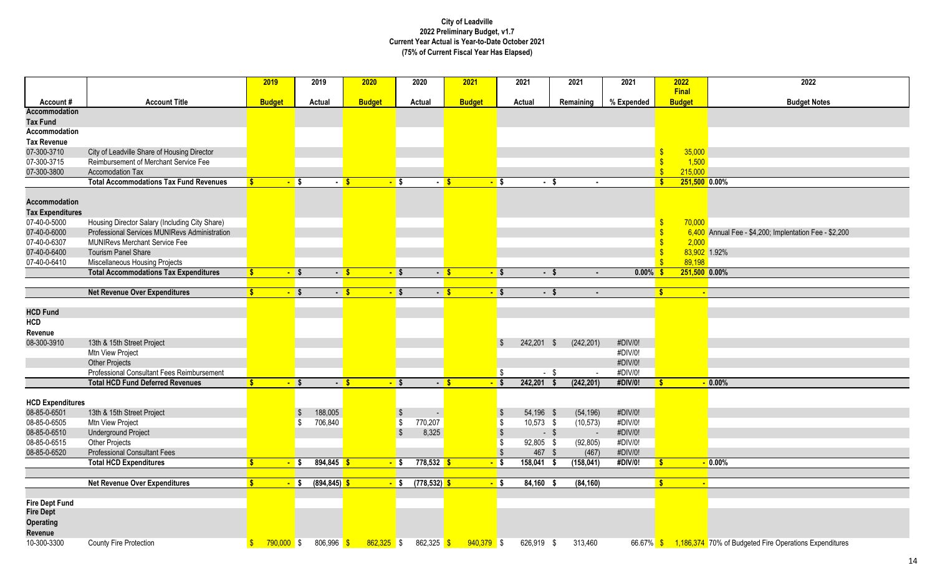|                                      |                                                                                      | 2019                         |                   | 2019            | 2020          |                   | 2020            | 2021          |                   | 2021        |              | 2021       | 2021        |                    | 2022                   | 2022                                                             |
|--------------------------------------|--------------------------------------------------------------------------------------|------------------------------|-------------------|-----------------|---------------|-------------------|-----------------|---------------|-------------------|-------------|--------------|------------|-------------|--------------------|------------------------|------------------------------------------------------------------|
| Account#                             | <b>Account Title</b>                                                                 | <b>Budget</b>                |                   | Actual          | <b>Budget</b> |                   | <b>Actual</b>   | <b>Budget</b> |                   | Actual      |              | Remaining  | % Expended  |                    | Final<br><b>Budget</b> | <b>Budget Notes</b>                                              |
| <b>Accommodation</b>                 |                                                                                      |                              |                   |                 |               |                   |                 |               |                   |             |              |            |             |                    |                        |                                                                  |
| <b>Tax Fund</b>                      |                                                                                      |                              |                   |                 |               |                   |                 |               |                   |             |              |            |             |                    |                        |                                                                  |
| Accommodation                        |                                                                                      |                              |                   |                 |               |                   |                 |               |                   |             |              |            |             |                    |                        |                                                                  |
| <b>Tax Revenue</b>                   |                                                                                      |                              |                   |                 |               |                   |                 |               |                   |             |              |            |             |                    |                        |                                                                  |
| 07-300-3710<br>07-300-3715           | City of Leadville Share of Housing Director<br>Reimbursement of Merchant Service Fee |                              |                   |                 |               |                   |                 |               |                   |             |              |            |             | $\mathbf{\hat{s}}$ | 35,000<br>1,500        |                                                                  |
| 07-300-3800                          | Accomodation Tax                                                                     |                              |                   |                 |               |                   |                 |               |                   |             |              |            |             | $\mathbf{\hat{s}}$ | 215,000                |                                                                  |
|                                      | <b>Total Accommodations Tax Fund Revenues</b>                                        | $\mathbf{s}$                 | <mark>-</mark> \$ | $-$ S           |               | <mark>–</mark> \$ | $-5$            |               | - \$              |             | - \$         |            |             | $\mathbf{s}$       | 251,500 0.00%          |                                                                  |
|                                      |                                                                                      |                              |                   |                 |               |                   |                 |               |                   |             |              |            |             |                    |                        |                                                                  |
| Accommodation                        |                                                                                      |                              |                   |                 |               |                   |                 |               |                   |             |              |            |             |                    |                        |                                                                  |
| <b>Tax Expenditures</b>              |                                                                                      |                              |                   |                 |               |                   |                 |               |                   |             |              |            |             |                    |                        |                                                                  |
| 07-40-0-5000                         | Housing Director Salary (Including City Share)                                       |                              |                   |                 |               |                   |                 |               |                   |             |              |            |             | -\$                | 70,000                 |                                                                  |
| 07-40-0-6000                         | Professional Services MUNIRevs Administration                                        |                              |                   |                 |               |                   |                 |               |                   |             |              |            |             |                    |                        | 6,400 Annual Fee - \$4,200; Implentation Fee - \$2,200           |
| 07-40-0-6307                         | <b>MUNIRevs Merchant Service Fee</b>                                                 |                              |                   |                 |               |                   |                 |               |                   |             |              |            |             | $\mathbf{\hat{s}}$ | 2,000                  |                                                                  |
| 07-40-0-6400                         | <b>Tourism Panel Share</b>                                                           |                              |                   |                 |               |                   |                 |               |                   |             |              |            |             | $\mathbf{\hat{s}}$ |                        | 83,902 1.92%                                                     |
| 07-40-0-6410                         | Miscellaneous Housing Projects                                                       |                              |                   |                 |               |                   |                 |               |                   |             |              |            |             |                    | 89.198                 |                                                                  |
|                                      | <b>Total Accommodations Tax Expenditures</b>                                         |                              | $-$ \$            | $-5$            |               | $-$ \$            | $-5$            |               | $-$ \$            |             | $-5$         | $\sim$     | $0.00\%$ \$ |                    | 251,500 0.00%          |                                                                  |
|                                      |                                                                                      |                              |                   |                 |               |                   |                 |               |                   |             |              |            |             |                    |                        |                                                                  |
|                                      | <b>Net Revenue Over Expenditures</b>                                                 |                              | $-$ \$            | $-5$            |               | $-$ \$            | $-5$            |               | $-$ \$            |             | $-$ \$       |            |             | <b>S</b>           |                        |                                                                  |
|                                      |                                                                                      |                              |                   |                 |               |                   |                 |               |                   |             |              |            |             |                    |                        |                                                                  |
| <b>HCD Fund</b><br><b>HCD</b>        |                                                                                      |                              |                   |                 |               |                   |                 |               |                   |             |              |            |             |                    |                        |                                                                  |
| Revenue                              |                                                                                      |                              |                   |                 |               |                   |                 |               |                   |             |              |            |             |                    |                        |                                                                  |
| 08-300-3910                          | 13th & 15th Street Project                                                           |                              |                   |                 |               |                   |                 |               | 9.                | 242,201 \$  |              | (242, 201) | #DIV/0!     |                    |                        |                                                                  |
|                                      | Mtn View Project                                                                     |                              |                   |                 |               |                   |                 |               |                   |             |              |            | #DIV/0!     |                    |                        |                                                                  |
|                                      | <b>Other Projects</b>                                                                |                              |                   |                 |               |                   |                 |               |                   |             |              |            | #DIV/0!     |                    |                        |                                                                  |
|                                      | Professional Consultant Fees Reimbursement                                           |                              |                   |                 |               |                   |                 |               | \$                |             | $-$ \$       | $\sim$     | #DIV/0!     |                    |                        |                                                                  |
|                                      | <b>Total HCD Fund Deferred Revenues</b>                                              | $\mathbf{s}$                 | $-$ \$            | $-5$            |               | $-$ \$            | $-5$            |               | $-$ \$            | 242,201     | $\mathbf{s}$ | (242, 201) | #DIV/0!     | <b>S</b>           |                        | $-0.00%$                                                         |
|                                      |                                                                                      |                              |                   |                 |               |                   |                 |               |                   |             |              |            |             |                    |                        |                                                                  |
| <b>HCD Expenditures</b>              |                                                                                      |                              |                   |                 |               |                   |                 |               |                   |             |              |            |             |                    |                        |                                                                  |
| 08-85-0-6501                         | 13th & 15th Street Project                                                           |                              | - \$              | 188,005         |               |                   |                 |               |                   | 54,196 \$   |              | (54, 196)  | #DIV/0!     |                    |                        |                                                                  |
| 08-85-0-6505                         | Mtn View Project                                                                     |                              | -\$               | 706,840         |               | - \$              | 770,207         |               | - \$              | $10,573$ \$ |              | (10, 573)  | #DIV/0!     |                    |                        |                                                                  |
| 08-85-0-6510                         | <b>Underground Project</b>                                                           |                              |                   |                 |               |                   | 8,325           |               | $\sqrt[6]{3}$     |             | $-$ \$       | $\sim$     | #DIV/0!     |                    |                        |                                                                  |
| 08-85-0-6515                         | <b>Other Projects</b>                                                                |                              |                   |                 |               |                   |                 |               | -\$               | 92,805 \$   |              | (92, 805)  | #DIV/0!     |                    |                        |                                                                  |
| 08-85-0-6520                         | <b>Professional Consultant Fees</b>                                                  |                              |                   |                 |               |                   |                 |               | <b>S</b>          | 467 \$      |              | (467)      | #DIV/0!     |                    |                        |                                                                  |
|                                      | <b>Total HCD Expenditures</b>                                                        |                              | <mark>- \$</mark> | $894,845$ \$    |               | $-$ \$            | $778,532$ \$    |               | <mark>-</mark> \$ | 158,041     | - \$         | (158, 041) | #DIV/0!     | $\mathbf{s}$       |                        | $\overline{\phantom{0}}$ 0.00%                                   |
|                                      |                                                                                      |                              |                   |                 |               |                   |                 |               |                   |             |              |            |             |                    |                        |                                                                  |
|                                      | <b>Net Revenue Over Expenditures</b>                                                 | S.                           | $-$ \$            | $(894, 845)$ \$ |               | $-$ \$            | $(778, 532)$ \$ |               | $-$ \$            | 84,160 \$   |              | (84, 160)  |             | $\mathbf{s}$       | $\mathbf{r}$           |                                                                  |
|                                      |                                                                                      |                              |                   |                 |               |                   |                 |               |                   |             |              |            |             |                    |                        |                                                                  |
| <b>Fire Dept Fund</b>                |                                                                                      |                              |                   |                 |               |                   |                 |               |                   |             |              |            |             |                    |                        |                                                                  |
| <b>Fire Dept</b><br><b>Operating</b> |                                                                                      |                              |                   |                 |               |                   |                 |               |                   |             |              |            |             |                    |                        |                                                                  |
| Revenue                              |                                                                                      |                              |                   |                 |               |                   |                 |               |                   |             |              |            |             |                    |                        |                                                                  |
| 10-300-3300                          | <b>County Fire Protection</b>                                                        | $790,000$ \$<br>$\mathbf{s}$ |                   | 806,996 \$      | $862,325$ \$  |                   | 862,325 \$      | $940,379$ \$  |                   | 626,919 \$  |              | 313,460    |             |                    |                        | 66.67% \$ 1,186,374 70% of Budgeted Fire Operations Expenditures |
|                                      |                                                                                      |                              |                   |                 |               |                   |                 |               |                   |             |              |            |             |                    |                        |                                                                  |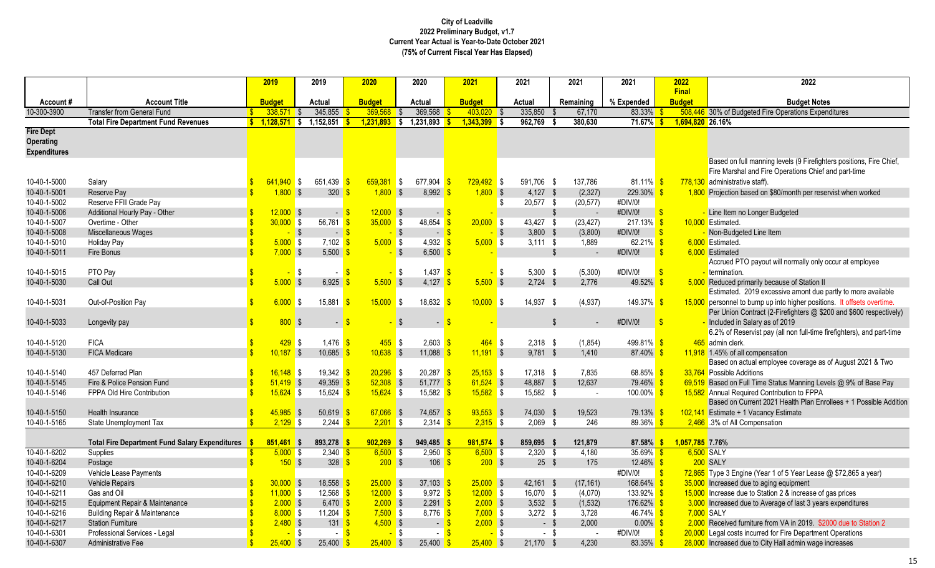|                                                             |                                                       |                    | 2019            | 2019                       | 2020              | 2020                                      | 2021                        | 2021                    | 2021                     | 2021          | 2022                          | 2022                                                                                                                                          |
|-------------------------------------------------------------|-------------------------------------------------------|--------------------|-----------------|----------------------------|-------------------|-------------------------------------------|-----------------------------|-------------------------|--------------------------|---------------|-------------------------------|-----------------------------------------------------------------------------------------------------------------------------------------------|
| Account#                                                    | <b>Account Title</b>                                  |                    | <b>Budget</b>   | Actual                     | <b>Budget</b>     | Actual                                    | <b>Budget</b>               | Actual                  | Remaining                | % Expended    | <b>Final</b><br><b>Budget</b> | <b>Budget Notes</b>                                                                                                                           |
| 10-300-3900                                                 | <b>Transfer from General Fund</b>                     | $\mathbf{S}$       | 338.571         | 345,855<br>l \$            | 369,568           | 369,568<br>- \$                           | 403,020                     | 335,850<br>$\sqrt{S}$   | 67,170                   | 83.33%        |                               | 508,446 30% of Budgeted Fire Operations Expenditures                                                                                          |
|                                                             | <b>Total Fire Department Fund Revenues</b>            |                    | $$1,128,571$ \$ | 1,152,851                  | 1.231.893<br>-\$  | 1,231,893<br>S.                           | 1,343,399                   | 962.769<br>l S          | 380.630                  | <b>71.67%</b> | 1.694.820 26.16%              |                                                                                                                                               |
| <b>Fire Dept</b><br><b>Operating</b><br><b>Expenditures</b> |                                                       |                    |                 |                            |                   |                                           |                             |                         |                          |               |                               |                                                                                                                                               |
|                                                             |                                                       |                    |                 |                            |                   |                                           |                             |                         |                          |               |                               | Based on full manning levels (9 Firefighters positions, Fire Chief,<br>Fire Marshal and Fire Operations Chief and part-time                   |
| 10-40-1-5000                                                | Salary                                                |                    | $641.940$ \$    | 651,439 \$                 | 659,381           | $677.904$ \$<br>$\blacksquare$            | $729,492$ \$                | 591.706 \$              | 137,786                  | $81.11\%$     | -\$                           | 778,130 administrative staff).                                                                                                                |
| 10-40-1-5001                                                | Reserve Pay                                           |                    | $1,800$ \$      | $320$ \$                   | $1,800$ \$        | $8,992$ \$                                | $1,800$ \$                  | 4,127 \$                | (2, 327)                 | 229.30%       |                               | 1,800 Projection based on \$80/month per reservist when worked                                                                                |
| 10-40-1-5002                                                | Reserve FFII Grade Pay                                |                    |                 |                            |                   |                                           |                             | \$<br>20,577 \$         | (20, 577)                | #DIV/0!       |                               |                                                                                                                                               |
| 10-40-1-5006                                                | Additional Hourly Pay - Other                         |                    | $12,000$ \$     | $-$ \$                     | $12,000$ \$       | $\blacksquare$                            |                             |                         | $\mathbb{S}$             | #DIV/0!       | $\sqrt[3]{\frac{1}{2}}$       | Line Item no Longer Budgeted                                                                                                                  |
| 10-40-1-5007                                                | Overtime - Other                                      |                    | $30,000$ \$     | 56,761                     | $35,000$ \$       | $48,654$ \$                               | $20,000$ \$                 | 43,427 \$               | (23, 427)                | $217.13\%$ \$ |                               | 10.000 Estimated.                                                                                                                             |
| 10-40-1-5008                                                | Miscellaneous Wages                                   | $\mathbf{\hat{S}}$ |                 | $\sqrt{3}$<br>$-5$         |                   | $-$ \$                                    | $-5$                        | $-$ \$<br>$3,800$ \$    | (3,800)                  | #DIV/0!       | $\sqrt[3]{5}$                 | - Non-Budgeted Line Item                                                                                                                      |
| 10-40-1-5010                                                | <b>Holiday Pay</b>                                    |                    | $5,000$ \$      | $7,102$ \$                 | $5,000$ \$        | 4,932 $\frac{1}{5}$                       | $5,000$ \$                  | $3.111$ \$              | 1,889                    | 62.21% \$     |                               | 6.000 Estimated.                                                                                                                              |
| 10-40-1-5011                                                | Fire Bonus                                            | $\mathbf{Q}$       | $7,000$ \$      | $5,500$ \$                 |                   | $\sqrt{3}$<br>6,500                       |                             |                         | $\mathfrak{L}$           | #DIV/0!       | $\mathbf{R}$                  | 6,000 Estimated                                                                                                                               |
|                                                             |                                                       |                    |                 |                            |                   |                                           |                             |                         |                          |               |                               | Accrued PTO payout will normally only occur at employee                                                                                       |
| 10-40-1-5015                                                | PTO Pay                                               |                    |                 | \$                         | $\sqrt{S}$        | <b>\$</b><br>$1,437$ $\sqrt{\frac{6}{5}}$ |                             | <b>\$</b><br>$5,300$ \$ | (5,300)                  | #DIV/0!       | $\mathbf{\hat{s}}$            | termination.                                                                                                                                  |
| 10-40-1-5030                                                | Call Out                                              | $\mathbf{\hat{S}}$ | 5,000           | $\sqrt{3}$<br>6,925 \$     | $5,500$ \$        | 4,127 $\frac{1}{5}$                       | $5,500$ \$                  | $2.724$ \$              | 2.776                    | 49.52%        |                               | 5,000 Reduced primarily because of Station II                                                                                                 |
|                                                             |                                                       |                    |                 |                            |                   |                                           |                             |                         |                          |               |                               | Estimated. 2019 excessive amont due partly to more available                                                                                  |
| 10-40-1-5031                                                | Out-of-Position Pay                                   | $\mathbf{\hat{s}}$ | 6.000 S         | $15,881$ \$                | $15.000$ \$       | $18,632$ \$                               | $10,000$ \$                 | 14,937 \$               | (4,937)                  | 149.37%       | -\$                           | 15,000 personnel to bump up into higher positions. It offsets overtime.<br>Per Union Contract (2-Firefighters @ \$200 and \$600 respectively) |
| 10-40-1-5033                                                | Longevity pay                                         | $\mathbf{S}$       | 800S            | $\sim$                     | $\mathbf{\$}$     | $\overline{\mathbf{S}}$<br>$\sim$         | $\mathbf{s}$                |                         | $\mathfrak{L}$<br>$\sim$ | #DIV/0!       | $\sqrt{3}$                    | - Included in Salary as of 2019                                                                                                               |
|                                                             |                                                       |                    |                 |                            |                   |                                           |                             |                         |                          |               |                               | 6.2% of Reservist pay (all non full-time firefighters), and part-time                                                                         |
| 10-40-1-5120                                                | <b>FICA</b>                                           |                    | $429$ \$        | $1,476$ \$                 | $455$ \$          | $2,603$ \$                                | $464$ \$                    | $2,318$ \$              | (1, 854)                 | 499.81%       |                               | 465 admin clerk.                                                                                                                              |
| 10-40-1-5130                                                | <b>FICA Medicare</b>                                  |                    | $10,187$ \$     | 10,685                     | $10,638$ \$       | 11,088                                    | $11,191$ \$                 | $9,781$ \$              | 1,410                    | 87.40%        |                               | 11,918 1.45% of all compensation                                                                                                              |
|                                                             |                                                       |                    |                 |                            |                   |                                           |                             |                         |                          |               |                               | Based on actual employee coverage as of August 2021 & Two                                                                                     |
| 10-40-1-5140                                                | 457 Deferred Plan                                     |                    | $16,148$ \$     | 19,342 $\frac{1}{5}$       | $20,296$ \$       | $20,287$ \$                               | $25,153$ \$                 | $17,318$ \$             | 7,835                    | 68.85%        |                               | 33,764 Possible Additions                                                                                                                     |
| 10-40-1-5145                                                | Fire & Police Pension Fund                            |                    | $51,419$ \$     | 49,359                     | $52,308$ \$       | $51,777$ \$                               | $61,524$ \$                 | 48,887 \$               | 12,637                   | 79.46%        |                               | 69,519 Based on Full Time Status Manning Levels @ 9% of Base Pay                                                                              |
| 10-40-1-5146                                                | FPPA Old Hire Contribution                            |                    | $15,624$ \$     | $15,624$ \$                | $15,624$ \$       | $15,582$ \$                               | $15,582$ \$                 | 15,582 \$               | $\sim$                   | 100.00%       |                               | 15,582 Annual Required Contribution to FPPA                                                                                                   |
|                                                             |                                                       |                    |                 |                            |                   |                                           |                             |                         |                          |               |                               | Based on Current 2021 Health Plan Enrollees + 1 Possible Addition                                                                             |
| 10-40-1-5150                                                | Health Insurance                                      |                    | $45,985$ \$     | 50,619                     | $67,066$ \$       | 74,657                                    | $93,553$ \$                 | 74,030 \$               | 19,523                   | <b>79.13%</b> |                               | 102,141 Estimate + 1 Vacancy Estimate                                                                                                         |
| 10-40-1-5165                                                | State Unemployment Tax                                | $\mathbf{R}$       | $2,129$ \$      | 2,244 $\frac{1}{3}$        | 2,201             | l \$<br>2,314                             | $2,315$ \$<br>-9            | $2,069$ \$              | 246                      | 89.36%        |                               | 2,466 .3% of All Compensation                                                                                                                 |
|                                                             | <b>Total Fire Department Fund Salary Expenditures</b> |                    | $851,461$ \$    | 893,278 \$                 | $902,269$ \$      | $949,485$ \$                              | 981,574 \$                  | 859,695 \$              | 121,879                  | 87.58%        | 1.057.785 7.76%               |                                                                                                                                               |
| 10-40-1-6202                                                | Supplies                                              |                    | $5,000$ \$      | $2,340$ \$                 | $6,500$ \$        | 2,950                                     | $6,500$ \$                  | $2,320$ \$              | 4,180                    | 35.69%        | $6,500$ SALY                  |                                                                                                                                               |
| 10-40-1-6204                                                |                                                       |                    | 150S            | $328$ $\sqrt{\frac{6}{5}}$ | 200S              | 106                                       | $200$ \$                    |                         | $25 \quad $$<br>175      | $12.46\%$ \$  |                               | <b>200 SALY</b>                                                                                                                               |
| 10-40-1-6209                                                | Postage<br>Vehicle Lease Payments                     |                    |                 |                            |                   |                                           |                             |                         |                          | #DIV/0!       | $\mathbf{\hat{s}}$            | $72,865$ Type 3 Engine (Year 1 of 5 Year Lease @ \$72,865 a year)                                                                             |
|                                                             |                                                       |                    |                 |                            |                   |                                           |                             |                         |                          |               |                               |                                                                                                                                               |
| 10-40-1-6210                                                | <b>Vehicle Repairs</b>                                |                    | $30,000$ \$     | 18,558                     | $25,000$ \$       | 37,103                                    | $25,000$ \$                 | $42,161$ \$             | (17, 161)                | 168.64% \$    |                               | 35,000 Increased due to aging equipment                                                                                                       |
| 10-40-1-6211                                                | Gas and Oil                                           |                    | $11,000$ \$     | $12,568$ \$                | $12,000$ \$       | $9,972$ \$                                | $12,000$ \$                 | 16,070 \$               | (4,070)                  | 133.92%       |                               | 15,000 Increase due to Station 2 & increase of gas prices                                                                                     |
| 10-40-1-6215                                                | Equipment Repair & Maintenance                        |                    | $2,000$ \$      | 6,470 \$                   | $2,000$ \$        | $2,291$ \$                                | $2,000$ \$                  | $3,532$ \$              | (1, 532)                 | 176.62%       |                               | 3,000 Increased due to Average of last 3 years expenditures                                                                                   |
| 10-40-1-6216                                                | <b>Building Repair &amp; Maintenance</b>              |                    | $8,000$ \$      | 11,204 $\frac{\ }{\ }$     | $7,500$ \$        | $8,776$ \$                                | $7,000$ \$                  | $3,272$ \$              | 3,728                    | 46.74% \$     | 7,000 SALY                    |                                                                                                                                               |
| 10-40-1-6217                                                | <b>Station Furniture</b>                              |                    | $2,480$ \$      | $131$ $\sqrt{\frac{2}{3}}$ | $4,500$ \$        |                                           | $2,000$ \$<br>$-5$          |                         | $-$ \$<br>2,000          | $0.00\%$ \$   |                               | 2.000 Received furniture from VA in 2019. \$2000 due to Station 2                                                                             |
| 10-40-1-6301                                                | Professional Services - Legal                         |                    |                 | <b>\$</b><br>$-5$          |                   | - \$                                      | - 8                         | <b>S</b>                | $-$ \$<br>$\sim$         | #DIV/0!       |                               | 20,000 Legal costs incurred for Fire Department Operations                                                                                    |
| 10-40-1-6307                                                | <b>Administrative Fee</b>                             |                    | $25,400$ \$     | 25,400                     | $25,400$ \$<br>-S | 25.400                                    | $25,400$ \$<br>$\mathbf{s}$ | $21,170$ \$             | 4,230                    | 83.35%        |                               | 28,000 Increased due to City Hall admin wage increases                                                                                        |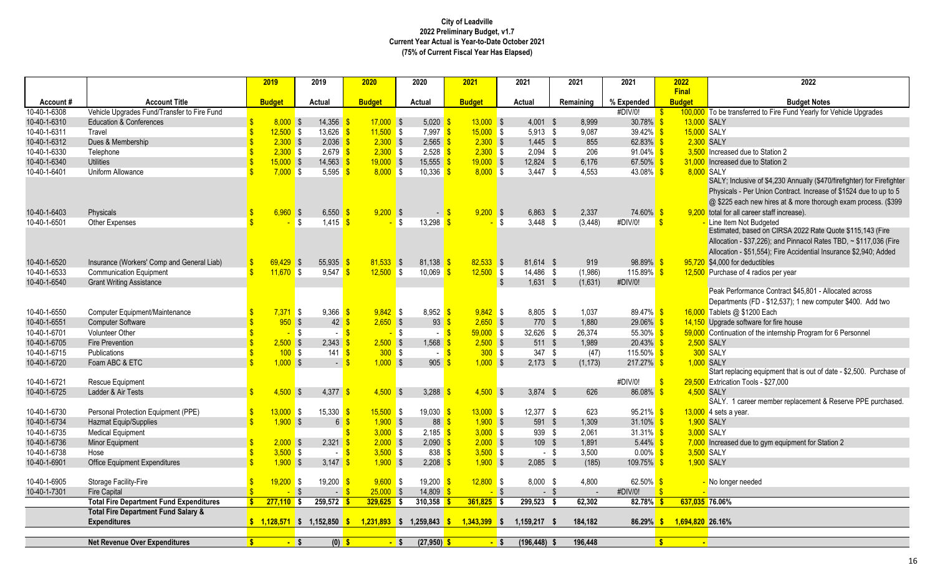|              |                                                                   | 2019               |                    | 2019                   | 2020                                                   | 2020                                | 2021                                          |              | 2021               | 2021           | 2021          |              | 2022                          | 2022                                                                               |
|--------------|-------------------------------------------------------------------|--------------------|--------------------|------------------------|--------------------------------------------------------|-------------------------------------|-----------------------------------------------|--------------|--------------------|----------------|---------------|--------------|-------------------------------|------------------------------------------------------------------------------------|
| Account#     | <b>Account Title</b>                                              |                    | <b>Budget</b>      | Actual                 | <b>Budget</b>                                          | Actual                              | <b>Budget</b>                                 |              | Actual             | Remaining      | % Expended    |              | <b>Final</b><br><b>Budget</b> | <b>Budget Notes</b>                                                                |
| 10-40-1-6308 | Vehicle Upgrades Fund/Transfer to Fire Fund                       |                    |                    |                        |                                                        |                                     |                                               |              |                    |                | #DIV/0!       |              |                               | 100,000 To be transferred to Fire Fund Yearly for Vehicle Upgrades                 |
| 10-40-1-6310 | <b>Education &amp; Conferences</b>                                |                    | 8.000 S            | 14,356                 | $17,000$ \$                                            | 5,020                               | $13,000$ \$                                   |              | $4,001$ \$         | 8,999          | 30.78%        |              | 13,000 SALY                   |                                                                                    |
| 10-40-1-6311 | Travel                                                            |                    | $12,500$ \$        | 13,626                 | $11,500$ \$                                            | $7,997$ \$                          | $15,000$ \$                                   |              | $5,913$ \$         | 9,087          | 39.42%        |              | 15,000 SALY                   |                                                                                    |
| 10-40-1-6312 | Dues & Membership                                                 |                    | $2,300$ \$         | 2,036                  | $2,300$ \$                                             | $2,565$ \$                          | $2,300$ \$                                    |              | $1,445$ \$         | 855            | 62.83%        |              | 2,300 SALY                    |                                                                                    |
| 10-40-1-6330 | Telephone                                                         |                    | $2,300$ \$         | 2,679                  | $2,300$ \$                                             | $2,528$ $\sqrt{\frac{6}{5}}$        | $2,300$ \$                                    |              | $2,094$ \$         | 206            | 91.04%        |              |                               | 3,500 Increased due to Station 2                                                   |
| 10-40-1-6340 | <b>Utilities</b>                                                  |                    | $15,000$ \$        | 14,563                 | $19,000$ \$                                            | 15,555                              | $19,000$ \$                                   |              | 12,824 \$          | 6,176          | 67.50%        |              |                               | 31,000 Increased due to Station 2                                                  |
| 10-40-1-6401 | Uniform Allowance                                                 |                    | $7,000$ \$         | 5,595                  | $8,000$ \$                                             | 10,336                              | $8,000$ \$                                    |              | $3,447$ \$         | 4,553          | 43.08% \$     |              | 8,000 SALY                    |                                                                                    |
|              |                                                                   |                    |                    |                        |                                                        |                                     |                                               |              |                    |                |               |              |                               | SALY; Inclusive of \$4,230 Annually (\$470/firefighter) for Firefighter            |
|              |                                                                   |                    |                    |                        |                                                        |                                     |                                               |              |                    |                |               |              |                               | Physicals - Per Union Contract. Increase of \$1524 due to up to 5                  |
|              |                                                                   |                    |                    |                        |                                                        |                                     |                                               |              |                    |                |               |              |                               | @ \$225 each new hires at & more thorough exam process. (\$399                     |
| 10-40-1-6403 | <b>Physicals</b>                                                  | <b>S</b>           | $6,960$ \$         | 6,550                  | $9,200$ \$                                             |                                     | $9,200$ \$<br>$-5$                            |              | $6,863$ \$         | 2,337          | 74.60%        | - \$         |                               | 9,200 total for all career staff increase).                                        |
| 10-40-1-6501 | Other Expenses                                                    |                    |                    | \$<br>1,415            |                                                        | \$<br>13,298                        |                                               | <b>S</b>     | $3.448$ \$         | (3, 448)       | #DIV/0!       | $\mathbf{S}$ |                               | Line Item Not Budgeted                                                             |
|              |                                                                   |                    |                    |                        |                                                        |                                     |                                               |              |                    |                |               |              |                               | Estimated, based on CIRSA 2022 Rate Quote \$115,143 (Fire                          |
|              |                                                                   |                    |                    |                        |                                                        |                                     |                                               |              |                    |                |               |              |                               | Allocation - \$37,226); and Pinnacol Rates TBD, ~ \$117,036 (Fire                  |
|              |                                                                   |                    |                    |                        |                                                        |                                     |                                               |              |                    |                |               |              |                               | Allocation - \$51,554); Fire Accidential Insurance \$2,940; Added                  |
| 10-40-1-6520 | Insurance (Workers' Comp and General Liab)                        | $\mathbf{s}$       | $69.429$ \$        | 55.935                 | $81,533$ \$                                            | $81.138$ $\frac{\ }{s}$             | $82,533$ \$                                   |              | 81.614 \$          | 919            | 98.89%        |              |                               | 95,720 \$4,000 for deductibles                                                     |
| 10-40-1-6533 | <b>Communication Equipment</b>                                    | $\hat{\mathbf{S}}$ | $11,670$ \$        | 9,547                  | $12,500$ \$                                            | 10,069                              | $12,500$ \$                                   |              | 14,486 \$          | (1,986)        | 115.89% \$    |              |                               | 12,500 Purchase of 4 radios per year                                               |
| 10-40-1-6540 | <b>Grant Writing Assistance</b>                                   |                    |                    |                        |                                                        |                                     |                                               | $\mathbb{S}$ | $1,631$ \$         | (1,631)        | #DIV/0!       |              |                               |                                                                                    |
|              |                                                                   |                    |                    |                        |                                                        |                                     |                                               |              |                    |                |               |              |                               | Peak Performance Contract \$45,801 - Allocated across                              |
|              |                                                                   |                    |                    |                        |                                                        |                                     |                                               |              |                    |                |               |              |                               | Departments (FD - \$12,537); 1 new computer \$400. Add two                         |
|              |                                                                   |                    |                    |                        | $9,842$ \$                                             |                                     | $9,842$ \$                                    |              |                    |                | $89.47\%$ \$  |              |                               |                                                                                    |
| 10-40-1-6550 | <b>Computer Equipment/Maintenance</b><br><b>Computer Software</b> |                    | $7,371$ \$<br>950S | 9.366<br>42            | $2,650$ \$                                             | $8.952$ $\frac{\text{S}}{\text{S}}$ | $93 \frac{\pi}{3}$<br>$2,650$ \$              |              | 8.805 \$<br>770 \$ | 1.037<br>1,880 | 29.06%        |              |                               | 16,000 Tablets @ \$1200 Each<br>14,150 Upgrade software for fire house             |
| 10-40-1-6551 |                                                                   |                    |                    |                        |                                                        |                                     |                                               |              |                    |                |               |              |                               |                                                                                    |
| 10-40-1-6701 | Volunteer Other                                                   |                    | $-$ \$             | $\sim$                 |                                                        | - \$                                | $59,000$ \$<br>$-5$                           |              | 32,626 \$          | 26,374         | 55.30%        |              |                               | 59,000 Continuation of the internship Program for 6 Personnel                      |
| 10-40-1-6705 | <b>Fire Prevention</b>                                            |                    | $2,500$ \$         | 2.343                  | $2,500$ \$                                             | 1.568 $\frac{\text{S}}{\text{S}}$   | $2,500$ \$                                    |              | 511 \$             | 1.989          | $20.43\%$ \$  |              | 2,500 SALY                    |                                                                                    |
| 10-40-1-6715 | <b>Publications</b>                                               |                    | 100S               | 141                    | 300S                                                   |                                     | 300S<br>$-$ S                                 |              | 347 \$             | (47)           | $115.50\%$ \$ |              |                               | 300 SALY                                                                           |
| 10-40-1-6720 | Foam ABC & ETC                                                    |                    | $1,000$ \$         | $ \sqrt{3}$            | $1,000$ \$                                             |                                     | $905 \frac{\text{S}}{\text{S}}$<br>$1,000$ \$ |              | $2,173$ \$         | (1, 173)       | 217.27%       |              |                               | 1.000 SALY<br>Start replacing equipment that is out of date - \$2,500. Purchase of |
|              |                                                                   |                    |                    |                        |                                                        |                                     |                                               |              |                    |                |               |              |                               |                                                                                    |
| 10-40-1-6721 | <b>Rescue Equipment</b>                                           |                    |                    |                        |                                                        |                                     |                                               |              |                    |                | #DIV/0!       |              |                               | 29,500 Extrication Tools - \$27,000                                                |
| 10-40-1-6725 | Ladder & Air Tests                                                | $\mathbf{S}$       | $4.500$ \$         | 4,377                  | $4,500$ \$                                             | 3,288                               | $4.500$ \$                                    |              | $3.874$ \$         | 626            | 86.08%        |              | 4,500 SALY                    |                                                                                    |
|              |                                                                   |                    |                    |                        |                                                        |                                     |                                               |              |                    |                |               |              |                               | SALY. 1 career member replacement & Reserve PPE purchased.                         |
| 10-40-1-6730 | Personal Protection Equipment (PPE)                               | $\mathbf{s}$       | $13,000$ \$        | 15,330                 | $15,500$ \$                                            | $19,030$ \$                         | $13,000$ \$                                   |              | $12,377$ \$        | 623            | $95.21\%$ \$  |              |                               | $13,000$ 4 sets a year.                                                            |
| 10-40-1-6734 | Hazmat Equip/Supplies                                             | $\mathbf{\$}$      | $1,900$ \$         | 6 \$                   | $1,900$ \$                                             |                                     | $88\overline{\text{S}}$<br>$1,900$ \$         |              | 591 \$             | 1,309          | 31.10%        |              |                               | <b>1.900 SALY</b>                                                                  |
| 10-40-1-6735 | <b>Medical Equipment</b>                                          |                    |                    |                        | $3,000$ \$                                             | 2,185 $\frac{\ }{\ }$               | $3,000$ \$                                    |              | 939 \$             | 2,061          | $31.31\%$ \$  |              |                               | 3.000 SALY                                                                         |
| 10-40-1-6736 | <b>Minor Equipment</b>                                            |                    | $2,000$ \$         | 2,321                  | $2,000$ \$                                             | $2,090$ \$                          | $2,000$ \$                                    |              | 109 \$             | 1,891          | 5.44%         |              |                               | 7,000 Increased due to gym equipment for Station 2                                 |
| 10-40-1-6738 | Hose                                                              |                    | $3,500$ \$         | $\sim$                 | $3,500$ \$<br>$\sqrt{3}$                               |                                     | $838$ $\frac{8}{5}$<br>$3,500$ \$             |              | - \$               | 3.500          | $0.00\%$      | -\$          |                               | 3.500 SALY                                                                         |
| 10-40-1-6901 | <b>Office Equipment Expenditures</b>                              |                    | $1,900$ \$         | 3,147 $\sqrt{s}$       | $1,900$ \$                                             | $2,208$ \$                          | $1,900$ \$                                    |              | $2,085$ \$         | (185)          | $109.75\%$ \$ |              | 1,900 SALY                    |                                                                                    |
|              |                                                                   |                    |                    |                        |                                                        |                                     |                                               |              |                    |                |               |              |                               |                                                                                    |
| 10-40-1-6905 | Storage Facility-Fire                                             | $\mathbf{\$}$      | $19,200$ \$        | 19,200                 | $9,600$ \$                                             | 19,200                              | $12,800$ \$                                   |              | $8,000$ \$         | 4,800          | 62.50% \$     |              |                               | - No longer needed                                                                 |
| 10-40-1-7301 | <b>Fire Capital</b>                                               |                    |                    | $\mathbf{s}$<br>$\sim$ | $25,000$ \$                                            | 14,809                              | $\blacksquare$                                | $\sqrt{3}$   | $-$ \$             | $\sim$         | #DIV/0!       |              |                               |                                                                                    |
|              | <b>Total Fire Department Fund Expenditures</b>                    | S                  | $277,110$ \$       | 259,572                | $329,625$ \$                                           | 310,358                             | $361,825$ \$                                  |              | 299,523            | 62,302<br>- \$ | $82.78\%$ \$  |              | 637,035 76.06%                |                                                                                    |
|              | <b>Total Fire Department Fund Salary &amp;</b>                    |                    |                    |                        |                                                        |                                     |                                               |              |                    |                |               |              |                               |                                                                                    |
|              | <b>Expenditures</b>                                               |                    |                    |                        | $$1,128,571$ \$ 1,152,850 $$1,231,893$ \$ 1,259,843 \$ |                                     | $1,343,399$ \$                                |              | 1,159,217 \$       | 184,182        | $86.29\%$ \$  |              | 1,694,820 26.16%              |                                                                                    |
|              |                                                                   |                    |                    |                        |                                                        |                                     |                                               |              |                    |                |               |              |                               |                                                                                    |
|              | <b>Net Revenue Over Expenditures</b>                              | $\mathbf{S}$       | $-$ \$             | $(0)$ \$               |                                                        | $(27,950)$ \$<br>$-$ \$             |                                               | $-$ \$       | $(196, 448)$ \$    | 196,448        |               | $\mathbf{s}$ | $\mathbf{r}$                  |                                                                                    |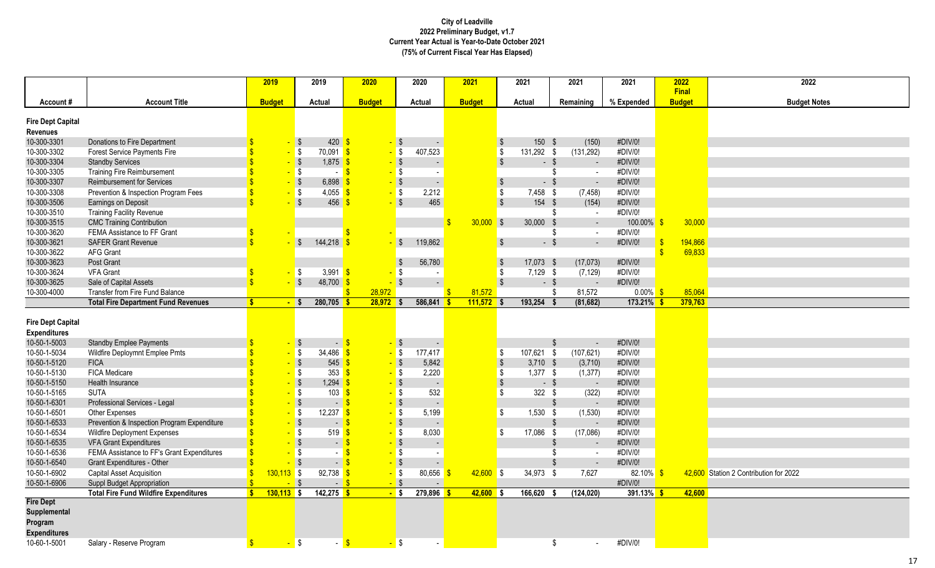|                                                 |                                              | 2019               |                         | 2019                              | 2020                         | 2020                  |            | 2021          |                         | 2021       | 2021                     | 2021          | 2022          | 2022                                   |
|-------------------------------------------------|----------------------------------------------|--------------------|-------------------------|-----------------------------------|------------------------------|-----------------------|------------|---------------|-------------------------|------------|--------------------------|---------------|---------------|----------------------------------------|
|                                                 |                                              |                    |                         |                                   |                              |                       |            |               |                         |            |                          |               | Final         |                                        |
| Account#                                        | <b>Account Title</b>                         | <b>Budget</b>      |                         | Actual                            | <b>Budget</b>                | Actual                |            | <b>Budget</b> |                         | Actual     | Remaining                | % Expended    | <b>Budget</b> | <b>Budget Notes</b>                    |
| <b>Fire Dept Capital</b>                        |                                              |                    |                         |                                   |                              |                       |            |               |                         |            |                          |               |               |                                        |
| <b>Revenues</b>                                 |                                              |                    |                         |                                   |                              |                       |            |               |                         |            |                          |               |               |                                        |
| 10-300-3301                                     | Donations to Fire Department                 |                    | $\sqrt{5}$              | $420 \frac{1}{5}$                 |                              | $-$ \$                |            |               | $\sqrt{ }$              | 150 \$     | (150)                    | #DIV/0!       |               |                                        |
| 10-300-3302                                     | Forest Service Payments Fire                 |                    | S                       | 70,091                            | $\sqrt{3}$                   | 407,523<br>$-$ \$     |            |               | $\sqrt[6]{\frac{1}{2}}$ | 131,292 \$ | (131, 292)               | #DIV/0!       |               |                                        |
| 10-300-3304                                     | <b>Standby Services</b>                      |                    | $\sqrt{5}$              | 1,875                             | $-$ \$<br>-S                 |                       |            |               | $\sqrt[6]{3}$           | $-5$       |                          | #DIV/0!       |               |                                        |
| 10-300-3305                                     | <b>Training Fire Reimbursement</b>           |                    | $\sqrt{3}$              | $ \sqrt{3}$                       |                              | - \$                  |            |               |                         |            | -\$<br>$\sim$            | #DIV/0!       |               |                                        |
| 10-300-3307                                     | <b>Reimbursement for Services</b>            |                    | $\sqrt{3}$              | 6,898                             |                              | $-$ \$                |            |               | $\sqrt[6]{\frac{1}{2}}$ | $-$ \$     | $\omega$                 | #DIV/0!       |               |                                        |
| 10-300-3308                                     | Prevention & Inspection Program Fees         |                    | $\sqrt{3}$              | 4,055 \$                          |                              | 2,212<br>- \$         |            |               | $\sqrt[6]{\frac{1}{2}}$ | 7,458 \$   | (7, 458)                 | #DIV/0!       |               |                                        |
| 10-300-3506                                     | Earnings on Deposit                          |                    | $\overline{\mathbf{S}}$ | 456                               |                              | $\sqrt{S}$<br>465     |            |               | $\sqrt[6]{3}$           | 154 \$     | (154)                    | #DIV/0!       |               |                                        |
| 10-300-3510                                     | <b>Training Facility Revenue</b>             |                    |                         |                                   |                              |                       |            |               |                         |            | -\$<br>$\sim$            | #DIV/0!       |               |                                        |
| 10-300-3515                                     | <b>CMC Training Contribution</b>             |                    |                         |                                   |                              |                       |            | $30,000$ \$   |                         | 30,000     | -\$<br>$\sim$            | 100.00%       | 30,000        |                                        |
| 10-300-3620                                     | FEMA Assistance to FF Grant                  |                    |                         |                                   |                              |                       |            |               |                         |            | -\$<br>$\sim$            | #DIV/0!       |               |                                        |
| 10-300-3621                                     | <b>SAFER Grant Revenue</b>                   |                    | -\$                     | 144,218                           |                              | 119,862<br>$\sqrt{S}$ |            |               | $\sqrt[6]{\frac{1}{2}}$ | $-$ \$     | $\sim$                   | #DIV/0!       | 194,866       |                                        |
| 10-300-3622                                     | <b>AFG Grant</b>                             |                    |                         |                                   |                              |                       |            |               |                         |            |                          |               | 69,833        |                                        |
| 10-300-3623                                     | Post Grant                                   |                    |                         |                                   |                              | 56,780<br>-\$         |            |               | $\sqrt[6]{\frac{1}{2}}$ | 17,073 \$  | (17,073)                 | #DIV/0!       |               |                                        |
| 10-300-3624                                     | <b>VFA Grant</b>                             |                    | $\sqrt{3}$              | 3,991 $\frac{1}{5}$               |                              | l \$                  |            |               | \$                      | $7,129$ \$ | (7, 129)                 | #DIV/0!       |               |                                        |
| 10-300-3625                                     | Sale of Capital Assets                       |                    | $\sqrt{3}$              | $48,700$ \$                       |                              | $\sqrt{3}$            |            |               | $\sqrt[6]{\frac{1}{2}}$ | $-$ \$     | $\sim$                   | #DIV/0!       |               |                                        |
| 10-300-4000                                     | <b>Transfer from Fire Fund Balance</b>       |                    |                         |                                   | 28,972                       |                       |            | 81,572        |                         |            | 81,572<br>-\$            | $0.00\%$ \$   | 85,064        |                                        |
|                                                 | <b>Total Fire Department Fund Revenues</b>   | <b>S</b>           | - \$                    | $280,705$ \$                      | 28,972                       | $586,841$ \$<br>l S   |            | 111,572       | l S                     | 193,254 \$ | (81, 682)                | 173.21%       | 379,763       |                                        |
|                                                 |                                              |                    |                         |                                   |                              |                       |            |               |                         |            |                          |               |               |                                        |
| <b>Fire Dept Capital</b><br><b>Expenditures</b> |                                              |                    |                         |                                   |                              |                       |            |               |                         |            |                          |               |               |                                        |
| 10-50-1-5003                                    | <b>Standby Emplee Payments</b>               |                    | $\sqrt{ }$              | $\sim$ .                          | -S<br>- \$                   |                       |            |               |                         |            | -\$<br>$\sim$            | #DIV/0!       |               |                                        |
| 10-50-1-5034                                    | Wildfire Deploymnt Emplee Pmts               |                    | $\blacksquare$          | 34,486 $\frac{\pi}{3}$            | $-$ \$                       | 177,417               |            |               | \$                      | 107,621 \$ | (107, 621)               | #DIV/0!       |               |                                        |
| 10-50-1-5120                                    | <b>FICA</b>                                  |                    | $\sqrt{S}$              | $545$ $\frac{\text{}}{\text{}}$   | $-$ \$                       | 5,842                 |            |               | $\,$                    | $3,710$ \$ | (3,710)                  | #DIV/0!       |               |                                        |
| 10-50-1-5130                                    | <b>FICA Medicare</b>                         |                    | $\sqrt{3}$              | 353                               | $-$ \$<br>$\sqrt{3}$         | 2,220                 |            |               | $\sqrt{2}$              | $1,377$ \$ | (1, 377)                 | #DIV/0!       |               |                                        |
| 10-50-1-5150                                    | <b>Health Insurance</b>                      |                    | $\sqrt{3}$              | $1,294$ \$                        |                              | $-$ \$                |            |               | $\sqrt[6]{3}$           | $-$ \$     |                          | #DIV/0!       |               |                                        |
| 10-50-1-5165                                    | <b>SUTA</b>                                  |                    | <b>S</b>                | 103                               | $\sqrt{3}$                   | 532<br>- \$           |            |               | \$                      | $322$ \$   | (322)                    | #DIV/0!       |               |                                        |
| 10-50-1-6301                                    | Professional Services - Legal                |                    | $\sqrt{3}$              | $-5$                              |                              | $-$ \$                |            |               |                         |            | $\mathfrak{L}$<br>$\sim$ | #DIV/0!       |               |                                        |
| 10-50-1-6501                                    | Other Expenses                               |                    | l \$                    | 12,237                            | $\sqrt{s}$<br>$-$ \$         | 5,199                 |            |               | -\$                     | $1,530$ \$ | (1,530)                  | #DIV/0!       |               |                                        |
| 10-50-1-6533                                    | Prevention & Inspection Program Expenditure  |                    | $\sqrt{3}$              | $-$ \$                            | $-$ \$                       |                       |            |               |                         |            | $\mathfrak{L}$           | #DIV/0!       |               |                                        |
| 10-50-1-6534                                    | <b>Wildfire Deployment Expenses</b>          |                    | <b>\$</b>               | $519$ $\frac{\text{S}}{\text{S}}$ |                              | 8,030<br>$-$ \$       |            |               | \$                      | 17,086 \$  | (17,086)                 | #DIV/0!       |               |                                        |
| 10-50-1-6535                                    | <b>VFA Grant Expenditures</b>                |                    | $\sqrt{3}$              | $\sim$                            | $\mathbf{\hat{s}}$           | $\cdot$ \$            |            |               |                         |            | $\mathfrak{L}$           | #DIV/0!       |               |                                        |
| 10-50-1-6536                                    | FEMA Assistance to FF's Grant Expenditures   |                    | <b>\$</b>               |                                   |                              | $-$ \$                | $\sim$     |               |                         |            | -\$<br>$\mathbf{r}$      | #DIV/0!       |               |                                        |
| 10-50-1-6540                                    | Grant Expenditures - Other                   |                    | $\sqrt{3}$              | $-$ \$                            |                              | $-$ \$                |            |               |                         |            | -\$<br>$\sim$            | #DIV/0!       |               |                                        |
| 10-50-1-6902                                    | <b>Capital Asset Acquisition</b>             | $130,113$ \$       |                         | $92,738$ \$                       |                              | - \$                  | 80,656 $$$ | $42,600$ \$   |                         | 34,973 \$  | 7.627                    | $82.10\%$ \$  |               | 42,600 Station 2 Contribution for 2022 |
| 10-50-1-6906                                    | Suppl Budget Appropriation                   |                    | $\sqrt{3}$              |                                   | $\mathbf{\hat{s}}$<br>$-$ \$ |                       |            |               |                         |            |                          | #DIV/0!       |               |                                        |
|                                                 | <b>Total Fire Fund Wildfire Expenditures</b> | $130,113$ \$<br>S. |                         | $142,275$ \$                      | $-$ \$                       | 279,896               |            | $42,600$ \$   |                         | 166,620    | (124, 020)<br>- \$       | $391.13\%$ \$ | 42,600        |                                        |
| <b>Fire Dept</b>                                |                                              |                    |                         |                                   |                              |                       |            |               |                         |            |                          |               |               |                                        |
| Supplemental                                    |                                              |                    |                         |                                   |                              |                       |            |               |                         |            |                          |               |               |                                        |
| Program                                         |                                              |                    |                         |                                   |                              |                       |            |               |                         |            |                          |               |               |                                        |
| <b>Expenditures</b>                             |                                              |                    |                         |                                   |                              |                       |            |               |                         |            |                          |               |               |                                        |
| 10-60-1-5001                                    | Salary - Reserve Program                     |                    | $\sqrt{3}$              | $ \frac{1}{3}$                    | <mark>-</mark> \$            |                       |            |               |                         |            | \$<br>$\sim$             | #DIV/0!       |               |                                        |